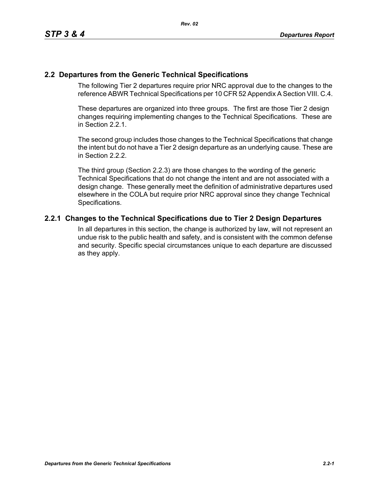# **2.2 Departures from the Generic Technical Specifications**

The following Tier 2 departures require prior NRC approval due to the changes to the reference ABWR Technical Specifications per 10 CFR 52 Appendix A Section VIII. C.4.

These departures are organized into three groups. The first are those Tier 2 design changes requiring implementing changes to the Technical Specifications. These are in Section 2.2.1.

The second group includes those changes to the Technical Specifications that change the intent but do not have a Tier 2 design departure as an underlying cause. These are in Section 2.2.2.

The third group (Section 2.2.3) are those changes to the wording of the generic Technical Specifications that do not change the intent and are not associated with a design change. These generally meet the definition of administrative departures used elsewhere in the COLA but require prior NRC approval since they change Technical Specifications.

# **2.2.1 Changes to the Technical Specifications due to Tier 2 Design Departures**

In all departures in this section, the change is authorized by law, will not represent an undue risk to the public health and safety, and is consistent with the common defense and security. Specific special circumstances unique to each departure are discussed as they apply.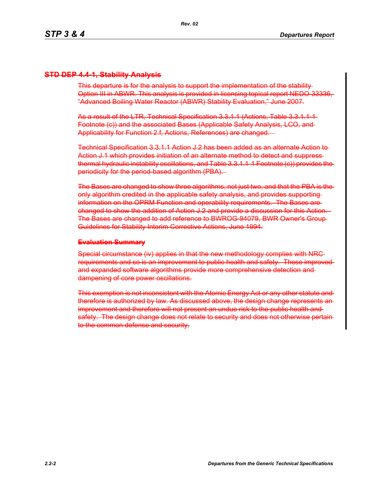# **STD DEP 4.4-1, Stability Analysis**

This departure is for the analysis to support the implementation of the stability Option III in ABWR. This analysis is provided in licensing topical report NEDO 3333 "Advanced Boiling Water Reactor (ABWR) Stability Evaluation," June 2007.

As a result of the LTR, Technical Specification 3.3.1.1 (Actions, Table 3.3.1.1-1 Footnote (c)) and the associated Bases (Applicable Safety Analysis, LCO, and Applicability for Function 2.f, Actions, References) are changed.

Technical Specification 3.3.1.1 Action J.2 has been added as an alternate Action to Action J.1 which provides initiation of an alternate method to detect and suppress thermal hydraulic instability oscillations, and Table 3.3.1.1-1 Footnote (c)) provides the periodicity for the period-based algorithm (PBA).

The Bases are changed to show three algorithms, not just two, and that the PBA is the only algorithm credited in the applicable safety analysis, and provides supporting information on the OPRM Function and operability requirements. The Bases are changed to show the addition of Action J.2 and provide a discussion for this Action. The Bases are changed to add reference to BWROG-94079, BWR Owner's Group Guidelines for Stability Interim Corrective Actions, June 1994.

#### **Evaluation Summary**

Special circumstance (iv) applies in that the new methodology complies with NRC requirements and so is an improvement to public health and safety. These improvedand expanded software algorithms provide more comprehensive detection and dampening of core power oscillations.

This exemption is not inconsistent with the Atomic Energy Act or any other statute and therefore is authorized by law. As discussed above, the design change represents an improvement and therefore will not present an undue risk to the public health andsafety. The design change does not relate to security and does not otherwise pertain to the common defense and security.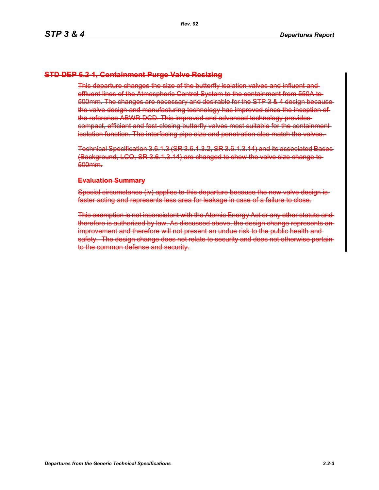## **STD DEP 6.2-1, Containment Purge Valve Resizing**

This departure changes the size of the butterfly isolation valves and influent and effluent lines of the Atmospheric Control System to the containment from 550A to 500mm. The changes are necessary and desirable for the STP 3 & 4 design because the valve design and manufacturing technology has improved since the inception of the reference ABWR DCD. This improved and advanced technology provides compact, efficient and fast closing butterfly valves most suitable for the containment isolation function. The interfacing pipe size and penetration also match the valves.

Technical Specification 3.6.1.3 (SR 3.6.1.3.2, SR 3.6.1.3.14) and its associated Bases (Background, LCO, SR 3.6.1.3.14) are changed to show the valve size change to 500mm.

#### **Evaluation Summary**

Special circumstance (iv) applies to this departure because the new valve design is faster acting and represents less area for leakage in case of a failure to close.

This exemption is not inconsistent with the Atomic Energy Act or any other statute and therefore is authorized by law. As discussed above, the design change represents an improvement and therefore will not present an undue risk to the public health andsafety. The design change does not relate to security and does not otherwise pertain to the common defense and security.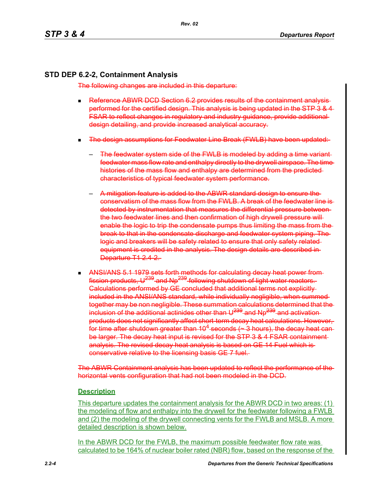# **STD DEP 6.2-2, Containment Analysis**

The following changes are included in this departure:

- **Reference ABWR DCD Section 6.2 provides results of the containment analysis**performed for the certified design. This analysis is being updated in the STP 3 & 4 FSAR to reflect changes in regulatory and industry guidance, provide additional design detailing, and provide increased analytical accuracy.
- The design assumptions for Feedwater Line Break (FWLB) have been updated:
	- The feedwater system side of the FWLB is modeled by adding a time variantfeedwater mass flow rate and enthalpy directly to the drywell airspace. The time histories of the mass flow and enthalpy are determined from the predicted characteristics of typical feedwater system performance.
	- A mitigation feature is added to the ABWR standard design to ensure the conservatism of the mass flow from the FWLB. A break of the feedwater line is detected by instrumentation that measures the differential pressure between the two feedwater lines and then confirmation of high drywell pressure will enable the logic to trip the condensate pumps thus limiting the mass from the break to that in the condensate discharge and feedwater system piping. The logic and breakers will be safety related to ensure that only safety related equipment is credited in the analysis. The design details are described in Departure T1 2.4 2.
- ANSI/ANS 5.1 1979 sets forth methods for calculating decay heat power from fission products. U<sup>239</sup> and Np<sup>239</sup> following shutdown of light water reactors. Calculations performed by GE concluded that additional terms not explicitly included in the ANSI/ANS standard, while individually negligible, when summed together may be non negligible. These summation calculations determined that the inclusion of the additional actinides other than  $\mathsf{U}^{239}$  and Np<sup>239</sup> and activationproducts does not significantly affect short-term decay heat calculations. However, for time after shutdown greater than 10<sup>4</sup> seconds ( $\sim$  3 hours), the decay heat canbe larger. The decay heat input is revised for the STP 3 & 4 FSAR containmentanalysis. The revised decay heat analysis is based on GE 14 Fuel which is conservative relative to the licensing basis GE 7 fuel.

The ABWR Containment analysis has been updated to reflect the performance of the horizontal vents configuration that had not been modeled in the DCD.

# **Description**

This departure updates the containment analysis for the ABWR DCD in two areas: (1) the modeling of flow and enthalpy into the drywell for the feedwater following a FWLB and (2) the modeling of the drywell connecting vents for the FWLB and MSLB. A more detailed description is shown below.

In the ABWR DCD for the FWLB, the maximum possible feedwater flow rate was calculated to be 164% of nuclear boiler rated (NBR) flow, based on the response of the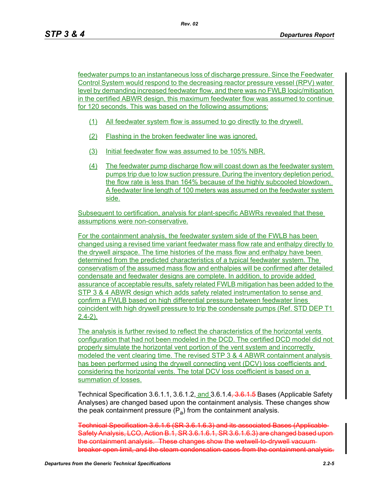feedwater pumps to an instantaneous loss of discharge pressure. Since the Feedwater Control System would respond to the decreasing reactor pressure vessel (RPV) water level by demanding increased feedwater flow, and there was no FWLB logic/mitigation in the certified ABWR design, this maximum feedwater flow was assumed to continue for 120 seconds. This was based on the following assumptions:

- (1) All feedwater system flow is assumed to go directly to the drywell.
- (2) Flashing in the broken feedwater line was ignored.
- (3) Initial feedwater flow was assumed to be 105% NBR.
- (4) The feedwater pump discharge flow will coast down as the feedwater system pumps trip due to low suction pressure. During the inventory depletion period, the flow rate is less than 164% because of the highly subcooled blowdown. A feedwater line length of 100 meters was assumed on the feedwater system side.

Subsequent to certification, analysis for plant-specific ABWRs revealed that these assumptions were non-conservative.

For the containment analysis, the feedwater system side of the FWLB has been changed using a revised time variant feedwater mass flow rate and enthalpy directly to the drywell airspace. The time histories of the mass flow and enthalpy have been determined from the predicted characteristics of a typical feedwater system. The conservatism of the assumed mass flow and enthalpies will be confirmed after detailed condensate and feedwater designs are complete. In addition, to provide added assurance of acceptable results, safety related FWLB mitigation has been added to the STP 3 & 4 ABWR design which adds safety related instrumentation to sense and confirm a FWLB based on high differential pressure between feedwater lines coincident with high drywell pressure to trip the condensate pumps (Ref. STD DEP T1  $2.4 - 2$ ).

The analysis is further revised to reflect the characteristics of the horizontal vents configuration that had not been modeled in the DCD. The certified DCD model did not properly simulate the horizontal vent portion of the vent system and incorrectly modeled the vent clearing time. The revised STP 3 & 4 ABWR containment analysis has been performed using the drywell connecting vent (DCV) loss coefficients and considering the horizontal vents. The total DCV loss coefficient is based on a summation of losses.

Technical Specification 3.6.1.1, 3.6.1.2, and 3.6.1.4, 3.6.1.5 Bases (Applicable Safety Analyses) are changed based upon the containment analysis. These changes show the peak containment pressure  $(P_a)$  from the containment analysis.

Technical Specification 3.6.1.6 (SR 3.6.1.6.3) and its associated Bases (Applicable Safety Analysis, LCO, Action B.1, SR 3.6.1.6.1, SR 3.6.1.6.3) are changed based upon the containment analysis. These changes show the wetwell to drywell vacuumbreaker open limit, and the steam condensation cases from the containment analysis.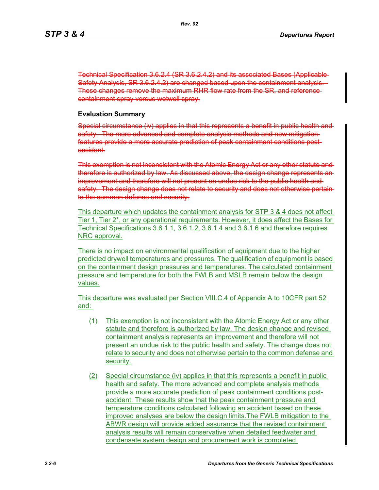Technical Specification 3.6.2.4 (SR 3.6.2.4.2) and its associated Bases (Applicable Safety Analysis, SR 3.6.2.4.2) are changed based upon the containment analysis. These changes remove the maximum RHR flow rate from the SR, and reference containment spray versus wetwell spray.

#### **Evaluation Summary**

Special circumstance (iv) applies in that this represents a benefit in public health and safety. The more advanced and complete analysis methods and new mitigation features provide a more accurate prediction of peak containment conditions postaccident.

This exemption is not inconsistent with the Atomic Energy Act or any other statute and therefore is authorized by law. As discussed above, the design change represents an improvement and therefore will not present an undue risk to the public health and safety. The design change does not relate to security and does not otherwise pertain to the common defense and security.

This departure which updates the containment analysis for STP 3 & 4 does not affect Tier 1, Tier 2\*, or any operational requirements. However, it does affect the Bases for Technical Specifications 3.6.1.1, 3.6.1.2, 3.6.1.4 and 3.6.1.6 and therefore requires NRC approval.

There is no impact on environmental qualification of equipment due to the higher predicted drywell temperatures and pressures. The qualification of equipment is based on the containment design pressures and temperatures. The calculated containment pressure and temperature for both the FWLB and MSLB remain below the design values.

This departure was evaluated per Section VIII.C.4 of Appendix A to 10CFR part 52 and:

- (1) This exemption is not inconsistent with the Atomic Energy Act or any other statute and therefore is authorized by law. The design change and revised containment analysis represents an improvement and therefore will not present an undue risk to the public health and safety. The change does not relate to security and does not otherwise pertain to the common defense and security.
- (2) Special circumstance (iv) applies in that this represents a benefit in public health and safety. The more advanced and complete analysis methods provide a more accurate prediction of peak containment conditions postaccident. These results show that the peak containment pressure and temperature conditions calculated following an accident based on these improved analyses are below the design limits.The FWLB mitigation to the ABWR design will provide added assurance that the revised containment analysis results will remain conservative when detailed feedwater and condensate system design and procurement work is completed.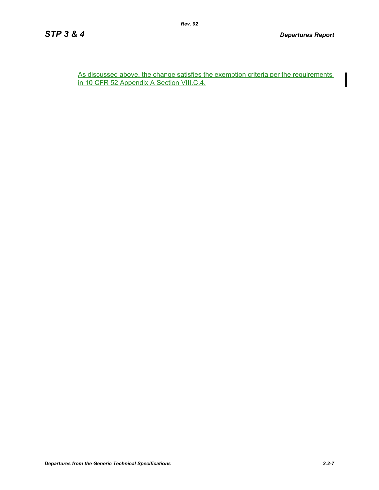As discussed above, the change satisfies the exemption criteria per the requirements in 10 CFR 52 Appendix A Section VIII.C.4.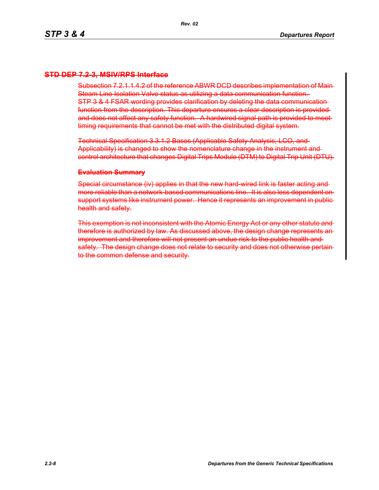## **STD DEP 7.2-3, MSIV/RPS Interface**

Subsection 7.2.1.1.4.2 of the reference ABWR DCD describes implementation of Main-Steam Line Isolation Valve status as utilizing a data communication function. STP 3 & 4 FSAR wording provides clarification by deleting the data communication function from the description. This departure ensures a clear description is provided and does not affect any safety function. A hardwired signal path is provided to meet timing requirements that cannot be met with the distributed digital system.

Technical Specification 3.3.1.2 Bases (Applicable Safety Analysis, LCO, and Applicability) is changed to show the nomenclature change in the instrument and control architecture that changes Digital Trips Module (DTM) to Digital Trip Unit (DTU).

#### **Evaluation Summary**

Special circumstance (iv) applies in that the new hard-wired link is faster acting andmore reliable than a network-based communications line. It is also less dependent on support systems like instrument power. Hence it represents an improvement in public health and safety.

This exemption is not inconsistent with the Atomic Energy Act or any other statute and therefore is authorized by law. As discussed above, the design change represents an improvement and therefore will not present an undue risk to the public health and safety. The design change does not relate to security and does not otherwise pertain to the common defense and security.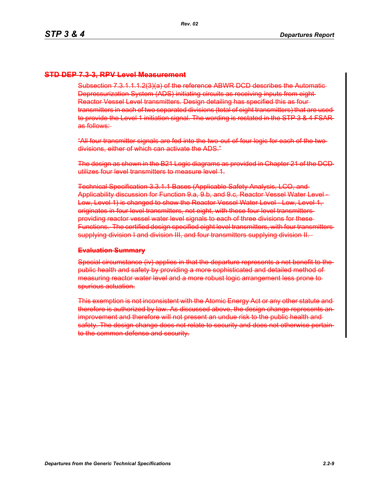## **STD DEP 7.3-3, RPV Level Measurement**

Subsection 7.3.1.1.1.2(3)(a) of the reference ABWR DCD describes the Automatic Depressurization System (ADS) initiating circuits as receiving inputs from eight Reactor Vessel Level transmitters. Design detailing has specified this as four transmitters in each of two separated divisions (total of eight transmitters) that are used to provide the Level 1 initiation signal. The wording is restated in the STP 3 & 4 FSAR as follows:

"All four transmitter signals are fed into the two-out-of-four logic for each of the two divisions, either of which can activate the ADS."

The design as shown in the B21 Logic diagrams as provided in Chapter 21 of the DCD utilizes four level transmitters to measure level 1.

Technical Specification 3.3.1.1 Bases (Applicable Safety Analysis, LCO, and Applicability discussion for Function 9.a, 9.b, and 9.c, Reactor Vessel Water Level - Low, Level 1) is changed to show the Reactor Vessel Water Level Low, Level 1, originates in four level transmitters, not eight, with these four level transmitters providing reactor vessel water level signals to each of three divisions for these Functions. The certified design specified eight level transmitters, with four transmitters supplying division I and division III, and four transmitters supplying division II.

#### **Evaluation Summary**

Special circumstance (iv) applies in that the departure represents a net benefit to thepublic health and safety by providing a more sophisticated and detailed method of measuring reactor water level and a more robust logic arrangement less prone to spurious actuation.

This exemption is not inconsistent with the Atomic Energy Act or any other statute and therefore is authorized by law. As discussed above, the design change represents an improvement and therefore will not present an undue risk to the public health and safety. The design change does not relate to security and does not otherwise pertain to the common defense and security.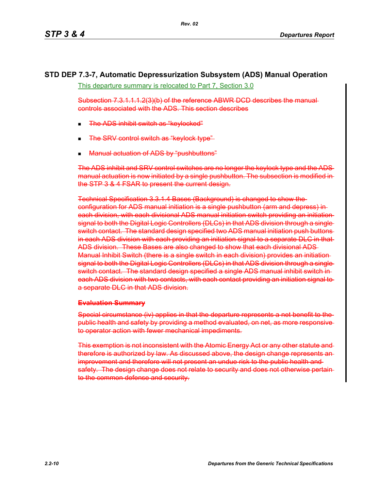# **STD DEP 7.3-7, Automatic Depressurization Subsystem (ADS) Manual Operation**

This departure summary is relocated to Part 7, Section 3.0

Subsection 7.3.1.1.1.2(3)(b) of the reference ABWR DCD describes the manual controls associated with the ADS. This section describes

- The ADS inhibit switch as "keylocked"
- The SRV control switch as "keylock type"
- Manual actuation of ADS by "pushbuttons"

The ADS inhibit and SRV control switches are no longer the keylock type and the ADS manual actuation is now initiated by a single pushbutton. The subsection is modified in the STP 3 & 4 FSAR to present the current design.

Technical Specification 3.3.1.4 Bases (Background) is changed to show the configuration for ADS manual initiation is a single pushbutton (arm and depress) in each division, with each divisional ADS manual initiation switch providing an initiation signal to both the Digital Logic Controllers (DLCs) in that ADS division through a single switch contact. The standard design specified two ADS manual initiation push buttons in each ADS division with each providing an initiation signal to a separate DLC in that ADS division. These Bases are also changed to show that each divisional ADS Manual Inhibit Switch (there is a single switch in each division) provides an initiation signal to both the Digital Logic Controllers (DLCs) in that ADS division through a single switch contact. The standard design specified a single ADS manual inhibit switch in each ADS division with two contacts, with each contact providing an initiation signal to a separate DLC in that ADS division.

## **Evaluation Summary**

Special circumstance (iv) applies in that the departure represents a net benefit to the public health and safety by providing a method evaluated, on net, as more responsive to operator action with fewer mechanical impediments.

This exemption is not inconsistent with the Atomic Energy Act or any other statute and therefore is authorized by law. As discussed above, the design change represents an improvement and therefore will not present an undue risk to the public health and safety. The design change does not relate to security and does not otherwise pertain to the common defense and security.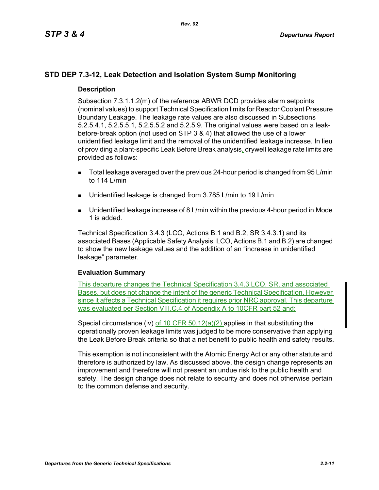# **STD DEP 7.3-12, Leak Detection and Isolation System Sump Monitoring**

## **Description**

Subsection 7.3.1.1.2(m) of the reference ABWR DCD provides alarm setpoints (nominal values) to support Technical Specification limits for Reactor Coolant Pressure Boundary Leakage. The leakage rate values are also discussed in Subsections 5.2.5.4.1, 5.2.5.5.1, 5.2.5.5.2 and 5.2.5.9. The original values were based on a leakbefore-break option (not used on STP 3 & 4) that allowed the use of a lower unidentified leakage limit and the removal of the unidentified leakage increase. In lieu of providing a plant-specific Leak Before Break analysis, drywell leakage rate limits are provided as follows:

- Total leakage averaged over the previous 24-hour period is changed from 95 L/min to 114 L/min
- Unidentified leakage is changed from 3.785 L/min to 19 L/min
- Unidentified leakage increase of 8 L/min within the previous 4-hour period in Mode 1 is added.

Technical Specification 3.4.3 (LCO, Actions B.1 and B.2, SR 3.4.3.1) and its associated Bases (Applicable Safety Analysis, LCO, Actions B.1 and B.2) are changed to show the new leakage values and the addition of an "increase in unidentified leakage" parameter.

## **Evaluation Summary**

This departure changes the Technical Specification 3.4.3 LCO, SR, and associated Bases, but does not change the intent of the generic Technical Specification. However since it affects a Technical Specification it requires prior NRC approval. This departure was evaluated per Section VIII.C.4 of Appendix A to 10CFR part 52 and:

Special circumstance (iv) of 10 CFR  $50.12(a)(2)$  applies in that substituting the operationally proven leakage limits was judged to be more conservative than applying the Leak Before Break criteria so that a net benefit to public health and safety results.

This exemption is not inconsistent with the Atomic Energy Act or any other statute and therefore is authorized by law. As discussed above, the design change represents an improvement and therefore will not present an undue risk to the public health and safety. The design change does not relate to security and does not otherwise pertain to the common defense and security.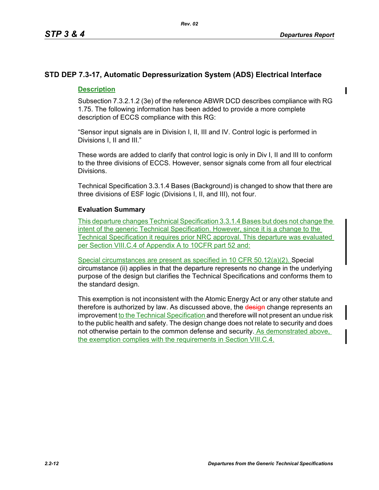# **STD DEP 7.3-17, Automatic Depressurization System (ADS) Electrical Interface**

# **Description**

Subsection 7.3.2.1.2 (3e) of the reference ABWR DCD describes compliance with RG 1.75. The following information has been added to provide a more complete description of ECCS compliance with this RG:

"Sensor input signals are in Division I, II, III and IV. Control logic is performed in Divisions I, II and III."

These words are added to clarify that control logic is only in Div I, II and III to conform to the three divisions of ECCS. However, sensor signals come from all four electrical Divisions.

Technical Specification 3.3.1.4 Bases (Background) is changed to show that there are three divisions of ESF logic (Divisions I, II, and III), not four.

# **Evaluation Summary**

This departure changes Technical Specification 3.3.1.4 Bases but does not change the intent of the generic Technical Specification. However, since it is a change to the Technical Specification it requires prior NRC approval. This departure was evaluated per Section VIII.C.4 of Appendix A to 10CFR part 52 and:

Special circumstances are present as specified in 10 CFR 50.12(a)(2). Special circumstance (ii) applies in that the departure represents no change in the underlying purpose of the design but clarifies the Technical Specifications and conforms them to the standard design.

This exemption is not inconsistent with the Atomic Energy Act or any other statute and therefore is authorized by law. As discussed above, the design change represents an improvement to the Technical Specification and therefore will not present an undue risk to the public health and safety. The design change does not relate to security and does not otherwise pertain to the common defense and security. As demonstrated above, the exemption complies with the requirements in Section VIII.C.4.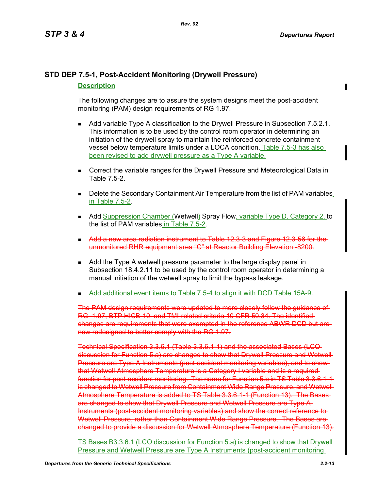# **STD DEP 7.5-1, Post-Accident Monitoring (Drywell Pressure)**

# **Description**

The following changes are to assure the system designs meet the post-accident monitoring (PAM) design requirements of RG 1.97.

- **Add variable Type A classification to the Drywell Pressure in Subsection 7.5.2.1.** This information is to be used by the control room operator in determining an initiation of the drywell spray to maintain the reinforced concrete containment vessel below temperature limits under a LOCA condition. Table 7.5-3 has also been revised to add drywell pressure as a Type A variable.
- **Correct the variable ranges for the Drywell Pressure and Meteorological Data in** Table 7.5-2.
- **Delete the Secondary Containment Air Temperature from the list of PAM variables** in Table 7.5-2.
- **Add Suppression Chamber (Wetwell) Spray Flow, variable Type D. Category 2, to** the list of PAM variables in Table 7.5-2.
- **Add a new area radiation instrument to Table 12.3-3 and Figure 12.3-56 for the** unmonitored RHR equipment area "C" at Reactor Building Elevation -8200.
- Add the Type A wetwell pressure parameter to the large display panel in Subsection 18.4.2.11 to be used by the control room operator in determining a manual initiation of the wetwell spray to limit the bypass leakage.
- Add additional event items to Table 7.5-4 to align it with DCD Table 15A-9.

The PAM design requirements were updated to more closely follow the guidance of RG 1.97, BTP HICB-10, and TMI-related criteria 10 CFR 50.34. The identified changes are requirements that were exempted in the reference ABWR DCD but are now redesigned to better comply with the RG 1.97.

Technical Specification 3.3.6.1 (Table 3.3.6.1-1) and the associated Bases (LCO discussion for Function 5.a) are changed to show that Drywell Pressure and Wetwell Pressure are Type A Instruments (post-accident monitoring variables), and to showthat Wetwell Atmosphere Temperature is a Category I variable and is a required function for post-accident monitoring. The name for Function 5.b in TS Table 3.3.6.1 is changed to Wetwell Pressure from Containment Wide Range Pressure, and Wetwell Atmosphere Temperature is added to TS Table 3.3.6.1-1 (Function 13). The Bases are changed to show that Drywell Pressure and Wetwell Pressure are Type A Instruments (post-accident monitoring variables) and show the correct reference to Wetwell Pressure, rather than Containment Wide Range Pressure. The Bases are changed to provide a discussion for Wetwell Atmosphere Temperature (Function 13).

TS Bases B3.3.6.1 (LCO discussion for Function 5.a) is changed to show that Drywell Pressure and Wetwell Pressure are Type A Instruments (post-accident monitoring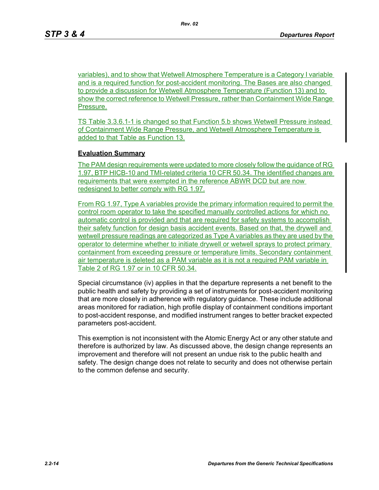variables), and to show that Wetwell Atmosphere Temperature is a Category I variable and is a required function for post-accident monitoring. The Bases are also changed to provide a discussion for Wetwell Atmosphere Temperature (Function 13) and to show the correct reference to Wetwell Pressure, rather than Containment Wide Range Pressure.

TS Table 3.3.6.1-1 is changed so that Function 5.b shows Wetwell Pressure instead of Containment Wide Range Pressure, and Wetwell Atmosphere Temperature is added to that Table as Function 13.

### **Evaluation Summary**

The PAM design requirements were updated to more closely follow the guidance of RG 1.97, BTP HICB-10 and TMI-related criteria 10 CFR 50.34. The identified changes are requirements that were exempted in the reference ABWR DCD but are now redesigned to better comply with RG 1.97.

From RG 1.97, Type A variables provide the primary information required to permit the control room operator to take the specified manually controlled actions for which no automatic control is provided and that are required for safety systems to accomplish their safety function for design basis accident events. Based on that, the drywell and wetwell pressure readings are categorized as Type A variables as they are used by the operator to determine whether to initiate drywell or wetwell sprays to protect primary containment from exceeding pressure or temperature limits. Secondary containment air temperature is deleted as a PAM variable as it is not a required PAM variable in Table 2 of RG 1.97 or in 10 CFR 50.34.

Special circumstance (iv) applies in that the departure represents a net benefit to the public health and safety by providing a set of instruments for post-accident monitoring that are more closely in adherence with regulatory guidance. These include additional areas monitored for radiation, high profile display of containment conditions important to post-accident response, and modified instrument ranges to better bracket expected parameters post-accident.

This exemption is not inconsistent with the Atomic Energy Act or any other statute and therefore is authorized by law. As discussed above, the design change represents an improvement and therefore will not present an undue risk to the public health and safety. The design change does not relate to security and does not otherwise pertain to the common defense and security.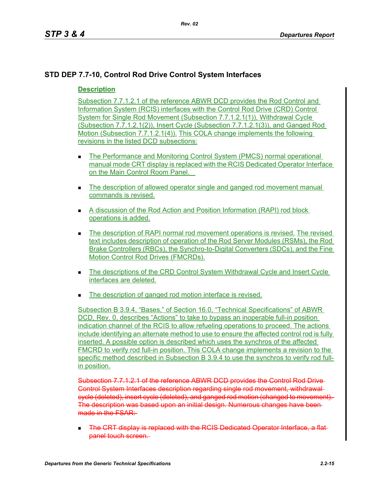# **STD DEP 7.7-10, Control Rod Drive Control System Interfaces**

# **Description**

Subsection 7.7.1.2.1 of the reference ABWR DCD provides the Rod Control and Information System (RCIS) interfaces with the Control Rod Drive (CRD) Control System for Single Rod Movement (Subsection 7.7.1.2.1(1)), Withdrawal Cycle (Subsection 7.7.1.2.1(2)), Insert Cycle (Subsection 7.7.1.2.1(3)), and Ganged Rod Motion (Subsection 7.7.1.2.1(4)). This COLA change implements the following revisions in the listed DCD subsections:

- The Performance and Monitoring Control System (PMCS) normal operational manual mode CRT display is replaced with the RCIS Dedicated Operator Interface on the Main Control Room Panel.
- The description of allowed operator single and ganged rod movement manual commands is revised.
- A discussion of the Rod Action and Position Information (RAPI) rod block operations is added.
- **The description of RAPI normal rod movement operations is revised. The revised** text includes description of operation of the Rod Server Modules (RSMs), the Rod Brake Controllers (RBCs), the Synchro-to-Digital Converters (SDCs), and the Fine Motion Control Rod Drives (FMCRDs).
- The descriptions of the CRD Control System Withdrawal Cycle and Insert Cycle interfaces are deleted.
- The description of ganged rod motion interface is revised.

Subsection B 3.9.4, "Bases," of Section 16.0, "Technical Specifications" of ABWR DCD, Rev. 0, describes "Actions" to take to bypass an inoperable full-in position indication channel of the RCIS to allow refueling operations to proceed. The actions include identifying an alternate method to use to ensure the affected control rod is fully inserted. A possible option is described which uses the synchros of the affected FMCRD to verify rod full-in position. This COLA change implements a revision to the specific method described in Subsection B 3.9.4 to use the synchros to verify rod fullin position.

Subsection 7.7.1.2.1 of the reference ABWR DCD provides the Control Rod Drive Control System Interfaces description regarding single rod movement, withdrawal cycle (deleted), insert cycle (deleted), and ganged rod motion (changed to movement). The description was based upon an initial design. Numerous changes have been made in the **FSAR:** 

**The CRT display is replaced with the RCIS Dedicated Operator Interface, a flat** panel touch screen.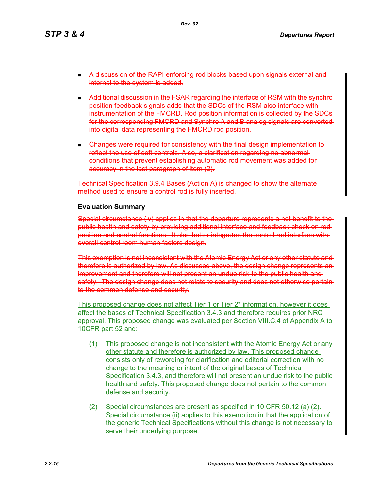- **A discussion of the RAPI enforcing rod blocks based upon signals external and** internal to the system is added.
- Additional discussion in the FSAR regarding the interface of RSM with the synchroposition feedback signals adds that the SDCs of the RSM also interface with instrumentation of the FMCRD. Rod position information is collected by the SDCs for the corresponding FMCRD and Synchro A and B analog signals are converted into digital data representing the FMCRD rod position.
- **Ehanges were required for consistency with the final design implementation to**reflect the use of soft controls. Also, a clarification regarding no abnormal conditions that prevent establishing automatic rod movement was added for accuracy in the last paragraph of item (2).

Technical Specification 3.9.4 Bases (Action A) is changed to show the alternate method used to ensure a control rod is fully inserted.

#### **Evaluation Summary**

Special circumstance (iv) applies in that the departure represents a net benefit to the public health and safety by providing additional interface and feedback check on rod position and control functions. It also better integrates the control rod interface with overall control room human factors design.

This exemption is not inconsistent with the Atomic Energy Act or any other statute and therefore is authorized by law. As discussed above, the design change represents an improvement and therefore will not present an undue risk to the public health andsafety. The design change does not relate to security and does not otherwise pertain to the common defense and security.

This proposed change does not affect Tier 1 or Tier 2\* information, however it does affect the bases of Technical Specification 3.4.3 and therefore requires prior NRC approval. This proposed change was evaluated per Section VIII.C.4 of Appendix A to 10CFR part 52 and:

- (1) This proposed change is not inconsistent with the Atomic Energy Act or any other statute and therefore is authorized by law. This proposed change consists only of rewording for clarification and editorial correction with no change to the meaning or intent of the original bases of Technical Specification 3.4.3, and therefore will not present an undue risk to the public health and safety. This proposed change does not pertain to the common defense and security.
- (2) Special circumstances are present as specified in 10 CFR 50.12 (a) (2). Special circumstance (ii) applies to this exemption in that the application of the generic Technical Specifications without this change is not necessary to serve their underlying purpose.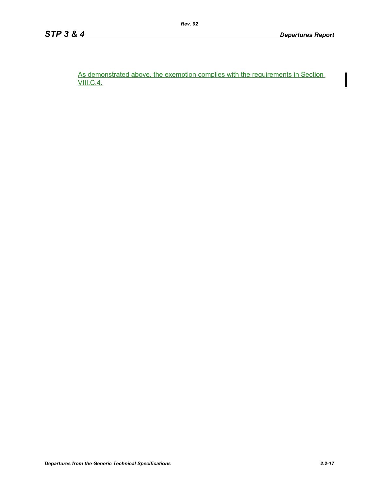As demonstrated above, the exemption complies with the requirements in Section VIII.C.4.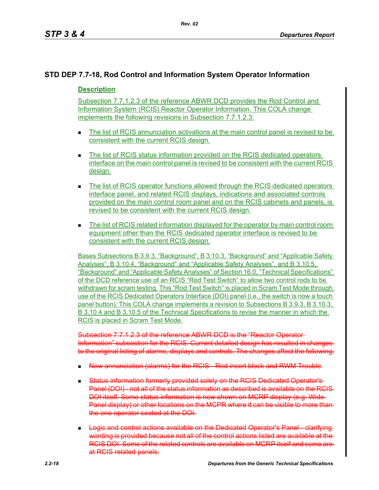# **STD DEP 7.7-18, Rod Control and Information System Operator Information**

# **Description**

Subsection 7.7.1.2.3 of the reference ABWR DCD provides the Rod Control and Information System (RCIS) Reactor Operator Information. This COLA change implements the following revisions in Subsection 7.7.1.2.3:

- The list of RCIS annunciation activations at the main control panel is revised to be consistent with the current RCIS design.
- The list of RCIS status information provided on the RCIS dedicated operators interface on the main control panel is revised to be consistent with the current RCIS design.
- The list of RCIS operator functions allowed through the RCIS dedicated operators interface panel, and related RCIS displays, indications and associated controls provided on the main control room panel and on the RCIS cabinets and panels, is revised to be consistent with the current RCIS design.
- The list of RCIS related information displayed for the operator by main control room equipment other than the RCIS dedicated operator interface is revised to be consistent with the current RCIS design.

Bases Subsections B 3.9.3, "Background", B 3.10.3, "Background" and "Applicable Safety Analyses", B 3.10.4, "Background" and "Applicable Safety Analyses", and B 3.10.5, "Background" and "Applicable Safety Analyses" of Section 16.0, "Technical Specifications" of the DCD reference use of an RCIS "Rod Test Switch" to allow two control rods to be withdrawn for scram testing. This "Rod Test Switch" is placed in Scram Test Mode through use of the RCIS Dedicated Operators Interface (DOI) panel (i.e., the switch is now a touch panel button). This COLA change implements a revision to Subsections B 3.9.3, B 3.10.3, B 3.10.4 and B 3.10.5 of the Technical Specifications to revise the manner in which the RCIS is placed in Scram Test Mode.

Subsection 7.7.1.2.3 of the reference ABWR DCD is the "Reactor Operator Information" subsection for the RCIS. Current detailed design has resulted in changes to the original listing of alarms, displays and controls. The changes affect the following:

- New annunciation (alarms) for the RCIS Rod insert block and RWM Trouble
- Status information formerly provided solely on the RCIS Dedicated Operator's Panel (DOI) not all of the status information as described is available on the RCIS-DOI itself. Some status information is now shown on MCRP display (e.g. Wide Panel display) or other locations on the MCPR where it can be visible to more thanthe one operator seated at the DOI.
- **Logic and control actions available on the Dedicated Operator's Panel clarifying** wording is provided because not all of the control actions listed are available at the RCIS DOI. Some of the related controls are available on MCRP itself and some are at RCIS related panels.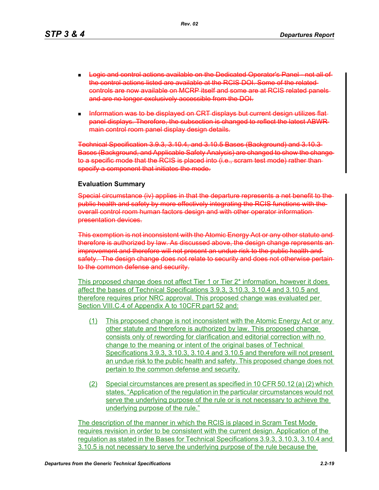*Rev. 02*

- **Logic and control actions available on the Dedicated Operator's Panel not all of**the control actions listed are available at the RCIS DOI. Some of the related controls are now available on MCRP itself and some are at RCIS related panels and are no longer exclusively accessible from the DOI.
- **Information was to be displayed on CRT displays but current design utilizes flat**panel displays. Therefore, the subsection is changed to reflect the latest ABWR main control room panel display design details.

Technical Specification 3.9.3, 3.10.4, and 3.10.5 Bases (Background) and 3.10.3 Bases (Background, and Applicable Safety Analysis) are changed to show the change to a specific mode that the RCIS is placed into (i.e., scram test mode) rather than specify a component that initiates the mode.

### **Evaluation Summary**

Special circumstance (iv) applies in that the departure represents a net benefit to the public health and safety by more effectively integrating the RCIS functions with the overall control room human factors design and with other operator information presentation devices.

This exemption is not inconsistent with the Atomic Energy Act or any other statute and therefore is authorized by law. As discussed above, the design change represents an improvement and therefore will not present an undue risk to the public health and safety. The design change does not relate to security and does not otherwise pertain to the common defense and security.

This proposed change does not affect Tier 1 or Tier 2\* information, however it does affect the bases of Technical Specifications 3.9.3, 3.10.3, 3.10.4 and 3.10.5 and therefore requires prior NRC approval. This proposed change was evaluated per Section VIII.C.4 of Appendix A to 10CFR part 52 and:

- (1) This proposed change is not inconsistent with the Atomic Energy Act or any other statute and therefore is authorized by law. This proposed change consists only of rewording for clarification and editorial correction with no change to the meaning or intent of the original bases of Technical Specifications 3.9.3, 3.10.3, 3.10.4 and 3.10.5 and therefore will not present an undue risk to the public health and safety. This proposed change does not pertain to the common defense and security.
- (2) Special circumstances are present as specified in 10 CFR 50.12 (a) (2) which states, "Application of the regulation in the particular circumstances would not serve the underlying purpose of the rule or is not necessary to achieve the underlying purpose of the rule."

The description of the manner in which the RCIS is placed in Scram Test Mode requires revision in order to be consistent with the current design. Application of the regulation as stated in the Bases for Technical Specifications 3.9.3, 3.10.3, 3.10.4 and 3.10.5 is not necessary to serve the underlying purpose of the rule because the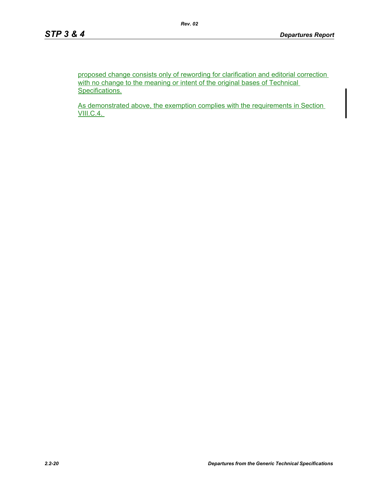proposed change consists only of rewording for clarification and editorial correction with no change to the meaning or intent of the original bases of Technical Specifications.

As demonstrated above, the exemption complies with the requirements in Section **VIII.C.4.**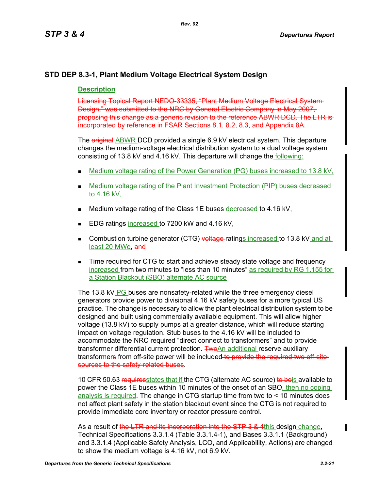# **STD DEP 8.3-1, Plant Medium Voltage Electrical System Design**

# **Description**

Licensing Topical Report NEDO-33335, "Plant Medium Voltage Electrical System Design," was submitted to the NRC by General Electric Company in May 2007, proposing this change as a generic revision to the reference ABWR DCD. The LTR is incorporated by reference in FSAR Sections 8.1, 8.2, 8.3, and Appendix 8A.

The **eriginal** ABWR DCD provided a single 6.9 kV electrical system. This departure changes the medium-voltage electrical distribution system to a dual voltage system consisting of 13.8 kV and 4.16 kV. This departure will change the following:

- Medium voltage rating of the Power Generation (PG) buses increased to 13.8 kV,
- Medium voltage rating of the Plant Investment Protection (PIP) buses decreased to 4.16 kV,
- Medium voltage rating of the Class 1E buses decreased to 4.16 kV,
- EDG ratings increased to 7200 kW and 4.16 kV,
- Combustion turbine generator (CTG) voltage-ratings increased to 13.8 kV and at least 20 MWe, and
- Time required for CTG to start and achieve steady state voltage and frequency increased from two minutes to "less than 10 minutes" as required by RG 1.155 for a Station Blackout (SBO) alternate AC source

The 13.8 kV PG buses are nonsafety-related while the three emergency diesel generators provide power to divisional 4.16 kV safety buses for a more typical US practice. The change is necessary to allow the plant electrical distribution system to be designed and built using commercially available equipment. This will allow higher voltage (13.8 kV) to supply pumps at a greater distance, which will reduce starting impact on voltage regulation. Stub buses to the 4.16 kV will be included to accommodate the NRC required "direct connect to transformers" and to provide transformer differential current protection. TwoAn additional reserve auxiliary transformers from off-site power will be included to provide the required two off site sources to the safety-related buses.

10 CFR 50.63 requiresstates that if the CTG (alternate AC source) to be a vailable to power the Class 1E buses within 10 minutes of the onset of an SBO, then no coping analysis is required. The change in CTG startup time from two to < 10 minutes does not affect plant safety in the station blackout event since the CTG is not required to provide immediate core inventory or reactor pressure control.

As a result of the LTR and its incorporation into the STP 3 & 4this design change. Technical Specifications 3.3.1.4 (Table 3.3.1.4-1), and Bases 3.3.1.1 (Background) and 3.3.1.4 (Applicable Safety Analysis, LCO, and Applicability, Actions) are changed to show the medium voltage is 4.16 kV, not 6.9 kV.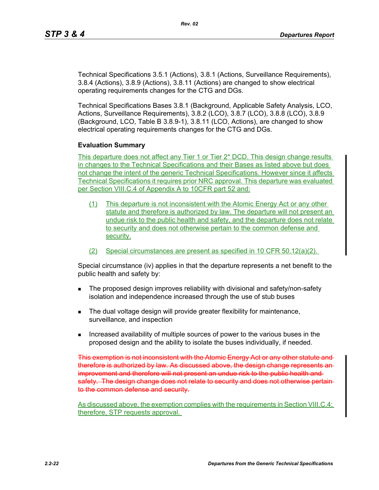Technical Specifications 3.5.1 (Actions), 3.8.1 (Actions, Surveillance Requirements), 3.8.4 (Actions), 3.8.9 (Actions), 3.8.11 (Actions) are changed to show electrical operating requirements changes for the CTG and DGs.

Technical Specifications Bases 3.8.1 (Background, Applicable Safety Analysis, LCO, Actions, Surveillance Requirements), 3.8.2 (LCO), 3.8.7 (LCO), 3.8.8 (LCO), 3.8.9 (Background, LCO, Table B 3.8.9-1), 3.8.11 (LCO, Actions), are changed to show electrical operating requirements changes for the CTG and DGs.

#### **Evaluation Summary**

This departure does not affect any Tier 1 or Tier 2<sup>\*</sup> DCD. This design change results in changes to the Technical Specifications and their Bases as listed above but does not change the intent of the generic Technical Specifications. However since it affects Technical Specifications it requires prior NRC approval. This departure was evaluated per Section VIII.C.4 of Appendix A to 10CFR part 52 and:

- (1) This departure is not inconsistent with the Atomic Energy Act or any other statute and therefore is authorized by law. The departure will not present an undue risk to the public health and safety, and the departure does not relate to security and does not otherwise pertain to the common defense and security.
- (2) Special circumstances are present as specified in 10 CFR 50.12(a)(2).

Special circumstance (iv) applies in that the departure represents a net benefit to the public health and safety by:

- **The proposed design improves reliability with divisional and safety/non-safety** isolation and independence increased through the use of stub buses
- The dual voltage design will provide greater flexibility for maintenance, surveillance, and inspection
- **Increased availability of multiple sources of power to the various buses in the** proposed design and the ability to isolate the buses individually, if needed.

This exemption is not inconsistent with the Atomic Energy Act or any other statute and therefore is authorized by law. As discussed above, the design change represents an improvement and therefore will not present an undue risk to the public health and safety. The design change does not relate to security and does not otherwise pertain to the common defense and security.

As discussed above, the exemption complies with the requirements in Section VIII.C.4; therefore, STP requests approval.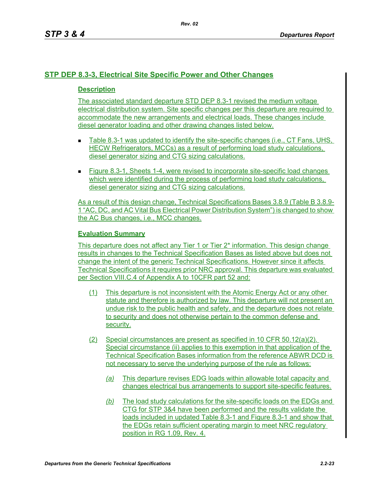# **STP DEP 8.3-3, Electrical Site Specific Power and Other Changes**

# **Description**

The associated standard departure STD DEP 8.3-1 revised the medium voltage electrical distribution system. Site specific changes per this departure are required to accommodate the new arrangements and electrical loads. These changes include diesel generator loading and other drawing changes listed below.

- Table 8.3-1 was updated to identify the site-specific changes (i.e., CT Fans, UHS, HECW Refrigerators, MCCs) as a result of performing load study calculations, diesel generator sizing and CTG sizing calculations.
- Figure 8.3-1, Sheets 1-4, were revised to incorporate site-specific load changes which were identified during the process of performing load study calculations, diesel generator sizing and CTG sizing calculations.

As a result of this design change, Technical Specifications Bases 3.8.9 (Table B 3.8.9- 1 "AC, DC, and AC Vital Bus Electrical Power Distribution System") is changed to show the AC Bus changes, i.e., MCC changes.

# **Evaluation Summary**

This departure does not affect any Tier 1 or Tier 2\* information. This design change results in changes to the Technical Specification Bases as listed above but does not change the intent of the generic Technical Specifications. However since it affects Technical Specifications it requires prior NRC approval. This departure was evaluated per Section VIII.C.4 of Appendix A to 10CFR part 52 and:

- (1) This departure is not inconsistent with the Atomic Energy Act or any other statute and therefore is authorized by law. This departure will not present an undue risk to the public health and safety, and the departure does not relate to security and does not otherwise pertain to the common defense and security.
- (2) Special circumstances are present as specified in 10 CFR 50.12(a)(2). Special circumstance (ii) applies to this exemption in that application of the Technical Specification Bases information from the reference ABWR DCD is not necessary to serve the underlying purpose of the rule as follows:
	- *(a)* This departure revises EDG loads within allowable total capacity and changes electrical bus arrangements to support site-specific features.
	- *(b)* The load study calculations for the site-specific loads on the EDGs and CTG for STP 3&4 have been performed and the results validate the loads included in updated Table 8.3-1 and Figure 8.3-1 and show that the EDGs retain sufficient operating margin to meet NRC regulatory position in RG 1.09, Rev. 4.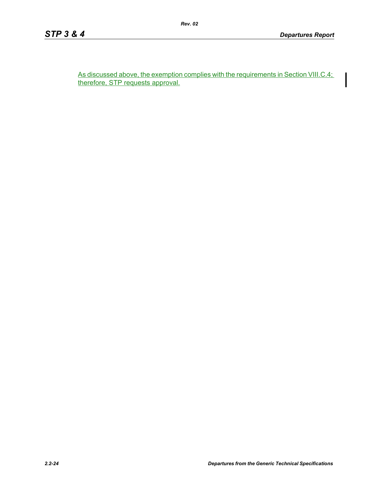As discussed above, the exemption complies with the requirements in Section VIII.C.4; therefore, STP requests approval.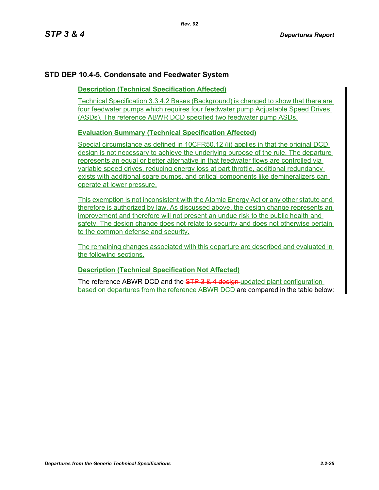# **STD DEP 10.4-5, Condensate and Feedwater System**

## **Description (Technical Specification Affected)**

Technical Specification 3.3.4.2 Bases (Background) is changed to show that there are four feedwater pumps which requires four feedwater pump Adjustable Speed Drives (ASDs). The reference ABWR DCD specified two feedwater pump ASDs.

# **Evaluation Summary (Technical Specification Affected)**

Special circumstance as defined in 10CFR50.12 (ii) applies in that the original DCD design is not necessary to achieve the underlying purpose of the rule. The departure represents an equal or better alternative in that feedwater flows are controlled via variable speed drives, reducing energy loss at part throttle, additional redundancy exists with additional spare pumps, and critical components like demineralizers can operate at lower pressure.

This exemption is not inconsistent with the Atomic Energy Act or any other statute and therefore is authorized by law. As discussed above, the design change represents an improvement and therefore will not present an undue risk to the public health and safety. The design change does not relate to security and does not otherwise pertain to the common defense and security.

The remaining changes associated with this departure are described and evaluated in the following sections.

## **Description (Technical Specification Not Affected)**

The reference ABWR DCD and the STP 3 & 4 design-updated plant configuration based on departures from the reference ABWR DCD are compared in the table below: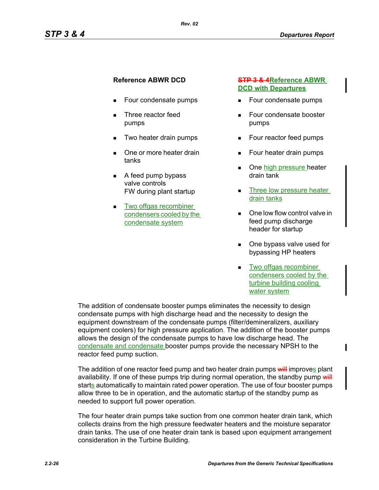- Four condensate pumps
- Three reactor feed pumps
- Two heater drain pumps
- One or more heater drain tanks
- $\blacksquare$  A feed pump bypass valve controls FW during plant startup
- **Two offgas recombiner** condensers cooled by the condensate system

## **Reference ABWR DCD STP 3 & 4Reference ABWR DCD with Departures**

- Four condensate pumps
- Four condensate booster pumps
- Four reactor feed pumps
- **Four heater drain pumps**
- One high pressure heater drain tank
- Three low pressure heater drain tanks
- One low flow control valve in feed pump discharge header for startup
- One bypass valve used for bypassing HP heaters
- **Two offgas recombiner** condensers cooled by the turbine building cooling water system

П

The addition of condensate booster pumps eliminates the necessity to design condensate pumps with high discharge head and the necessity to design the equipment downstream of the condensate pumps (filter/demineralizers, auxiliary equipment coolers) for high pressure application. The addition of the booster pumps allows the design of the condensate pumps to have low discharge head. The condensate and condensate booster pumps provide the necessary NPSH to the reactor feed pump suction.

The addition of one reactor feed pump and two heater drain pumps will improves plant availability. If one of these pumps trip during normal operation, the standby pump will starts automatically to maintain rated power operation. The use of four booster pumps allow three to be in operation, and the automatic startup of the standby pump as needed to support full power operation.

The four heater drain pumps take suction from one common heater drain tank, which collects drains from the high pressure feedwater heaters and the moisture separator drain tanks. The use of one heater drain tank is based upon equipment arrangement consideration in the Turbine Building.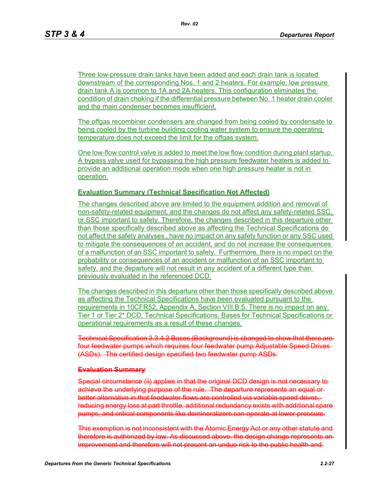Three low-pressure drain tanks have been added and each drain tank is located downstream of the corresponding Nos. 1 and 2 heaters. For example, low pressure drain tank A is common to 1A and 2A heaters. This configuration eliminates the condition of drain choking if the differential pressure between No. 1 heater drain cooler and the main condenser becomes insufficient.

The offgas recombiner condensers are changed from being cooled by condensate to being cooled by the turbine building cooling water system to ensure the operating temperature does not exceed the limit for the offgas system.

One low-flow control valve is added to meet the low flow condition during plant startup. A bypass valve used for bypassing the high pressure feedwater heaters is added to provide an additional operation mode when one high pressure heater is not in operation.

### **Evaluation Summary (Technical Specification Not Affected)**

The changes described above are limited to the equipment addition and removal of non-safety-related equipment, and the changes do not affect any safety-related SSC, or SSC important to safety. Therefore, the changes described in this departure other than those specifically described above as affecting the Technical Specifications do not affect the safety analyses , have no impact on any safety function or any SSC used to mitigate the consequences of an accident, and do not increase the consequences of a malfunction of an SSC important to safety. Furthermore, there is no impact on the probability or consequences of an accident or malfunction of an SSC important to safety, and the departure will not result in any accident of a different type than previously evaluated in the referenced DCD.

The changes described in this departure other than those specifically described above as affecting the Technical Specifications have been evaluated pursuant to the requirements in 10CFR52, Appendix A, Section VIII.B.5. There is no impact on any Tier 1 or Tier 2\* DCD, Technical Specifications, Bases for Technical Specifications or operational requirements as a result of these changes.

Technical Specification 3.3.4.2 Bases (Background) is changed to show that there are four feedwater pumps which requires four feedwater pump Adjustable Speed Drives (ASDs). The certified design specified two feedwater pump ASDs.

#### **Evaluation Summary**

Special circumstance (ii) applies in that the original DCD design is not necessary to achieve the underlying purpose of the rule. The departure represents an equal or better alternative in that feedwater flows are controlled via variable speed drives, reducing energy loss at part throttle, additional redundancy exists with additional spare pumps, and critical components like demineralizers can operate at lower pressure.

This exemption is not inconsistent with the Atomic Energy Act or any other statute and therefore is authorized by law. As discussed above, the design change represents an improvement and therefore will not present an undue risk to the public health and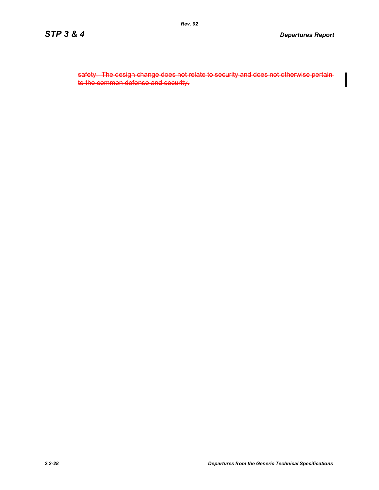safety. The design change does not relate to security and does not otherwise pertain to the common defense and security.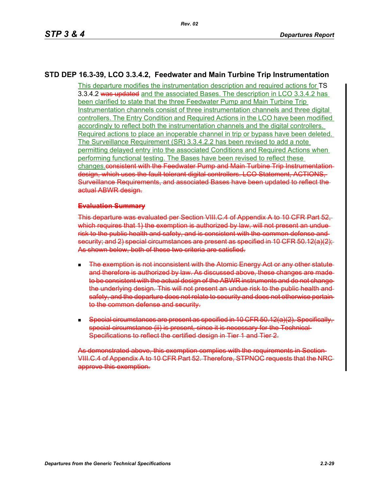# **STD DEP 16.3-39, LCO 3.3.4.2, Feedwater and Main Turbine Trip Instrumentation**

This departure modifies the instrumentation description and required actions for TS 3.3.4.2 was updated and the associated Bases. The description in LCO 3.3.4.2 has been clarified to state that the three Feedwater Pump and Main Turbine Trip Instrumentation channels consist of three instrumentation channels and three digital controllers. The Entry Condition and Required Actions in the LCO have been modified accordingly to reflect both the instrumentation channels and the digital controllers. Required actions to place an inoperable channel in trip or bypass have been deleted. The Surveillance Requirement (SR) 3.3.4.2.2 has been revised to add a note permitting delayed entry into the associated Conditions and Required Actions when performing functional testing. The Bases have been revised to reflect these changes.consistent with the Feedwater Pump and Main Turbine Trip Instrumentationdesign, which uses the fault tolerant digital controllers. LCO Statement, ACTIONS, Surveillance Requirements, and associated Bases have been updated to reflect the actual ABWR design.

#### **Evaluation Summary**

This departure was evaluated per Section VIII.C.4 of Appendix A to 10 CFR Part 52, which requires that 1) the exemption is authorized by law, will not present an unduerisk to the public health and safety, and is consistent with the common defense and security; and 2) special circumstances are present as specified in 10 CFR 50.12(a)(2); As shown below, both of these two criteria are satisfied.

- **The exemption is not inconsistent with the Atomic Energy Act or any other statute** and therefore is authorized by law. As discussed above, these changes are made to be consistent with the actual design of the ABWR instruments and do not change the underlying design. This will not present an undue risk to the public health and safety, and the departure does not relate to security and does not otherwise pertain to the common defense and security.
- Special circumstances are present as specified in 10 CFR 50.12(a)(2). Specifically, special circumstance (ii) is present, since it is necessary for the Technical Specifications to reflect the certified design in Tier 1 and Tier 2.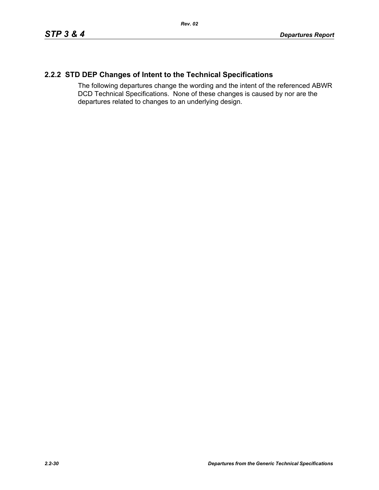# **2.2.2 STD DEP Changes of Intent to the Technical Specifications**

The following departures change the wording and the intent of the referenced ABWR DCD Technical Specifications. None of these changes is caused by nor are the departures related to changes to an underlying design.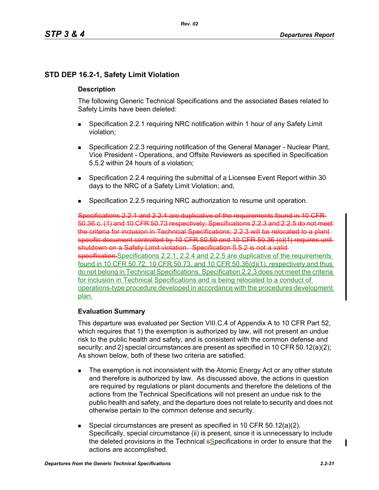# **STD DEP 16.2-1, Safety Limit Violation**

## **Description**

The following Generic Technical Specifications and the associated Bases related to Safety Limits have been deleted:

- Specification 2.2.1 requiring NRC notification within 1 hour of any Safety Limit violation;
- Specification 2.2.3 requiring notification of the General Manager Nuclear Plant, Vice President - Operations, and Offsite Reviewers as specified in Specification 5.5.2 within 24 hours of a violation;
- Specification 2.2.4 requiring the submittal of a Licensee Event Report within 30 days to the NRC of a Safety Limit Violation; and,
- Specification 2.2.5 requiring NRC authorization to resume unit operation.

Specifications 2.2.1 and 2.2.4 are duplicative of the requirements found in 10 CFR 50.36.c. (1) and 10 CFR 50.73 respectively; Specifications 2.2.3 and 2.2.5 do not meet the criteria for inclusion in Technical Specifications; 2.2.3 will be relocated to a plant specific document controlled by 10 CFR 50.59 and 10 CFR 50.36 (c)(1) requires unitshutdown on a Safety Limit violation. Specification 5.5.2 is not a valid specification. Specifications 2.2.1, 2.2.4 and 2.2.5 are duplicative of the requirements found in 10 CFR 50.72, 10 CFR 50.73, and 10 CFR 50.36(d)(1), respectively and thus do not belong in Technical Specifications. Specification 2.2.3 does not meet the criteria for inclusion in Technical Specifications and is being relocated to a conduct of operations-type procedure developed in accordance with the procedures development plan.

## **Evaluation Summary**

This departure was evaluated per Section VIII.C.4 of Appendix A to 10 CFR Part 52, which requires that 1) the exemption is authorized by law, will not present an undue risk to the public health and safety, and is consistent with the common defense and security; and 2) special circumstances are present as specified in 10 CFR 50.12(a)(2); As shown below, both of these two criteria are satisfied.

- The exemption is not inconsistent with the Atomic Energy Act or any other statute and therefore is authorized by law. As discussed above, the actions in question are required by regulations or plant documents and therefore the deletions of the actions from the Technical Specifications will not present an undue risk to the public health and safety, and the departure does not relate to security and does not otherwise pertain to the common defense and security.
- Special circumstances are present as specified in 10 CFR 50.12(a)(2). Specifically, special circumstance (ii) is present, since it is unnecessary to include the deleted provisions in the Technical **s**Specifications in order to ensure that the actions are accomplished.

 $\mathbf I$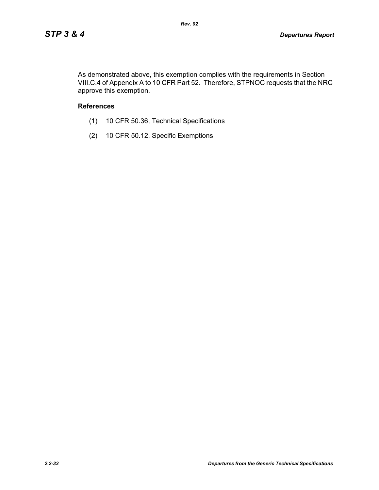As demonstrated above, this exemption complies with the requirements in Section VIII.C.4 of Appendix A to 10 CFR Part 52. Therefore, STPNOC requests that the NRC approve this exemption.

## **References**

- (1) 10 CFR 50.36, Technical Specifications
- (2) 10 CFR 50.12, Specific Exemptions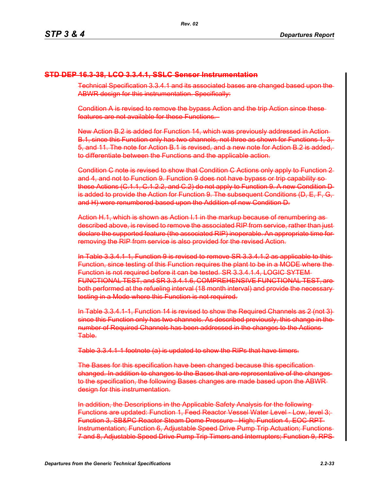# **STD DEP 16.3-38, LCO 3.3.4.1, SSLC Sensor Instrumentation**

Technical Specification 3.3.4.1 and its associated bases are changed based upon the ABWR design for this instrumentation. Specifically:

Condition A is revised to remove the bypass Action and the trip Action since these features are not available for these Functions.

New Action B.2 is added for Function 14, which was previously addressed in Action B.1, since this Function only has two channels, not three as shown for Functions 1, 3, 5, and 11. The note for Action B.1 is revised, and a new note for Action B.2 is added, to differentiate between the Functions and the applicable action.

Condition C note is revised to show that Condition C Actions only apply to Function 2 and 4, and not to Function 9. Function 9 does not have bypass or trip capability so these Actions (C.1.1, C.1.2.2, and C.2) do not apply to Function 9. A new Condition D is added to provide the Action for Function 9. The subsequent Conditions (D, E, F, G, and H) were renumbered based upon the Addition of new Condition D.

Action H.1, which is shown as Action I.1 in the markup because of renumbering as described above, is revised to remove the associated RIP from service, rather than just declare the supported feature (the associated RIP) inoperable. An appropriate time for removing the RIP from service is also provided for the revised Action.

In Table 3.3.4.1-1, Function 9 is revised to remove SR 3.3.4.1.2 as applicable to this Function, since testing of this Function requires the plant to be in a MODE where the Function is not required before it can be tested. SR 3.3.4.1.4, LOGIC SYTEM FUNCTIONAL TEST, and SR 3.3.4.1.6, COMPREHENSIVE FUNCTIONAL TEST, are both performed at the refueling interval (18 month interval) and provide the necessary testing in a Mode where this Function is not required.

In Table 3.3.4.1-1, Function 14 is revised to show the Required Channels as 2 (not 3) since this Function only has two channels. As described previously, this change in the number of Required Channels has been addressed in the changes to the Actions Table.

Table 3.3.4.1-1 footnote (a) is updated to show the RIPs that have timers.

The Bases for this specification have been changed because this specification changed. In addition to changes to the Bases that are representative of the changes to the specification, the following Bases changes are made based upon the ABWR design for this instrumentation.

In addition, the Descriptions in the Applicable Safety Analysis for the following Functions are updated: Function 1, Feed Reactor Vessel Water Level - Low, level 3; Function 3, SB&PC Reactor Steam Dome Pressure - High; Function 4, EOC-RPT Instrumentation; Function 6, Adjustable Speed Drive Pump Trip Actuation; Functions 7 and 8, Adjustable Speed Drive Pump Trip Timers and Interrupters; Function 9, RPS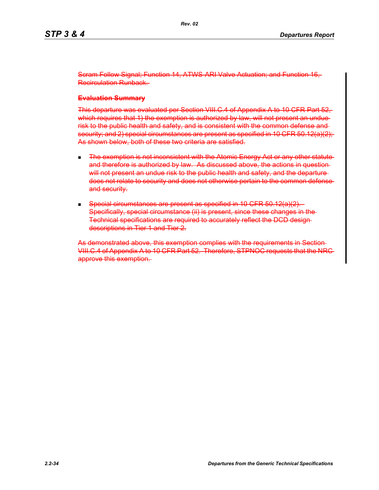Scram Follow Signal; Function 14, ATWS-ARI Valve Actuation; and Function 16, Recirculation Runback.

#### **Evaluation Summary**

This departure was evaluated per Section VIII.C.4 of Appendix A to 10 CFR Part 52, which requires that 1) the exemption is authorized by law, will not present an unduerisk to the public health and safety, and is consistent with the common defense and security; and 2) special circumstances are present as specified in 10 CFR 50.12(a)(2); As shown below, both of these two criteria are satisfied.

- **The exemption is not inconsistent with the Atomic Energy Act or any other statute** and therefore is authorized by law. As discussed above, the actions in question will not present an undue risk to the public health and safety, and the departuredoes not relate to security and does not otherwise pertain to the common defense and security.
- Special circumstances are present as specified in 10 CFR 50.12(a)(2). Specifically, special circumstance (ii) is present, since these changes in the-Technical specifications are required to accurately reflect the DCD design descriptions in Tier 1 and Tier 2.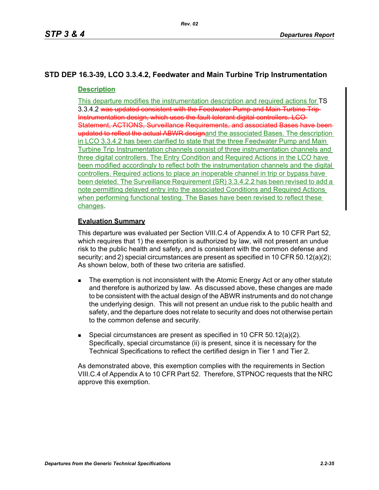# **STD DEP 16.3-39, LCO 3.3.4.2, Feedwater and Main Turbine Trip Instrumentation**

# **Description**

This departure modifies the instrumentation description and required actions for TS 3.3.4.2 was updated consistent with the Feedwater Pump and Main Turbine Trip Instrumentation design, which uses the fault tolerant digital controllers. LCO Statement, ACTIONS, Surveillance Requirements, and associated Bases have been updated to reflect the actual ABWR designand the associated Bases. The description in LCO 3.3.4.2 has been clarified to state that the three Feedwater Pump and Main Turbine Trip Instrumentation channels consist of three instrumentation channels and three digital controllers. The Entry Condition and Required Actions in the LCO have been modified accordingly to reflect both the instrumentation channels and the digital controllers. Required actions to place an inoperable channel in trip or bypass have been deleted. The Surveillance Requirement (SR) 3.3.4.2.2 has been revised to add a note permitting delayed entry into the associated Conditions and Required Actions when performing functional testing. The Bases have been revised to reflect these changes.

# **Evaluation Summary**

This departure was evaluated per Section VIII.C.4 of Appendix A to 10 CFR Part 52, which requires that 1) the exemption is authorized by law, will not present an undue risk to the public health and safety, and is consistent with the common defense and security; and 2) special circumstances are present as specified in 10 CFR 50.12(a)(2); As shown below, both of these two criteria are satisfied.

- The exemption is not inconsistent with the Atomic Energy Act or any other statute and therefore is authorized by law. As discussed above, these changes are made to be consistent with the actual design of the ABWR instruments and do not change the underlying design. This will not present an undue risk to the public health and safety, and the departure does not relate to security and does not otherwise pertain to the common defense and security.
- Special circumstances are present as specified in 10 CFR  $50.12(a)(2)$ . Specifically, special circumstance (ii) is present, since it is necessary for the Technical Specifications to reflect the certified design in Tier 1 and Tier 2.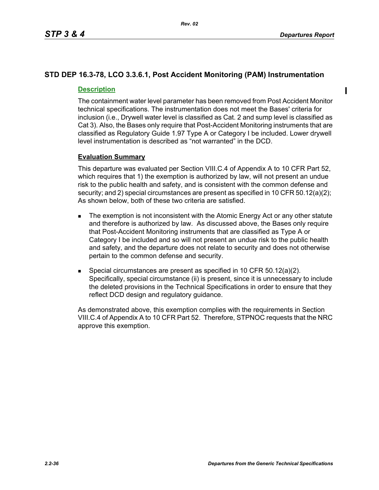$\mathbf I$ 

# **STD DEP 16.3-78, LCO 3.3.6.1, Post Accident Monitoring (PAM) Instrumentation**

# **Description**

The containment water level parameter has been removed from Post Accident Monitor technical specifications. The instrumentation does not meet the Bases' criteria for inclusion (i.e., Drywell water level is classified as Cat. 2 and sump level is classified as Cat 3). Also, the Bases only require that Post-Accident Monitoring instruments that are classified as Regulatory Guide 1.97 Type A or Category I be included. Lower drywell level instrumentation is described as "not warranted" in the DCD.

## **Evaluation Summary**

This departure was evaluated per Section VIII.C.4 of Appendix A to 10 CFR Part 52, which requires that 1) the exemption is authorized by law, will not present an undue risk to the public health and safety, and is consistent with the common defense and security; and 2) special circumstances are present as specified in 10 CFR 50.12(a)(2); As shown below, both of these two criteria are satisfied.

- The exemption is not inconsistent with the Atomic Energy Act or any other statute and therefore is authorized by law. As discussed above, the Bases only require that Post-Accident Monitoring instruments that are classified as Type A or Category I be included and so will not present an undue risk to the public health and safety, and the departure does not relate to security and does not otherwise pertain to the common defense and security.
- Special circumstances are present as specified in 10 CFR 50.12(a)(2). Specifically, special circumstance (ii) is present, since it is unnecessary to include the deleted provisions in the Technical Specifications in order to ensure that they reflect DCD design and regulatory guidance.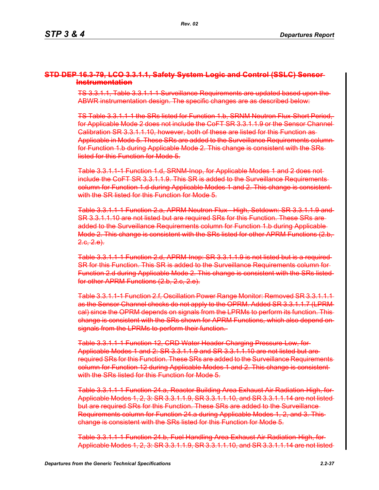#### **STD DEP 16.3-79, LCO 3.3.1.1, Safety System Logic and Control (SSLC) Sensor Instrumentation**

TS 3.3.1.1, Table 3.3.1.1-1 Surveillance Requirements are updated based upon the ABWR instrumentation design. The specific changes are as described below:

TS Table 3.3.1.1-1 the SRs listed for Function 1.b, SRNM Neutron Flux-Short Period, for Applicable Mode 2 does not include the CoFT SR 3.3.1.1.9 or the Sensor Channel Calibration SR 3.3.1.1.10, however, both of these are listed for this Function as Applicable in Mode 5. These SRs are added to the Surveillance Requirements column for Function 1.b during Applicable Mode 2. This change is consistent with the SRs listed for this Function for Mode 5.

Table 3.3.1.1-1 Function 1.d, SRNM-Inop, for Applicable Modes 1 and 2 does not include the CoFT SR 3.3.1.1.9. This SR is added to the Surveillance Requirements column for Function 1.d during Applicable Modes 1 and 2. This change is consistent with the SR listed for this Function for Mode 5.

Table 3.3.1.1-1 Function 2.a, APRM Neutron Flux - High, Setdown: SR 3.3.1.1.9 and SR 3.3.1.1.10 are not listed but are required SRs for this Function. These SRs are added to the Surveillance Requirements column for Function 1.b during Applicable Mode 2. This change is consistent with the SRs listed for other APRM Functions (2.b,  $2.6, 2.6$ .

Table 3.3.1.1-1 Function 2.d, APRM-Inop: SR 3.3.1.1.9 is not listed but is a required SR for this Function. This SR is added to the Surveillance Requirements column for Function 2.d during Applicable Mode 2. This change is consistent with the SRs listed for other APRM Functions (2.b, 2.c, 2.e).

Table 3.3.1.1-1 Function 2.f, Oscillation Power Range Monitor: Removed SR 3.3.1.1.1 as the Sensor Channel checks do not apply to the OPRM. Added SR 3.3.1.1.7 (LPRM cal) since the OPRM depends on signals from the LPRMs to perform its function. This change is consistent with the SRs shown for APRM Functions, which also depend on signals from the LPRMs to perform their function.

Table 3.3.1.1-1 Function 12, CRD Water Header Charging Pressure-Low, for Applicable Modes 1 and 2: SR 3.3.1.1.9 and SR 3.3.1.1.10 are not listed but are required SRs for this Function. These SRs are added to the Surveillance Requirements column for Function 12 during Applicable Modes 1 and 2. This change is consistent with the SRs listed for this Function for Mode 5.

Table 3.3.1.1-1 Function 24.a, Reactor Building Area Exhaust Air Radiation-High, for Applicable Modes 1, 2, 3: SR 3.3.1.1.9, SR 3.3.1.1.10, and SR 3.3.1.1.14 are not listed but are required SRs for this Function. These SRs are added to the Surveillance Requirements column for Function 24.a during Applicable Modes 1, 2, and 3. This change is consistent with the SRs listed for this Function for Mode 5.

Table 3.3.1.1-1 Function 24.b, Fuel Handling Area Exhaust Air Radiation-High, for Applicable Modes 1, 2, 3: SR 3.3.1.1.9, SR 3.3.1.1.10, and SR 3.3.1.1.14 are not listed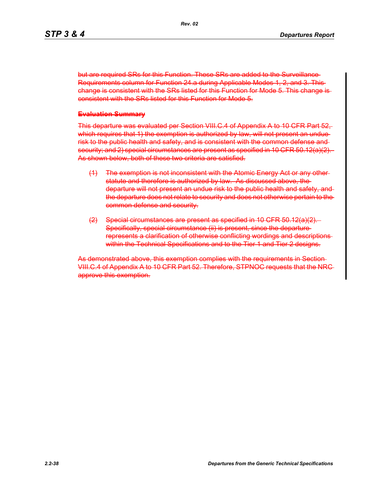but are required SRs for this Function. These SRs are added to the Surveillance-Requirements column for Function 24.a during Applicable Modes 1, 2, and 3. This change is consistent with the SRs listed for this Function for Mode 5. This change is consistent with the SRs listed for this Function for Mode 5.

#### **Evaluation Summary**

This departure was evaluated per Section VIII.C.4 of Appendix A to 10 CFR Part 52, which requires that 1) the exemption is authorized by law, will not present an unduerisk to the public health and safety, and is consistent with the common defense and security; and 2) special circumstances are present as specified in 10 CFR 50.12(a)(2). As shown below, both of these two criteria are satisfied.

- (1) The exemption is not inconsistent with the Atomic Energy Act or any other statute and therefore is authorized by law. As discussed above, the departure will not present an undue risk to the public health and safety, and the departure does not relate to security and does not otherwise pertain to the common defense and security.
- (2) Special circumstances are present as specified in 10 CFR 50.12(a)(2). Specifically, special circumstance (ii) is present, since the departurerepresents a clarification of otherwise conflicting wordings and descriptions within the Technical Specifications and to the Tier 1 and Tier 2 designs.

As demonstrated above, this exemption complies with the requirements in Section VIII.C.4 of Appendix A to 10 CFR Part 52. Therefore, STPNOC requests that the NRC approve this exemption.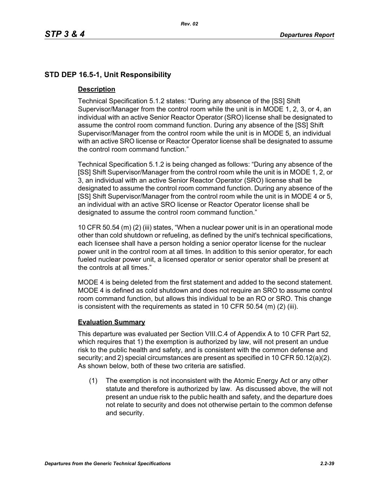## **STD DEP 16.5-1, Unit Responsibility**

#### **Description**

Technical Specification 5.1.2 states: "During any absence of the [SS] Shift Supervisor/Manager from the control room while the unit is in MODE 1, 2, 3, or 4, an individual with an active Senior Reactor Operator (SRO) license shall be designated to assume the control room command function. During any absence of the [SS] Shift Supervisor/Manager from the control room while the unit is in MODE 5, an individual with an active SRO license or Reactor Operator license shall be designated to assume the control room command function."

Technical Specification 5.1.2 is being changed as follows: "During any absence of the [SS] Shift Supervisor/Manager from the control room while the unit is in MODE 1, 2, or 3, an individual with an active Senior Reactor Operator (SRO) license shall be designated to assume the control room command function. During any absence of the [SS] Shift Supervisor/Manager from the control room while the unit is in MODE 4 or 5, an individual with an active SRO license or Reactor Operator license shall be designated to assume the control room command function."

10 CFR 50.54 (m) (2) (iii) states, "When a nuclear power unit is in an operational mode other than cold shutdown or refueling, as defined by the unit's technical specifications, each licensee shall have a person holding a senior operator license for the nuclear power unit in the control room at all times. In addition to this senior operator, for each fueled nuclear power unit, a licensed operator or senior operator shall be present at the controls at all times."

MODE 4 is being deleted from the first statement and added to the second statement. MODE 4 is defined as cold shutdown and does not require an SRO to assume control room command function, but allows this individual to be an RO or SRO. This change is consistent with the requirements as stated in 10 CFR 50.54 (m) (2) (iii).

#### **Evaluation Summary**

This departure was evaluated per Section VIII.C.4 of Appendix A to 10 CFR Part 52, which requires that 1) the exemption is authorized by law, will not present an undue risk to the public health and safety, and is consistent with the common defense and security; and 2) special circumstances are present as specified in 10 CFR 50.12(a)(2). As shown below, both of these two criteria are satisfied.

(1) The exemption is not inconsistent with the Atomic Energy Act or any other statute and therefore is authorized by law. As discussed above, the will not present an undue risk to the public health and safety, and the departure does not relate to security and does not otherwise pertain to the common defense and security.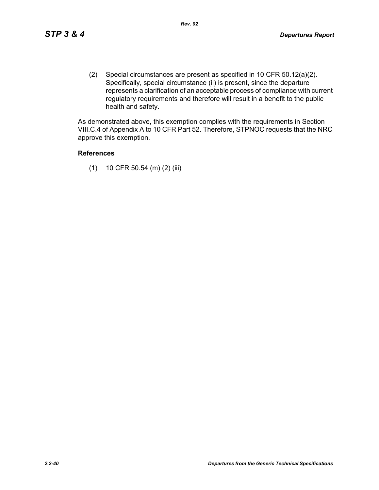(2) Special circumstances are present as specified in 10 CFR 50.12(a)(2). Specifically, special circumstance (ii) is present, since the departure represents a clarification of an acceptable process of compliance with current regulatory requirements and therefore will result in a benefit to the public health and safety.

As demonstrated above, this exemption complies with the requirements in Section VIII.C.4 of Appendix A to 10 CFR Part 52. Therefore, STPNOC requests that the NRC approve this exemption.

#### **References**

(1) 10 CFR 50.54 (m) (2) (iii)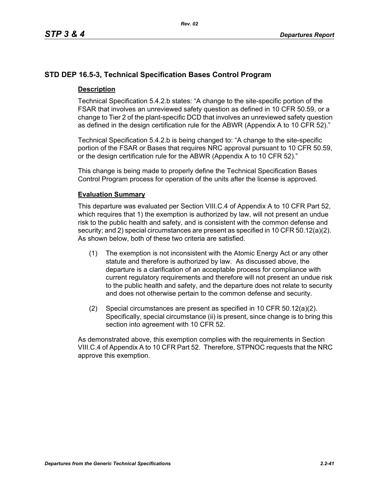## **STD DEP 16.5-3, Technical Specification Bases Control Program**

#### **Description**

Technical Specification 5.4.2.b states: "A change to the site-specific portion of the FSAR that involves an unreviewed safety question as defined in 10 CFR 50.59, or a change to Tier 2 of the plant-specific DCD that involves an unreviewed safety question as defined in the design certification rule for the ABWR (Appendix A to 10 CFR 52)."

Technical Specification 5.4.2.b is being changed to: "A change to the site-specific portion of the FSAR or Bases that requires NRC approval pursuant to 10 CFR 50.59, or the design certification rule for the ABWR (Appendix A to 10 CFR 52)."

This change is being made to properly define the Technical Specification Bases Control Program process for operation of the units after the license is approved.

#### **Evaluation Summary**

This departure was evaluated per Section VIII.C.4 of Appendix A to 10 CFR Part 52, which requires that 1) the exemption is authorized by law, will not present an undue risk to the public health and safety, and is consistent with the common defense and security; and 2) special circumstances are present as specified in 10 CFR 50.12(a)(2). As shown below, both of these two criteria are satisfied.

- (1) The exemption is not inconsistent with the Atomic Energy Act or any other statute and therefore is authorized by law. As discussed above, the departure is a clarification of an acceptable process for compliance with current regulatory requirements and therefore will not present an undue risk to the public health and safety, and the departure does not relate to security and does not otherwise pertain to the common defense and security.
- (2) Special circumstances are present as specified in 10 CFR 50.12(a)(2). Specifically, special circumstance (ii) is present, since change is to bring this section into agreement with 10 CFR 52.

As demonstrated above, this exemption complies with the requirements in Section VIII.C.4 of Appendix A to 10 CFR Part 52. Therefore, STPNOC requests that the NRC approve this exemption.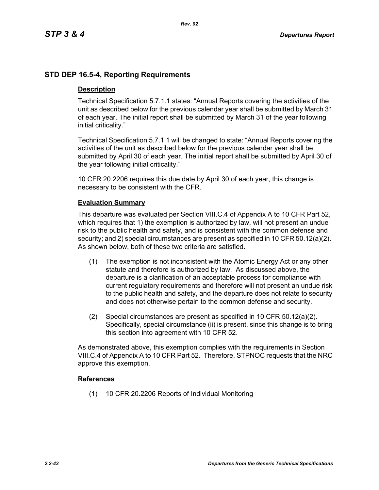### **STD DEP 16.5-4, Reporting Requirements**

#### **Description**

Technical Specification 5.7.1.1 states: "Annual Reports covering the activities of the unit as described below for the previous calendar year shall be submitted by March 31 of each year. The initial report shall be submitted by March 31 of the year following initial criticality."

Technical Specification 5.7.1.1 will be changed to state: "Annual Reports covering the activities of the unit as described below for the previous calendar year shall be submitted by April 30 of each year. The initial report shall be submitted by April 30 of the year following initial criticality."

10 CFR 20.2206 requires this due date by April 30 of each year, this change is necessary to be consistent with the CFR.

#### **Evaluation Summary**

This departure was evaluated per Section VIII.C.4 of Appendix A to 10 CFR Part 52, which requires that 1) the exemption is authorized by law, will not present an undue risk to the public health and safety, and is consistent with the common defense and security; and 2) special circumstances are present as specified in 10 CFR 50.12(a)(2). As shown below, both of these two criteria are satisfied.

- (1) The exemption is not inconsistent with the Atomic Energy Act or any other statute and therefore is authorized by law. As discussed above, the departure is a clarification of an acceptable process for compliance with current regulatory requirements and therefore will not present an undue risk to the public health and safety, and the departure does not relate to security and does not otherwise pertain to the common defense and security.
- (2) Special circumstances are present as specified in 10 CFR 50.12(a)(2). Specifically, special circumstance (ii) is present, since this change is to bring this section into agreement with 10 CFR 52.

As demonstrated above, this exemption complies with the requirements in Section VIII.C.4 of Appendix A to 10 CFR Part 52. Therefore, STPNOC requests that the NRC approve this exemption.

#### **References**

(1) 10 CFR 20.2206 Reports of Individual Monitoring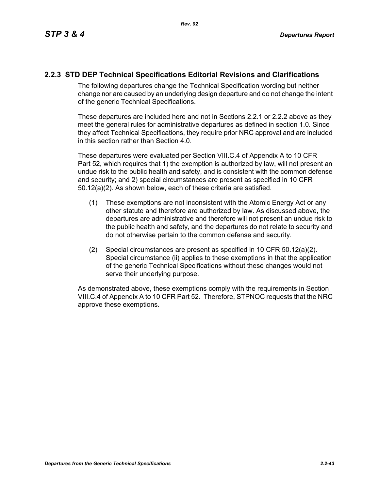## **2.2.3 STD DEP Technical Specifications Editorial Revisions and Clarifications**

The following departures change the Technical Specification wording but neither change nor are caused by an underlying design departure and do not change the intent of the generic Technical Specifications.

These departures are included here and not in Sections 2.2.1 or 2.2.2 above as they meet the general rules for administrative departures as defined in section 1.0. Since they affect Technical Specifications, they require prior NRC approval and are included in this section rather than Section 4.0.

These departures were evaluated per Section VIII.C.4 of Appendix A to 10 CFR Part 52, which requires that 1) the exemption is authorized by law, will not present an undue risk to the public health and safety, and is consistent with the common defense and security; and 2) special circumstances are present as specified in 10 CFR 50.12(a)(2). As shown below, each of these criteria are satisfied.

- (1) These exemptions are not inconsistent with the Atomic Energy Act or any other statute and therefore are authorized by law. As discussed above, the departures are administrative and therefore will not present an undue risk to the public health and safety, and the departures do not relate to security and do not otherwise pertain to the common defense and security.
- (2) Special circumstances are present as specified in 10 CFR 50.12(a)(2). Special circumstance (ii) applies to these exemptions in that the application of the generic Technical Specifications without these changes would not serve their underlying purpose.

As demonstrated above, these exemptions comply with the requirements in Section VIII.C.4 of Appendix A to 10 CFR Part 52. Therefore, STPNOC requests that the NRC approve these exemptions.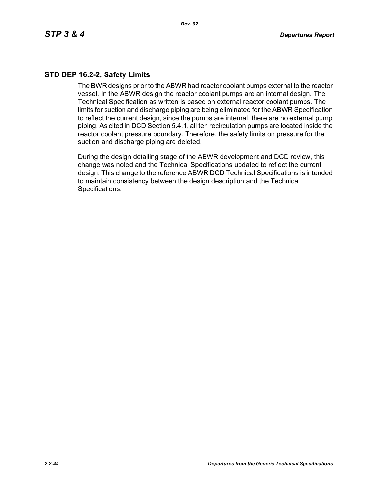## **STD DEP 16.2-2, Safety Limits**

The BWR designs prior to the ABWR had reactor coolant pumps external to the reactor vessel. In the ABWR design the reactor coolant pumps are an internal design. The Technical Specification as written is based on external reactor coolant pumps. The limits for suction and discharge piping are being eliminated for the ABWR Specification to reflect the current design, since the pumps are internal, there are no external pump piping. As cited in DCD Section 5.4.1, all ten recirculation pumps are located inside the reactor coolant pressure boundary. Therefore, the safety limits on pressure for the suction and discharge piping are deleted.

During the design detailing stage of the ABWR development and DCD review, this change was noted and the Technical Specifications updated to reflect the current design. This change to the reference ABWR DCD Technical Specifications is intended to maintain consistency between the design description and the Technical Specifications.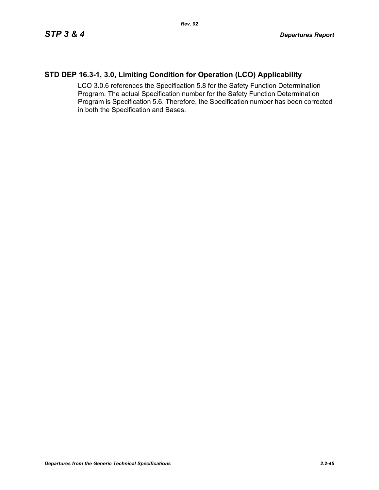# **STD DEP 16.3-1, 3.0, Limiting Condition for Operation (LCO) Applicability**

LCO 3.0.6 references the Specification 5.8 for the Safety Function Determination Program. The actual Specification number for the Safety Function Determination Program is Specification 5.6. Therefore, the Specification number has been corrected in both the Specification and Bases.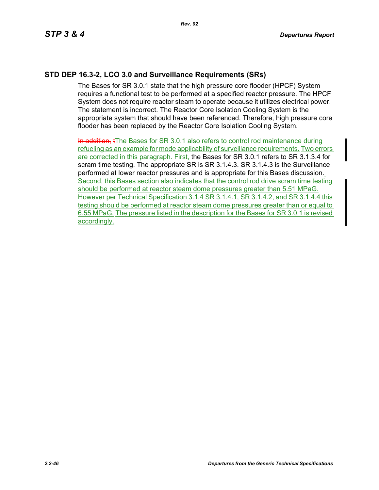## **STD DEP 16.3-2, LCO 3.0 and Surveillance Requirements (SRs)**

The Bases for SR 3.0.1 state that the high pressure core flooder (HPCF) System requires a functional test to be performed at a specified reactor pressure. The HPCF System does not require reactor steam to operate because it utilizes electrical power. The statement is incorrect. The Reactor Core Isolation Cooling System is the appropriate system that should have been referenced. Therefore, high pressure core flooder has been replaced by the Reactor Core Isolation Cooling System.

In addition, tThe Bases for SR 3.0.1 also refers to control rod maintenance during refueling as an example for mode applicability of surveillance requirements. Two errors are corrected in this paragraph. First, the Bases for SR 3.0.1 refers to SR 3.1.3.4 for scram time testing. The appropriate SR is SR 3.1.4.3. SR 3.1.4.3 is the Surveillance performed at lower reactor pressures and is appropriate for this Bases discussion. Second, this Bases section also indicates that the control rod drive scram time testing should be performed at reactor steam dome pressures greater than 5.51 MPaG. However per Technical Specification 3.1.4 SR 3.1.4.1, SR 3.1.4.2, and SR 3.1.4.4 this testing should be performed at reactor steam dome pressures greater than or equal to 6.55 MPaG. The pressure listed in the description for the Bases for SR 3.0.1 is revised accordingly.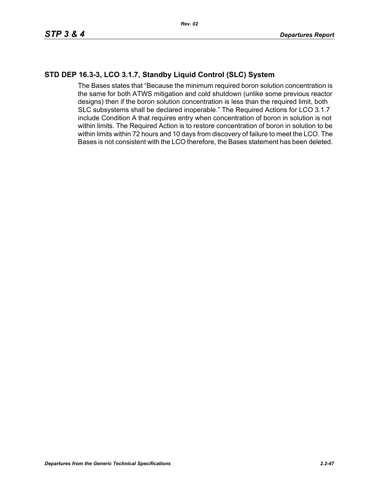## **STD DEP 16.3-3, LCO 3.1.7, Standby Liquid Control (SLC) System**

The Bases states that "Because the minimum required boron solution concentration is the same for both ATWS mitigation and cold shutdown (unlike some previous reactor designs) then if the boron solution concentration is less than the required limit, both SLC subsystems shall be declared inoperable." The Required Actions for LCO 3.1.7 include Condition A that requires entry when concentration of boron in solution is not within limits. The Required Action is to restore concentration of boron in solution to be within limits within 72 hours and 10 days from discovery of failure to meet the LCO. The Bases is not consistent with the LCO therefore, the Bases statement has been deleted.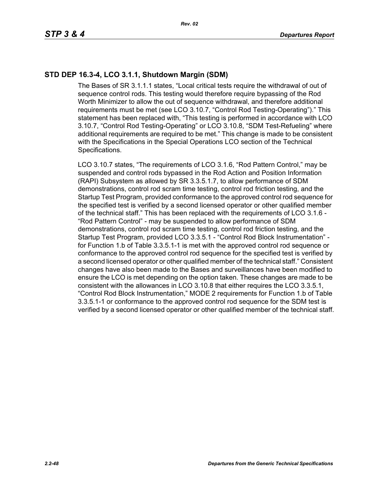# **STD DEP 16.3-4, LCO 3.1.1, Shutdown Margin (SDM)**

The Bases of SR 3.1.1.1 states, "Local critical tests require the withdrawal of out of sequence control rods. This testing would therefore require bypassing of the Rod Worth Minimizer to allow the out of sequence withdrawal, and therefore additional requirements must be met (see LCO 3.10.7, "Control Rod Testing-Operating")." This statement has been replaced with, "This testing is performed in accordance with LCO 3.10.7, "Control Rod Testing-Operating" or LCO 3.10.8, "SDM Test-Refueling" where additional requirements are required to be met." This change is made to be consistent with the Specifications in the Special Operations LCO section of the Technical Specifications.

LCO 3.10.7 states, "The requirements of LCO 3.1.6, "Rod Pattern Control," may be suspended and control rods bypassed in the Rod Action and Position Information (RAPI) Subsystem as allowed by SR 3.3.5.1.7, to allow performance of SDM demonstrations, control rod scram time testing, control rod friction testing, and the Startup Test Program, provided conformance to the approved control rod sequence for the specified test is verified by a second licensed operator or other qualified member of the technical staff." This has been replaced with the requirements of LCO 3.1.6 - "Rod Pattern Control" - may be suspended to allow performance of SDM demonstrations, control rod scram time testing, control rod friction testing, and the Startup Test Program, provided LCO 3.3.5.1 - "Control Rod Block Instrumentation" for Function 1.b of Table 3.3.5.1-1 is met with the approved control rod sequence or conformance to the approved control rod sequence for the specified test is verified by a second licensed operator or other qualified member of the technical staff." Consistent changes have also been made to the Bases and surveillances have been modified to ensure the LCO is met depending on the option taken. These changes are made to be consistent with the allowances in LCO 3.10.8 that either requires the LCO 3.3.5.1, "Control Rod Block Instrumentation," MODE 2 requirements for Function 1.b of Table 3.3.5.1-1 or conformance to the approved control rod sequence for the SDM test is verified by a second licensed operator or other qualified member of the technical staff.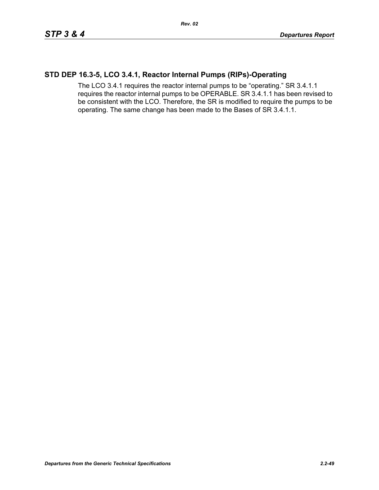### **STD DEP 16.3-5, LCO 3.4.1, Reactor Internal Pumps (RIPs)-Operating**

The LCO 3.4.1 requires the reactor internal pumps to be "operating." SR 3.4.1.1 requires the reactor internal pumps to be OPERABLE. SR 3.4.1.1 has been revised to be consistent with the LCO. Therefore, the SR is modified to require the pumps to be operating. The same change has been made to the Bases of SR 3.4.1.1.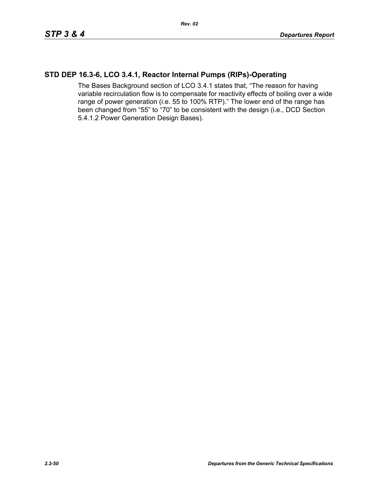### **STD DEP 16.3-6, LCO 3.4.1, Reactor Internal Pumps (RIPs)-Operating**

The Bases Background section of LCO 3.4.1 states that, "The reason for having variable recirculation flow is to compensate for reactivity effects of boiling over a wide range of power generation (i.e. 55 to 100% RTP)." The lower end of the range has been changed from "55" to "70" to be consistent with the design (i.e., DCD Section 5.4.1.2 Power Generation Design Bases).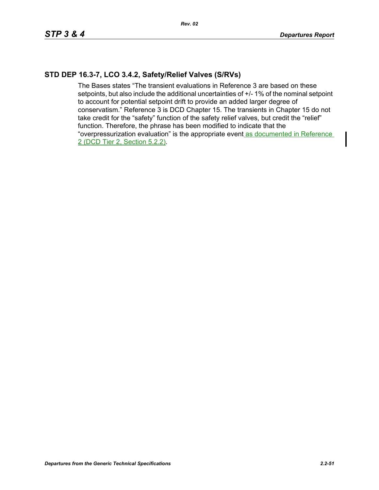## **STD DEP 16.3-7, LCO 3.4.2, Safety/Relief Valves (S/RVs)**

The Bases states "The transient evaluations in Reference 3 are based on these setpoints, but also include the additional uncertainties of  $+/-1\%$  of the nominal setpoint to account for potential setpoint drift to provide an added larger degree of conservatism." Reference 3 is DCD Chapter 15. The transients in Chapter 15 do not take credit for the "safety" function of the safety relief valves, but credit the "relief" function. Therefore, the phrase has been modified to indicate that the "overpressurization evaluation" is the appropriate event as documented in Reference 2 (DCD Tier 2, Section 5.2.2).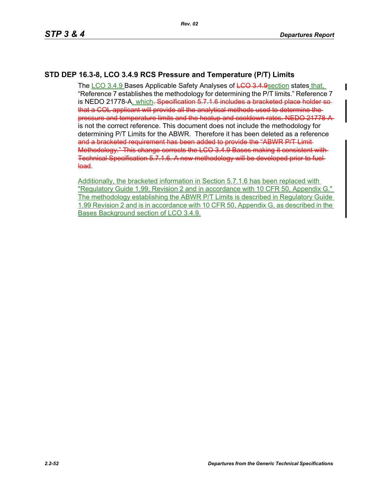# **STD DEP 16.3-8, LCO 3.4.9 RCS Pressure and Temperature (P/T) Limits**

The LCO 3.4.9 Bases Applicable Safety Analyses of LCO 3.4.9 section states that, "Reference 7 establishes the methodology for determining the P/T limits." Reference 7 is NEDO 21778-A, which<del>. Specification 5.7.1.6 includes a bracketed place holder so</del> that a COL applicant will provide all the analytical methods used to determine the pressure and temperature limits and the heatup and cooldown rates. NEDO 21778-A is not the correct reference. This document does not include the methodology for determining P/T Limits for the ABWR. Therefore it has been deleted as a reference and a bracketed requirement has been added to provide the "ABWR P/T Limit-Methodology." This change corrects the LCO 3.4.9 Bases making it consistent with Technical Specification 5.7.1.6. A new methodology will be developed prior to fuel load.

Additionally, the bracketed information in Section 5.7.1.6 has been replaced with "Regulatory Guide 1.99, Revision 2 and in accordance with 10 CFR 50, Appendix G." The methodology establishing the ABWR P/T Limits is described in Regulatory Guide 1.99 Revision 2 and is in accordance with 10 CFR 50, Appendix G, as described in the Bases Background section of LCO 3.4.9.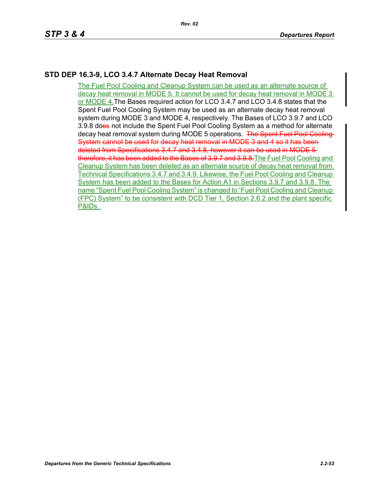## **STD DEP 16.3-9, LCO 3.4.7 Alternate Decay Heat Removal**

The Fuel Pool Cooling and Cleanup System can be used as an alternate source of decay heat removal in MODE 5. It cannot be used for decay heat removal in MODE 3 or MODE 4.The Bases required action for LCO 3.4.7 and LCO 3.4.8 states that the Spent Fuel Pool Cooling System may be used as an alternate decay heat removal system during MODE 3 and MODE 4, respectively. The Bases of LCO 3.9.7 and LCO 3.9.8 does not include the Spent Fuel Pool Cooling System as a method for alternate decay heat removal system during MODE 5 operations. The Spent Fuel Pool Cooling System cannot be used for decay heat removal in MODE 3 and 4 so it has beendeleted from Specifications 3.4.7 and 3.4.8, however it can be used in MODE 5 therefore, it has been added to the Bases of 3.9.7 and 3.9.8. The Fuel Pool Cooling and Cleanup System has been deleted as an alternate source of decay heat removal from Technical Specifications 3.4.7 and 3.4.9. Likewise, the Fuel Pool Cooling and Cleanup System has been added to the Bases for Action A1 in Sections 3.9.7 and 3.9.8. The name "Spent Fuel Pool Cooling System" is changed to "Fuel Pool Cooling and Cleanup (FPC) System" to be consistent with DCD Tier 1, Section 2.6.2 and the plant specific P&IDs.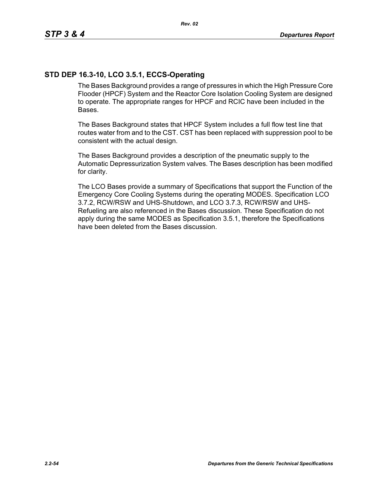# **STD DEP 16.3-10, LCO 3.5.1, ECCS-Operating**

The Bases Background provides a range of pressures in which the High Pressure Core Flooder (HPCF) System and the Reactor Core Isolation Cooling System are designed to operate. The appropriate ranges for HPCF and RCIC have been included in the Bases.

The Bases Background states that HPCF System includes a full flow test line that routes water from and to the CST. CST has been replaced with suppression pool to be consistent with the actual design.

The Bases Background provides a description of the pneumatic supply to the Automatic Depressurization System valves. The Bases description has been modified for clarity.

The LCO Bases provide a summary of Specifications that support the Function of the Emergency Core Cooling Systems during the operating MODES. Specification LCO 3.7.2, RCW/RSW and UHS-Shutdown, and LCO 3.7.3, RCW/RSW and UHS-Refueling are also referenced in the Bases discussion. These Specification do not apply during the same MODES as Specification 3.5.1, therefore the Specifications have been deleted from the Bases discussion.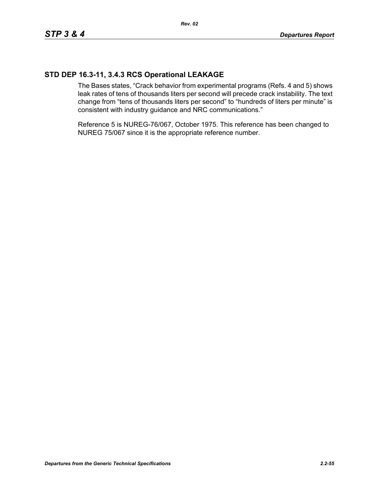## **STD DEP 16.3-11, 3.4.3 RCS Operational LEAKAGE**

The Bases states, "Crack behavior from experimental programs (Refs. 4 and 5) shows leak rates of tens of thousands liters per second will precede crack instability. The text change from "tens of thousands liters per second" to "hundreds of liters per minute" is consistent with industry guidance and NRC communications."

Reference 5 is NUREG-76/067, October 1975. This reference has been changed to NUREG 75/067 since it is the appropriate reference number.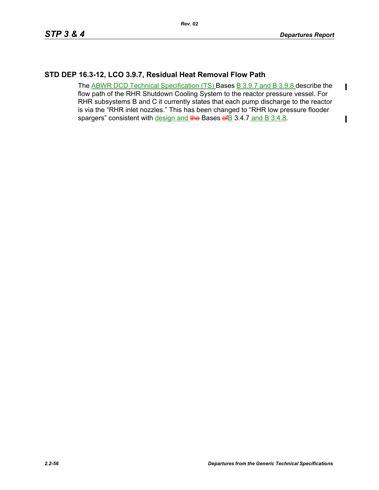$\blacksquare$ 

 $\mathbf I$ 

### **STD DEP 16.3-12, LCO 3.9.7, Residual Heat Removal Flow Path**

The ABWR DCD Technical Specification (TS) Bases B 3.9.7 and B 3.9.8 describe the flow path of the RHR Shutdown Cooling System to the reactor pressure vessel. For RHR subsystems B and C it currently states that each pump discharge to the reactor is via the "RHR inlet nozzles." This has been changed to "RHR low pressure flooder spargers" consistent with design and the Bases of B 3.4.7 and B 3.4.8.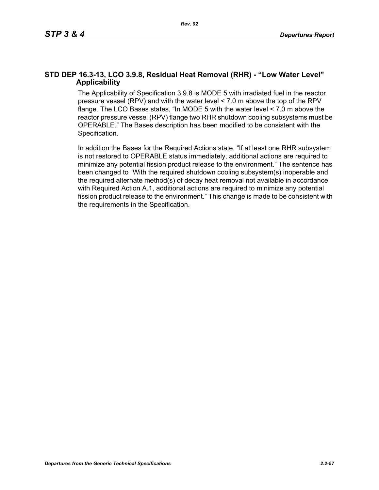### **STD DEP 16.3-13, LCO 3.9.8, Residual Heat Removal (RHR) - "Low Water Level" Applicability**

The Applicability of Specification 3.9.8 is MODE 5 with irradiated fuel in the reactor pressure vessel (RPV) and with the water level < 7.0 m above the top of the RPV flange. The LCO Bases states, "In MODE 5 with the water level < 7.0 m above the reactor pressure vessel (RPV) flange two RHR shutdown cooling subsystems must be OPERABLE." The Bases description has been modified to be consistent with the Specification.

In addition the Bases for the Required Actions state, "If at least one RHR subsystem is not restored to OPERABLE status immediately, additional actions are required to minimize any potential fission product release to the environment." The sentence has been changed to "With the required shutdown cooling subsystem(s) inoperable and the required alternate method(s) of decay heat removal not available in accordance with Required Action A.1, additional actions are required to minimize any potential fission product release to the environment." This change is made to be consistent with the requirements in the Specification.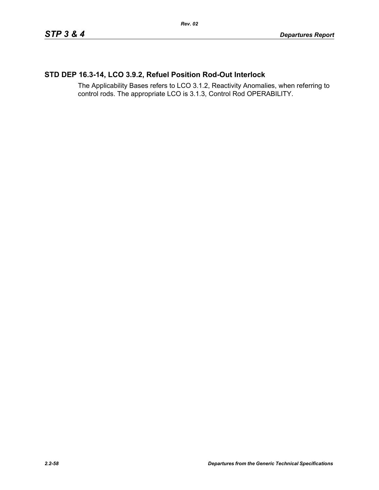# **STD DEP 16.3-14, LCO 3.9.2, Refuel Position Rod-Out Interlock**

The Applicability Bases refers to LCO 3.1.2, Reactivity Anomalies, when referring to control rods. The appropriate LCO is 3.1.3, Control Rod OPERABILITY.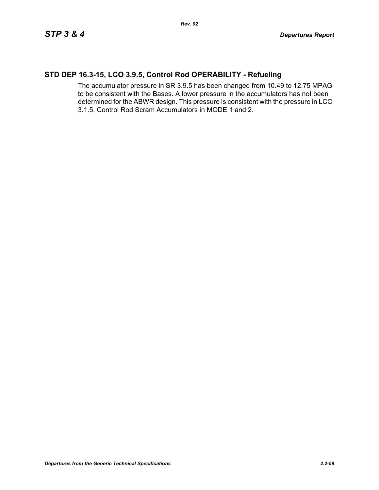# **STD DEP 16.3-15, LCO 3.9.5, Control Rod OPERABILITY - Refueling**

The accumulator pressure in SR 3.9.5 has been changed from 10.49 to 12.75 MPAG to be consistent with the Bases. A lower pressure in the accumulators has not been determined for the ABWR design. This pressure is consistent with the pressure in LCO 3.1.5, Control Rod Scram Accumulators in MODE 1 and 2.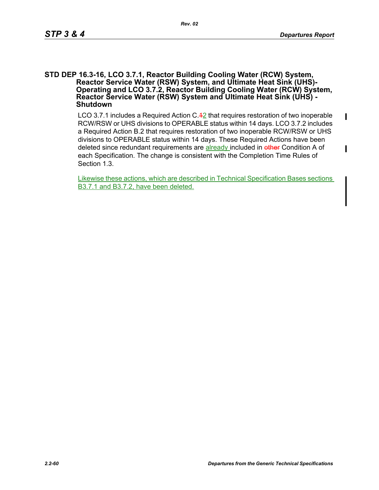$\mathbf{I}$ 

I

#### **STD DEP 16.3-16, LCO 3.7.1, Reactor Building Cooling Water (RCW) System, Reactor Service Water (RSW) System, and Ultimate Heat Sink (UHS)- Operating and LCO 3.7.2, Reactor Building Cooling Water (RCW) System, Reactor Service Water (RSW) System and Ultimate Heat Sink (UHS) - Shutdown**

LCO 3.7.1 includes a Required Action  $C.\overline{42}$  that requires restoration of two inoperable RCW/RSW or UHS divisions to OPERABLE status within 14 days. LCO 3.7.2 includes a Required Action B.2 that requires restoration of two inoperable RCW/RSW or UHS divisions to OPERABLE status within 14 days. These Required Actions have been deleted since redundant requirements are already included in other Condition A of each Specification. The change is consistent with the Completion Time Rules of Section 1.3.

Likewise these actions, which are described in Technical Specification Bases sections B3.7.1 and B3.7.2, have been deleted.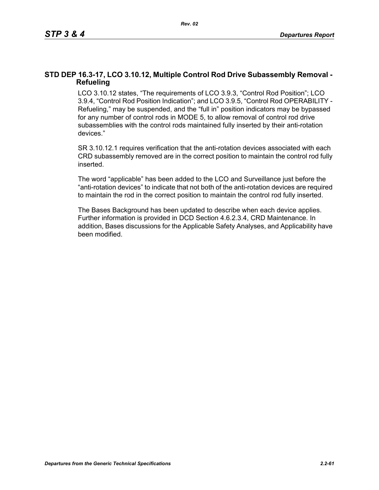### **STD DEP 16.3-17, LCO 3.10.12, Multiple Control Rod Drive Subassembly Removal - Refueling**

LCO 3.10.12 states, "The requirements of LCO 3.9.3, "Control Rod Position"; LCO 3.9.4, "Control Rod Position Indication"; and LCO 3.9.5, "Control Rod OPERABILITY - Refueling," may be suspended, and the "full in" position indicators may be bypassed for any number of control rods in MODE 5, to allow removal of control rod drive subassemblies with the control rods maintained fully inserted by their anti-rotation devices."

SR 3.10.12.1 requires verification that the anti-rotation devices associated with each CRD subassembly removed are in the correct position to maintain the control rod fully inserted.

The word "applicable" has been added to the LCO and Surveillance just before the "anti-rotation devices" to indicate that not both of the anti-rotation devices are required to maintain the rod in the correct position to maintain the control rod fully inserted.

The Bases Background has been updated to describe when each device applies. Further information is provided in DCD Section 4.6.2.3.4, CRD Maintenance. In addition, Bases discussions for the Applicable Safety Analyses, and Applicability have been modified.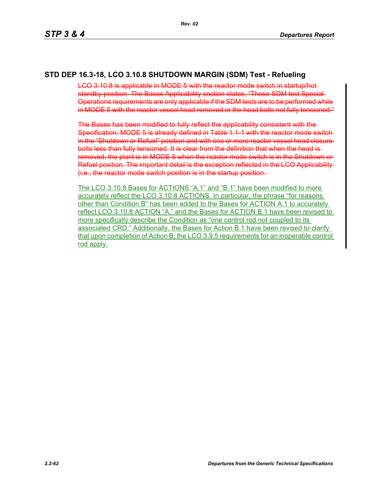### **STD DEP 16.3-18, LCO 3.10.8 SHUTDOWN MARGIN (SDM) Test - Refueling**

LCO 3.10.8 is applicable in MODE 5 with the reactor mode switch in startup/hot standby position. The Bases Applicability section states, "These SDM test Special Operations requirements are only applicable if the SDM tests are to be performed while in MODE 5 with the reactor vessel head removed or the head bolts not fully tensioned."

The Bases has been modified to fully reflect the applicability consistent with the Specification. MODE 5 is already defined in Table 1.1-1 with the reactor mode switchin the "Shutdown or Refuel" position and with one or more reactor vessel head closure bolts less than fully tensioned. It is clear from the definition that when the head is removed, the plant is in MODE 5 when the reactor mode switch is in the Shutdown or Refuel position. The important detail is the exception reflected in the LCO Applicability (i.e., the reactor mode switch position is in the startup position.

The LCO 3.10.8 Bases for ACTIONS "A.1" and "B.1" have been modified to more accurately reflect the LCO 3.10.8 ACTIONS. In particular, the phrase "for reasons other than Condition B" has been added to the Bases for ACTION A.1 to accurately reflect LCO 3.10.8 ACTION "A," and the Bases for ACTION B.1 have been revised to more specifically describe the Condition as "one control rod not coupled to its associated CRD." Additionally, the Bases for Action B.1 have been revised to clarify that upon completion of Action B, the LCO 3.9.5 requirements for an inoperable control rod apply.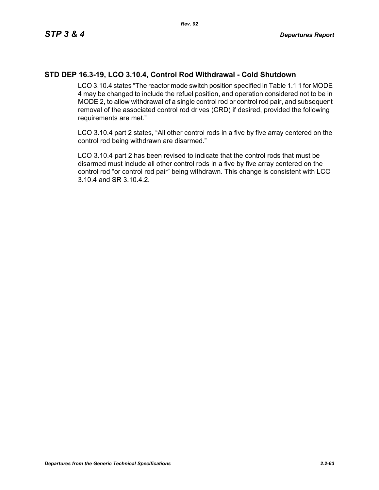### **STD DEP 16.3-19, LCO 3.10.4, Control Rod Withdrawal - Cold Shutdown**

LCO 3.10.4 states "The reactor mode switch position specified in Table 1.1 1 for MODE 4 may be changed to include the refuel position, and operation considered not to be in MODE 2, to allow withdrawal of a single control rod or control rod pair, and subsequent removal of the associated control rod drives (CRD) if desired, provided the following requirements are met."

LCO 3.10.4 part 2 states, "All other control rods in a five by five array centered on the control rod being withdrawn are disarmed."

LCO 3.10.4 part 2 has been revised to indicate that the control rods that must be disarmed must include all other control rods in a five by five array centered on the control rod "or control rod pair" being withdrawn. This change is consistent with LCO 3.10.4 and SR 3.10.4.2.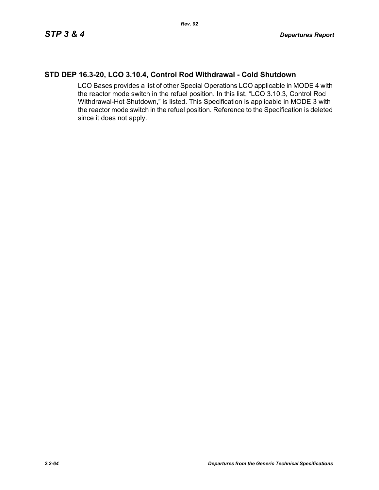### **STD DEP 16.3-20, LCO 3.10.4, Control Rod Withdrawal - Cold Shutdown**

LCO Bases provides a list of other Special Operations LCO applicable in MODE 4 with the reactor mode switch in the refuel position. In this list, "LCO 3.10.3, Control Rod Withdrawal-Hot Shutdown," is listed. This Specification is applicable in MODE 3 with the reactor mode switch in the refuel position. Reference to the Specification is deleted since it does not apply.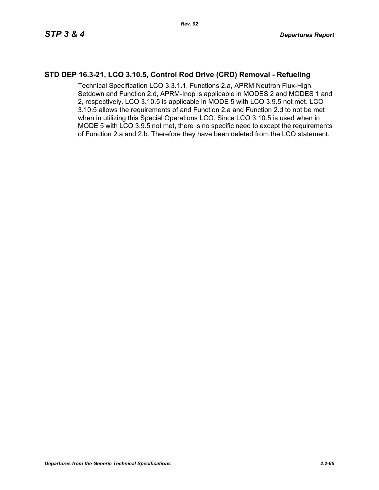## **STD DEP 16.3-21, LCO 3.10.5, Control Rod Drive (CRD) Removal - Refueling**

Technical Specification LCO 3.3.1.1, Functions 2.a, APRM Neutron Flux-High, Setdown and Function 2.d, APRM-Inop is applicable in MODES 2 and MODES 1 and 2, respectively. LCO 3.10.5 is applicable in MODE 5 with LCO 3.9.5 not met. LCO 3.10.5 allows the requirements of and Function 2.a and Function 2.d to not be met when in utilizing this Special Operations LCO. Since LCO 3.10.5 is used when in MODE 5 with LCO 3.9.5 not met, there is no specific need to except the requirements of Function 2.a and 2.b. Therefore they have been deleted from the LCO statement.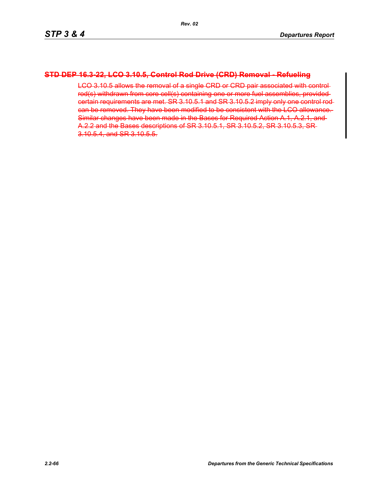### **STD DEP 16.3-22, LCO 3.10.5, Control Rod Drive (CRD) Removal - Refueling**

LCO 3.10.5 allows the removal of a single CRD or CRD pair associated with control rod(s) withdrawn from core cell(s) containing one or more fuel assemblies, provided certain requirements are met. SR 3.10.5.1 and SR 3.10.5.2 imply only one control rod can be removed. They have been modified to be consistent with the LCO allowance. Similar changes have been made in the Bases for Required Action A.1, A.2.1, and A.2.2 and the Bases descriptions of SR 3.10.5.1, SR 3.10.5.2, SR 3.10.5.3, SR 3.10.5.4, and SR 3.10.5.5.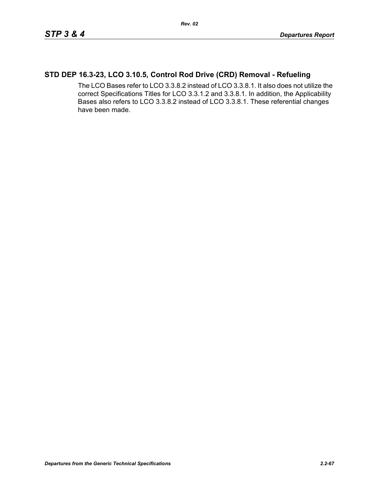# **STD DEP 16.3-23, LCO 3.10.5, Control Rod Drive (CRD) Removal - Refueling**

The LCO Bases refer to LCO 3.3.8.2 instead of LCO 3.3.8.1. It also does not utilize the correct Specifications Titles for LCO 3.3.1.2 and 3.3.8.1. In addition, the Applicability Bases also refers to LCO 3.3.8.2 instead of LCO 3.3.8.1. These referential changes have been made.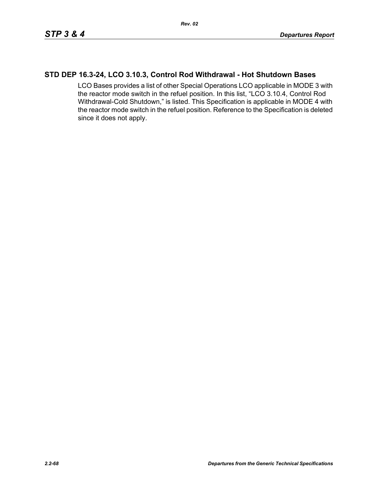### **STD DEP 16.3-24, LCO 3.10.3, Control Rod Withdrawal - Hot Shutdown Bases**

LCO Bases provides a list of other Special Operations LCO applicable in MODE 3 with the reactor mode switch in the refuel position. In this list, "LCO 3.10.4, Control Rod Withdrawal-Cold Shutdown," is listed. This Specification is applicable in MODE 4 with the reactor mode switch in the refuel position. Reference to the Specification is deleted since it does not apply.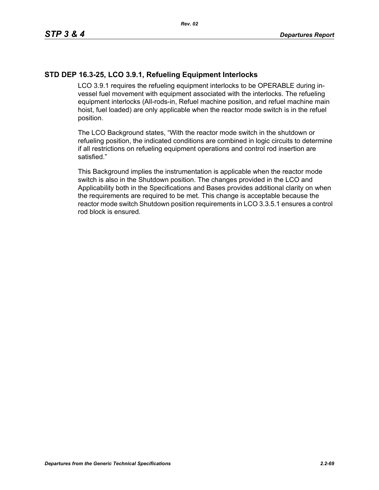## **STD DEP 16.3-25, LCO 3.9.1, Refueling Equipment Interlocks**

LCO 3.9.1 requires the refueling equipment interlocks to be OPERABLE during invessel fuel movement with equipment associated with the interlocks. The refueling equipment interlocks (All-rods-in, Refuel machine position, and refuel machine main hoist, fuel loaded) are only applicable when the reactor mode switch is in the refuel position.

The LCO Background states, "With the reactor mode switch in the shutdown or refueling position, the indicated conditions are combined in logic circuits to determine if all restrictions on refueling equipment operations and control rod insertion are satisfied."

This Background implies the instrumentation is applicable when the reactor mode switch is also in the Shutdown position. The changes provided in the LCO and Applicability both in the Specifications and Bases provides additional clarity on when the requirements are required to be met. This change is acceptable because the reactor mode switch Shutdown position requirements in LCO 3.3.5.1 ensures a control rod block is ensured.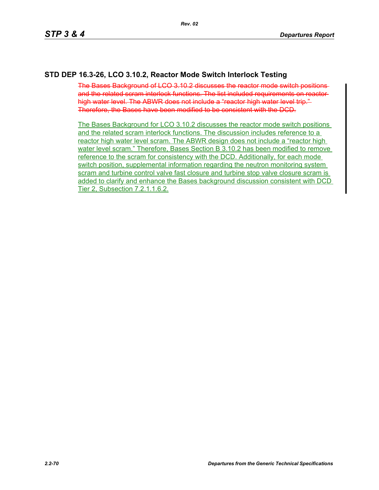## **STD DEP 16.3-26, LCO 3.10.2, Reactor Mode Switch Interlock Testing**

The Bases Background of LCO 3.10.2 discusses the reactor mode switch positions and the related scram interlock functions. The list included requirements on reactor high water level. The ABWR does not include a "reactor high water level trip." Therefore, the Bases have been modified to be consistent with the DCD.

The Bases Background for LCO 3.10.2 discusses the reactor mode switch positions and the related scram interlock functions. The discussion includes reference to a reactor high water level scram. The ABWR design does not include a "reactor high water level scram." Therefore, Bases Section B 3.10.2 has been modified to remove reference to the scram for consistency with the DCD. Additionally, for each mode switch position, supplemental information regarding the neutron monitoring system scram and turbine control valve fast closure and turbine stop valve closure scram is added to clarify and enhance the Bases background discussion consistent with DCD Tier 2, Subsection 7.2.1.1.6.2.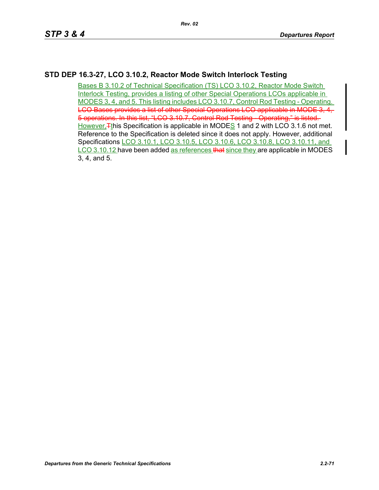# **STD DEP 16.3-27, LCO 3.10.2, Reactor Mode Switch Interlock Testing**

Bases B 3.10.2 of Technical Specification (TS) LCO 3.10.2, Reactor Mode Switch Interlock Testing, provides a listing of other Special Operations LCOs applicable in MODES 3, 4, and 5. This listing includes LCO 3.10.7, Control Rod Testing - Operating. LCO Bases provides a list of other Special Operations LCO applicable in MODE 3, 4, 5 operations. In this list, "LCO 3.10.7, Control Rod Testing - Operating," is listed. However,  $F$ <sup>this</sup> Specification is applicable in MODES 1 and 2 with LCO 3.1.6 not met. Reference to the Specification is deleted since it does not apply. However, additional Specifications LCO 3.10.1, LCO 3.10.5, LCO 3.10.6, LCO 3.10.8, LCO 3.10.11, and LCO 3.10.12 have been added as references that since they are applicable in MODES 3, 4, and 5.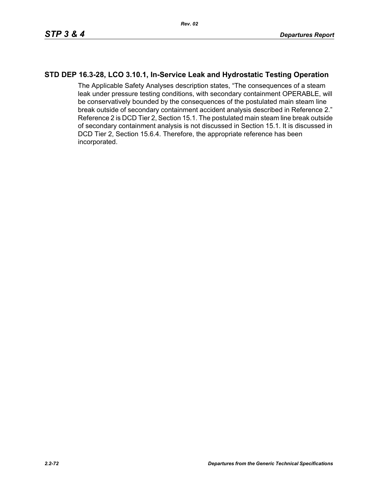### **STD DEP 16.3-28, LCO 3.10.1, In-Service Leak and Hydrostatic Testing Operation**

The Applicable Safety Analyses description states, "The consequences of a steam leak under pressure testing conditions, with secondary containment OPERABLE, will be conservatively bounded by the consequences of the postulated main steam line break outside of secondary containment accident analysis described in Reference 2." Reference 2 is DCD Tier 2, Section 15.1. The postulated main steam line break outside of secondary containment analysis is not discussed in Section 15.1. It is discussed in DCD Tier 2, Section 15.6.4. Therefore, the appropriate reference has been incorporated.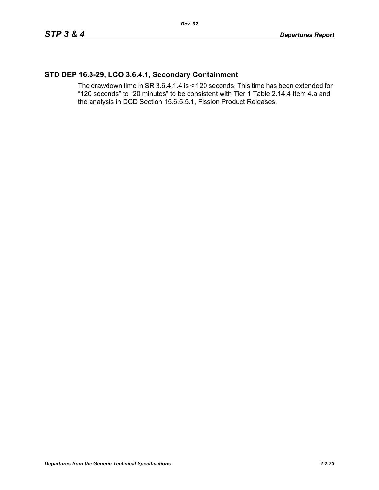## **STD DEP 16.3-29, LCO 3.6.4.1, Secondary Containment**

The drawdown time in SR 3.6.4.1.4 is  $\leq$  120 seconds. This time has been extended for "120 seconds" to "20 minutes" to be consistent with Tier 1 Table 2.14.4 Item 4.a and the analysis in DCD Section 15.6.5.5.1, Fission Product Releases.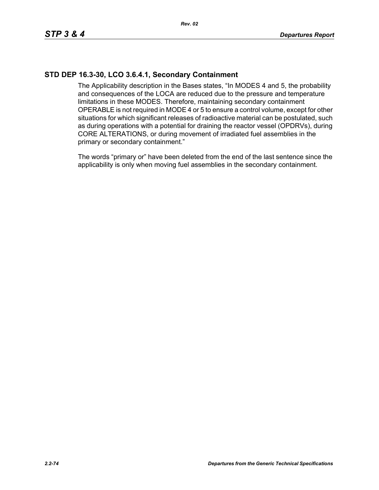## **STD DEP 16.3-30, LCO 3.6.4.1, Secondary Containment**

The Applicability description in the Bases states, "In MODES 4 and 5, the probability and consequences of the LOCA are reduced due to the pressure and temperature limitations in these MODES. Therefore, maintaining secondary containment OPERABLE is not required in MODE 4 or 5 to ensure a control volume, except for other situations for which significant releases of radioactive material can be postulated, such as during operations with a potential for draining the reactor vessel (OPDRVs), during CORE ALTERATIONS, or during movement of irradiated fuel assemblies in the primary or secondary containment."

The words "primary or" have been deleted from the end of the last sentence since the applicability is only when moving fuel assemblies in the secondary containment.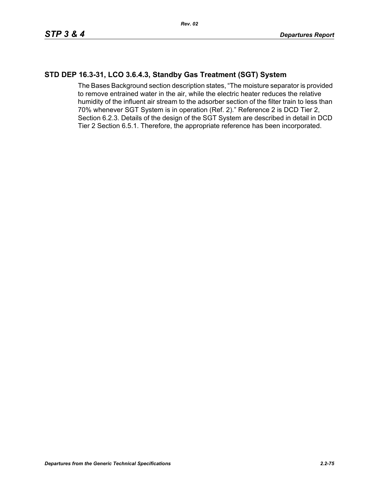## **STD DEP 16.3-31, LCO 3.6.4.3, Standby Gas Treatment (SGT) System**

The Bases Background section description states, "The moisture separator is provided to remove entrained water in the air, while the electric heater reduces the relative humidity of the influent air stream to the adsorber section of the filter train to less than 70% whenever SGT System is in operation (Ref. 2)." Reference 2 is DCD Tier 2, Section 6.2.3. Details of the design of the SGT System are described in detail in DCD Tier 2 Section 6.5.1. Therefore, the appropriate reference has been incorporated.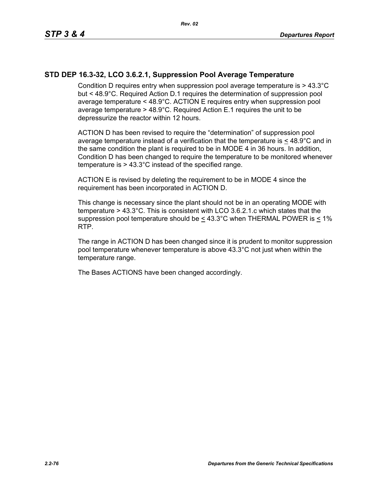#### **STD DEP 16.3-32, LCO 3.6.2.1, Suppression Pool Average Temperature**

Condition D requires entry when suppression pool average temperature is > 43.3°C but < 48.9°C. Required Action D.1 requires the determination of suppression pool average temperature < 48.9°C. ACTION E requires entry when suppression pool average temperature > 48.9°C. Required Action E.1 requires the unit to be depressurize the reactor within 12 hours.

ACTION D has been revised to require the "determination" of suppression pool average temperature instead of a verification that the temperature is  $\leq 48.9^{\circ}$ C and in the same condition the plant is required to be in MODE 4 in 36 hours. In addition, Condition D has been changed to require the temperature to be monitored whenever temperature is > 43.3°C instead of the specified range.

ACTION E is revised by deleting the requirement to be in MODE 4 since the requirement has been incorporated in ACTION D.

This change is necessary since the plant should not be in an operating MODE with temperature > 43.3°C. This is consistent with LCO 3.6.2.1.c which states that the suppression pool temperature should be  $\leq 43.3^{\circ}$ C when THERMAL POWER is < 1% RTP.

The range in ACTION D has been changed since it is prudent to monitor suppression pool temperature whenever temperature is above 43.3°C not just when within the temperature range.

The Bases ACTIONS have been changed accordingly.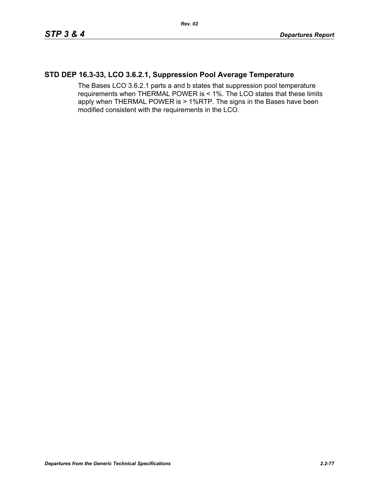#### **STD DEP 16.3-33, LCO 3.6.2.1, Suppression Pool Average Temperature**

The Bases LCO 3.6.2.1 parts a and b states that suppression pool temperature requirements when THERMAL POWER is < 1%. The LCO states that these limits apply when THERMAL POWER is > 1%RTP. The signs in the Bases have been modified consistent with the requirements in the LCO.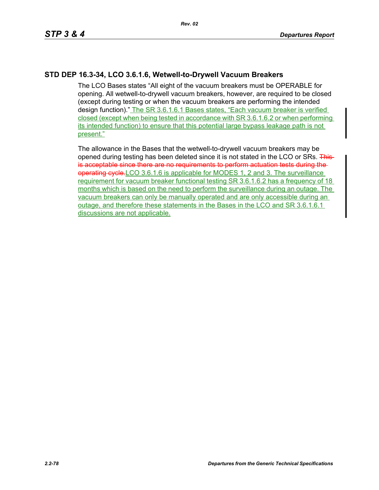## **STD DEP 16.3-34, LCO 3.6.1.6, Wetwell-to-Drywell Vacuum Breakers**

The LCO Bases states "All eight of the vacuum breakers must be OPERABLE for opening. All wetwell-to-drywell vacuum breakers, however, are required to be closed (except during testing or when the vacuum breakers are performing the intended design function)." The SR 3.6.1.6.1 Bases states, "Each vacuum breaker is verified closed (except when being tested in accordance with SR 3.6.1.6.2 or when performing its intended function) to ensure that this potential large bypass leakage path is not present."

The allowance in the Bases that the wetwell-to-drywell vacuum breakers may be opened during testing has been deleted since it is not stated in the LCO or SRs. Thisis acceptable since there are no requirements to perform actuation tests during the operating cycle. LCO 3.6.1.6 is applicable for MODES 1, 2 and 3. The surveillance requirement for vacuum breaker functional testing SR 3.6.1.6.2 has a frequency of 18 months which is based on the need to perform the surveillance during an outage. The vacuum breakers can only be manually operated and are only accessible during an outage, and therefore these statements in the Bases in the LCO and SR 3.6.1.6.1 discussions are not applicable.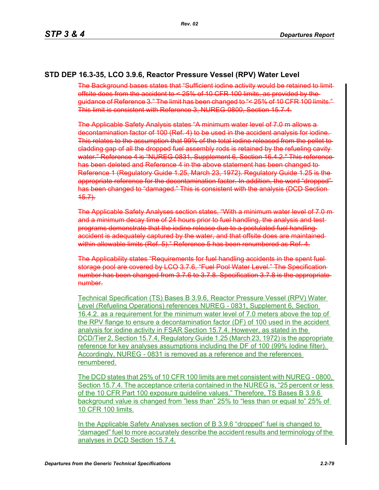#### **STD DEP 16.3-35, LCO 3.9.6, Reactor Pressure Vessel (RPV) Water Level**

The Background bases states that "Sufficient iodine activity would be retained to limitoffsite does from the accident to < 25% of 10 CFR 100 limits, as provided by the guidance of Reference 3." The limit has been changed to "< 25% of 10 CFR 100 limits." This limit is consistent with Reference 3, NUREG-0800, Section 15.7.4.

The Applicable Safety Analysis states "A minimum water level of 7.0 m allows a decontamination factor of 100 (Ref. 4) to be used in the accident analysis for iodine. This relates to the assumption that 99% of the total iodine released from the pellet to cladding gap of all the dropped fuel assembly rods is retained by the refueling cavity water." Reference 4 is "NUREG 0831, Supplement 6, Section 16.4.2." This reference has been deleted and Reference 4 in the above statement has been changed to Reference 1 (Regulatory Guide 1.25, March 23, 1972). Regulatory Guide 1.25 is the appropriate reference for the decontamination factor. In addition, the word "dropped" has been changed to "damaged." This is consistent with the analysis (DCD Section  $45.7$ .

The Applicable Safety Analyses section states, "With a minimum water level of 7.0 m and a minimum decay time of 24 hours prior to fuel handling, the analysis and test programs demonstrate that the iodine release due to a postulated fuel handling accident is adequately captured by the water, and that offsite does are maintained within allowable limits (Ref. 5)." Reference 5 has been renumbered as Ref. 4.

The Applicability states "Requirements for fuel handling accidents in the spent fuel storage pool are covered by LCO 3.7.6, "Fuel Pool Water Level." The Specification number has been changed from 3.7.6 to 3.7.8. Specification 3.7.8 is the appropriate number.

Technical Specification (TS) Bases B 3.9.6, Reactor Pressure Vessel (RPV) Water Level (Refueling Operations) references NUREG - 0831, Supplement 6, Section 16.4.2. as a requirement for the minimum water level of 7.0 meters above the top of the RPV flange to ensure a decontamination factor (DF) of 100 used in the accident analysis for iodine activity in FSAR Section 15.7.4. However, as stated in the DCD/Tier 2, Section 15.7.4, Regulatory Guide 1.25 (March 23, 1972) is the appropriate reference for key analyses assumptions including the DF of 100 (99% Iodine filter). Accordingly, NUREG - 0831 is removed as a reference and the references renumbered.

The DCD states that 25% of 10 CFR 100 limits are met consistent with NUREG - 0800, Section 15.7.4. The acceptance criteria contained in the NUREG is, "25 percent or less of the 10 CFR Part 100 exposure guideline values." Therefore, TS Bases B 3.9.6 background value is changed from "less than" 25% to "less than or equal to" 25% of 10 CFR 100 limits.

In the Applicable Safety Analyses section of B 3.9.6 "dropped" fuel is changed to "damaged" fuel to more accurately describe the accident results and terminology of the analyses in DCD Section 15.7.4.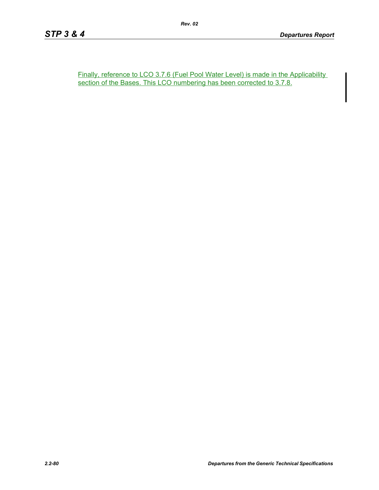Finally, reference to LCO 3.7.6 (Fuel Pool Water Level) is made in the Applicability section of the Bases. This LCO numbering has been corrected to 3.7.8.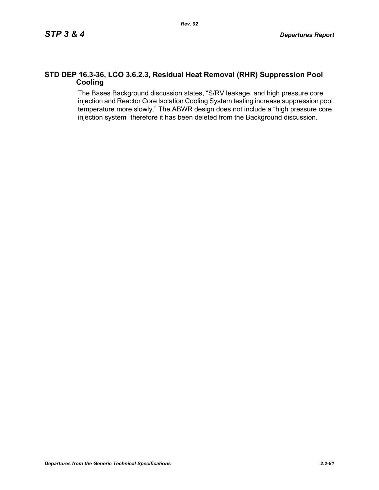#### **STD DEP 16.3-36, LCO 3.6.2.3, Residual Heat Removal (RHR) Suppression Pool Cooling**

The Bases Background discussion states, "S/RV leakage, and high pressure core injection and Reactor Core Isolation Cooling System testing increase suppression pool temperature more slowly." The ABWR design does not include a "high pressure core injection system" therefore it has been deleted from the Background discussion.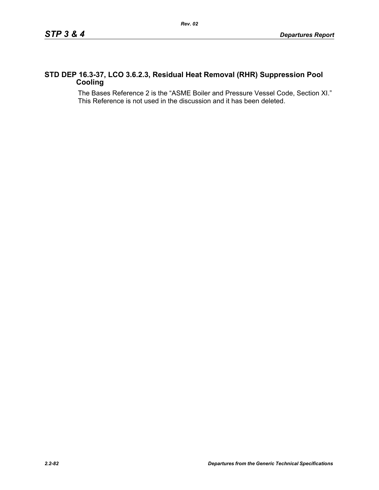#### **STD DEP 16.3-37, LCO 3.6.2.3, Residual Heat Removal (RHR) Suppression Pool Cooling**

The Bases Reference 2 is the "ASME Boiler and Pressure Vessel Code, Section XI." This Reference is not used in the discussion and it has been deleted.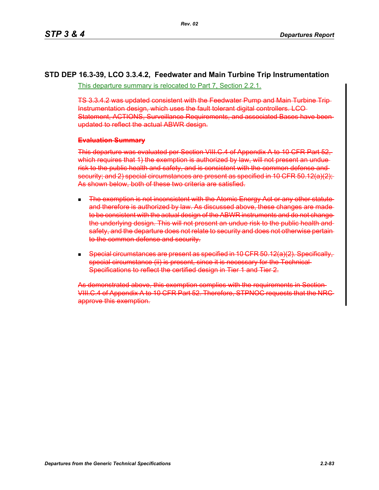# **STD DEP 16.3-39, LCO 3.3.4.2, Feedwater and Main Turbine Trip Instrumentation**

This departure summary is relocated to Part 7, Section 2.2.1.

TS 3.3.4.2 was updated consistent with the Feedwater Pump and Main Turbine Trip Instrumentation design, which uses the fault tolerant digital controllers. LCO Statement, ACTIONS, Surveillance Requirements, and associated Bases have been updated to reflect the actual ABWR design.

#### **Evaluation Summary**

This departure was evaluated per Section VIII.C.4 of Appendix A to 10 CFR Part 52, which requires that 1) the exemption is authorized by law, will not present an unduerisk to the public health and safety, and is consistent with the common defense and security; and 2) special circumstances are present as specified in 10 CFR 50.12(a)(2): As shown below, both of these two criteria are satisfied.

- **The exemption is not inconsistent with the Atomic Energy Act or any other statute** and therefore is authorized by law. As discussed above, these changes are made to be consistent with the actual design of the ABWR instruments and do not changethe underlying design. This will not present an undue risk to the public health and safety, and the departure does not relate to security and does not otherwise pertain to the common defense and security.
- Special circumstances are present as specified in 10 CFR  $50.12(a)(2)$ . Specifically, special circumstance (ii) is present, since it is necessary for the Technical-Specifications to reflect the certified design in Tier 1 and Tier 2.

As demonstrated above, this exemption complies with the requirements in Section VIII.C.4 of Appendix A to 10 CFR Part 52. Therefore, STPNOC requests that the NRC approve this exemption.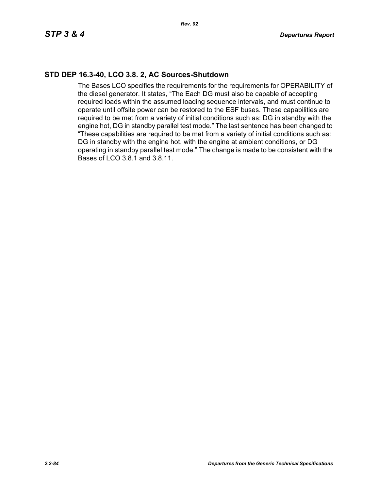## **STD DEP 16.3-40, LCO 3.8. 2, AC Sources-Shutdown**

The Bases LCO specifies the requirements for the requirements for OPERABILITY of the diesel generator. It states, "The Each DG must also be capable of accepting required loads within the assumed loading sequence intervals, and must continue to operate until offsite power can be restored to the ESF buses. These capabilities are required to be met from a variety of initial conditions such as: DG in standby with the engine hot, DG in standby parallel test mode." The last sentence has been changed to "These capabilities are required to be met from a variety of initial conditions such as: DG in standby with the engine hot, with the engine at ambient conditions, or DG operating in standby parallel test mode." The change is made to be consistent with the Bases of LCO 3.8.1 and 3.8.11.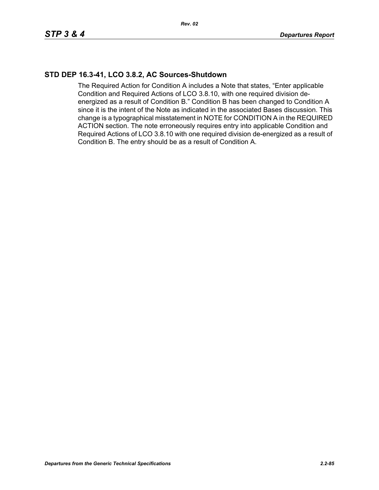## **STD DEP 16.3-41, LCO 3.8.2, AC Sources-Shutdown**

The Required Action for Condition A includes a Note that states, "Enter applicable Condition and Required Actions of LCO 3.8.10, with one required division deenergized as a result of Condition B." Condition B has been changed to Condition A since it is the intent of the Note as indicated in the associated Bases discussion. This change is a typographical misstatement in NOTE for CONDITION A in the REQUIRED ACTION section. The note erroneously requires entry into applicable Condition and Required Actions of LCO 3.8.10 with one required division de-energized as a result of Condition B. The entry should be as a result of Condition A.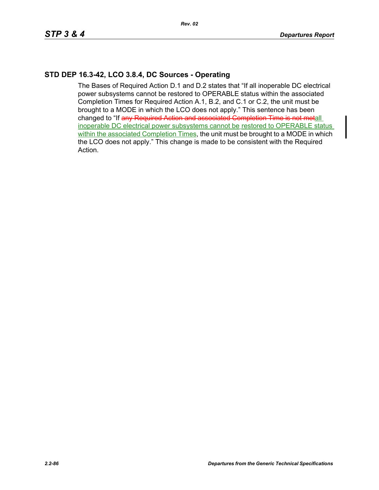# **STD DEP 16.3-42, LCO 3.8.4, DC Sources - Operating**

The Bases of Required Action D.1 and D.2 states that "If all inoperable DC electrical power subsystems cannot be restored to OPERABLE status within the associated Completion Times for Required Action A.1, B.2, and C.1 or C.2, the unit must be brought to a MODE in which the LCO does not apply." This sentence has been changed to "If any Required Action and associated Completion Time is not metall inoperable DC electrical power subsystems cannot be restored to OPERABLE status within the associated Completion Times, the unit must be brought to a MODE in which the LCO does not apply." This change is made to be consistent with the Required Action.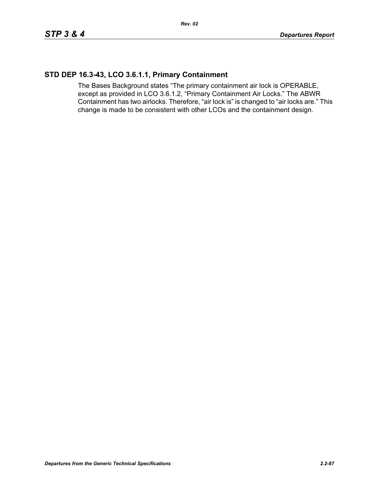## **STD DEP 16.3-43, LCO 3.6.1.1, Primary Containment**

The Bases Background states "The primary containment air lock is OPERABLE, except as provided in LCO 3.6.1.2, "Primary Containment Air Locks." The ABWR Containment has two airlocks. Therefore, "air lock is" is changed to "air locks are." This change is made to be consistent with other LCOs and the containment design.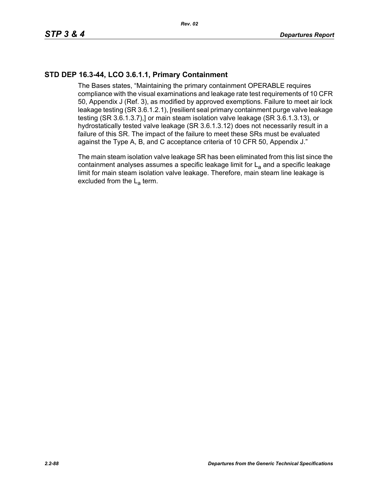## **STD DEP 16.3-44, LCO 3.6.1.1, Primary Containment**

The Bases states, "Maintaining the primary containment OPERABLE requires compliance with the visual examinations and leakage rate test requirements of 10 CFR 50, Appendix J (Ref. 3), as modified by approved exemptions. Failure to meet air lock leakage testing (SR 3.6.1.2.1), [resilient seal primary containment purge valve leakage testing (SR 3.6.1.3.7),] or main steam isolation valve leakage (SR 3.6.1.3.13), or hydrostatically tested valve leakage (SR 3.6.1.3.12) does not necessarily result in a failure of this SR. The impact of the failure to meet these SRs must be evaluated against the Type A, B, and C acceptance criteria of 10 CFR 50, Appendix J."

The main steam isolation valve leakage SR has been eliminated from this list since the containment analyses assumes a specific leakage limit for  $L<sub>a</sub>$  and a specific leakage limit for main steam isolation valve leakage. Therefore, main steam line leakage is excluded from the  $L_a$  term.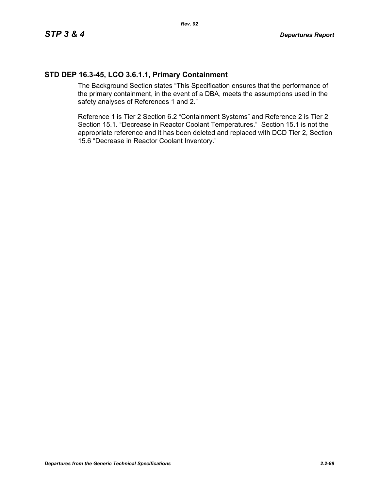## **STD DEP 16.3-45, LCO 3.6.1.1, Primary Containment**

The Background Section states "This Specification ensures that the performance of the primary containment, in the event of a DBA, meets the assumptions used in the safety analyses of References 1 and 2."

Reference 1 is Tier 2 Section 6.2 "Containment Systems" and Reference 2 is Tier 2 Section 15.1. "Decrease in Reactor Coolant Temperatures." Section 15.1 is not the appropriate reference and it has been deleted and replaced with DCD Tier 2, Section 15.6 "Decrease in Reactor Coolant Inventory."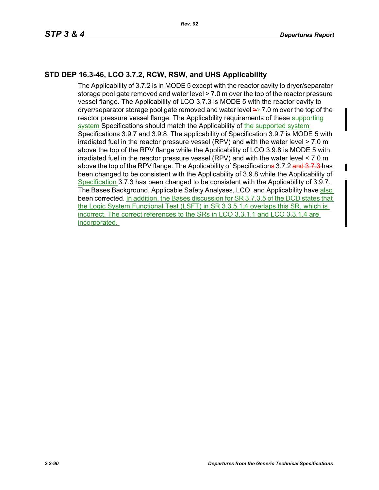# **STD DEP 16.3-46, LCO 3.7.2, RCW, RSW, and UHS Applicability**

The Applicability of 3.7.2 is in MODE 5 except with the reactor cavity to dryer/separator storage pool gate removed and water level > 7.0 m over the top of the reactor pressure vessel flange. The Applicability of LCO 3.7.3 is MODE 5 with the reactor cavity to dryer/separator storage pool gate removed and water level  $\geq 7.0$  m over the top of the reactor pressure vessel flange. The Applicability requirements of these supporting system Specifications should match the Applicability of the supported system Specifications 3.9.7 and 3.9.8. The applicability of Specification 3.9.7 is MODE 5 with irradiated fuel in the reactor pressure vessel (RPV) and with the water level > 7.0 m above the top of the RPV flange while the Applicability of LCO 3.9.8 is MODE 5 with irradiated fuel in the reactor pressure vessel (RPV) and with the water level < 7.0 m above the top of the RPV flange. The Applicability of Specificatione 3.7.2 and 3.7.3 has been changed to be consistent with the Applicability of 3.9.8 while the Applicability of Specification 3.7.3 has been changed to be consistent with the Applicability of 3.9.7. The Bases Background, Applicable Safety Analyses, LCO, and Applicability have also been corrected. In addition, the Bases discussion for SR 3.7.3.5 of the DCD states that the Logic System Functional Test (LSFT) in SR 3.3.5.1.4 overlaps this SR, which is incorrect. The correct references to the SRs in LCO 3.3.1.1 and LCO 3.3.1.4 are incorporated.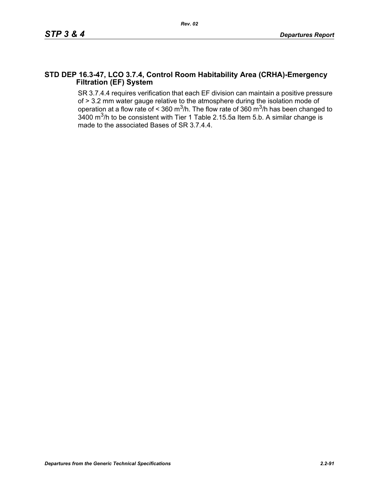#### **STD DEP 16.3-47, LCO 3.7.4, Control Room Habitability Area (CRHA)-Emergency Filtration (EF) System**

SR 3.7.4.4 requires verification that each EF division can maintain a positive pressure of > 3.2 mm water gauge relative to the atmosphere during the isolation mode of operation at a flow rate of < 360 m<sup>3</sup>/h. The flow rate of 360 m<sup>3</sup>/h has been changed to 3400  $\text{m}^3$ /h to be consistent with Tier 1 Table 2.15.5a Item 5.b. A similar change is made to the associated Bases of SR 3.7.4.4.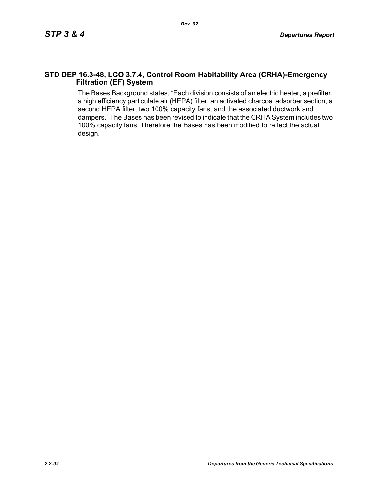#### **STD DEP 16.3-48, LCO 3.7.4, Control Room Habitability Area (CRHA)-Emergency Filtration (EF) System**

The Bases Background states, "Each division consists of an electric heater, a prefilter, a high efficiency particulate air (HEPA) filter, an activated charcoal adsorber section, a second HEPA filter, two 100% capacity fans, and the associated ductwork and dampers." The Bases has been revised to indicate that the CRHA System includes two 100% capacity fans. Therefore the Bases has been modified to reflect the actual design.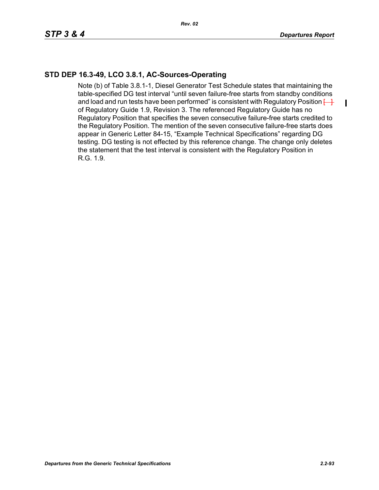$\blacksquare$ 

# **STD DEP 16.3-49, LCO 3.8.1, AC-Sources-Operating**

Note (b) of Table 3.8.1-1, Diesel Generator Test Schedule states that maintaining the table-specified DG test interval "until seven failure-free starts from standby conditions and load and run tests have been performed" is consistent with Regulatory Position  $\leftarrow$ of Regulatory Guide 1.9, Revision 3. The referenced Regulatory Guide has no Regulatory Position that specifies the seven consecutive failure-free starts credited to the Regulatory Position. The mention of the seven consecutive failure-free starts does appear in Generic Letter 84-15, "Example Technical Specifications" regarding DG testing. DG testing is not effected by this reference change. The change only deletes the statement that the test interval is consistent with the Regulatory Position in R.G. 1.9.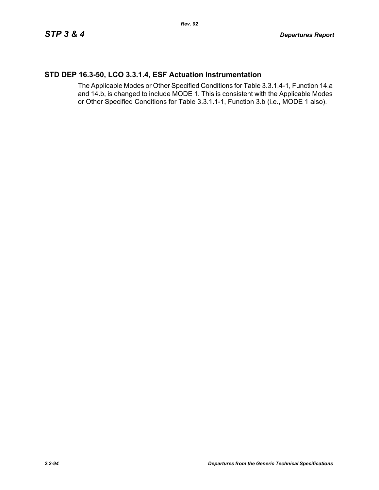# **STD DEP 16.3-50, LCO 3.3.1.4, ESF Actuation Instrumentation**

The Applicable Modes or Other Specified Conditions for Table 3.3.1.4-1, Function 14.a and 14.b, is changed to include MODE 1. This is consistent with the Applicable Modes or Other Specified Conditions for Table 3.3.1.1-1, Function 3.b (i.e., MODE 1 also).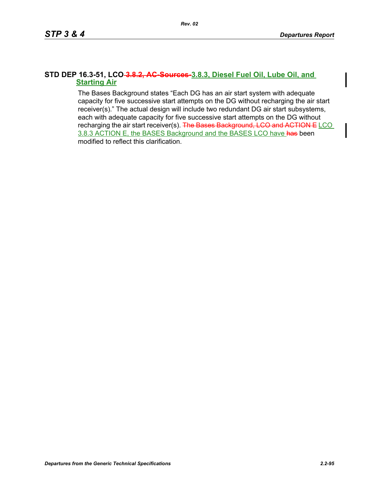#### **STD DEP 16.3-51, LCO 3.8.2, AC-Sources-3.8.3, Diesel Fuel Oil, Lube Oil, and Starting Air**

The Bases Background states "Each DG has an air start system with adequate capacity for five successive start attempts on the DG without recharging the air start receiver(s)." The actual design will include two redundant DG air start subsystems, each with adequate capacity for five successive start attempts on the DG without recharging the air start receiver(s). The Bases Background, LCO and ACTION E LCO 3.8.3 ACTION E, the BASES Background and the BASES LCO have has been modified to reflect this clarification.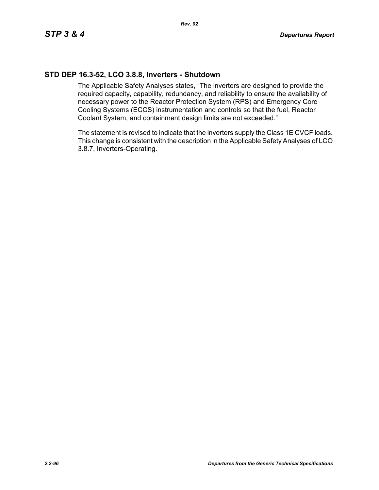## **STD DEP 16.3-52, LCO 3.8.8, Inverters - Shutdown**

The Applicable Safety Analyses states, "The inverters are designed to provide the required capacity, capability, redundancy, and reliability to ensure the availability of necessary power to the Reactor Protection System (RPS) and Emergency Core Cooling Systems (ECCS) instrumentation and controls so that the fuel, Reactor Coolant System, and containment design limits are not exceeded."

The statement is revised to indicate that the inverters supply the Class 1E CVCF loads. This change is consistent with the description in the Applicable Safety Analyses of LCO 3.8.7, Inverters-Operating.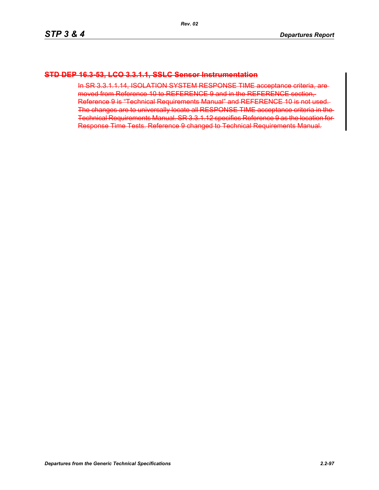#### **STD DEP 16.3-53, LCO 3.3.1.1, SSLC Sensor Instrumentation**

In SR 3.3.1.1.14, ISOLATION SYSTEM RESPONSE TIME acceptance criteria, are moved from Reference 10 to REFERENCE 9 and in the REFERENCE section, Reference 9 is "Technical Requirements Manual" and REFERENCE 10 is not used. The changes are to universally locate all RESPONSE TIME acceptance criteria in the Technical Requirements Manual. SR 3.3.1.12 specifies Reference 9 as the location for Response Time Tests. Reference 9 changed to Technical Requirements Manual.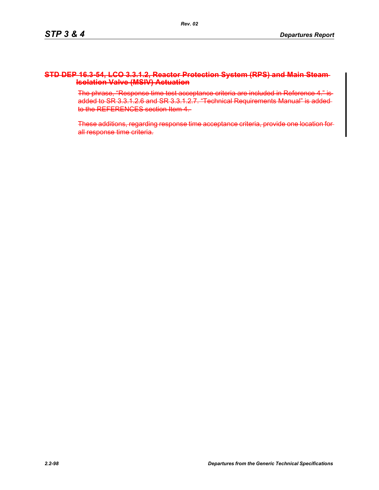#### **STD DEP 16.3-54, LCO 3.3.1.2, Reactor Protection System (RPS) and Main Steam Isolation Valve (MSIV) Actuation**

The phrase, "Response time test acceptance criteria are included in Reference 4." is added to SR 3.3.1.2.6 and SR 3.3.1.2.7. "Technical Requirements Manual" is added to the REFERENCES section Item 4.

These additions, regarding response time acceptance criteria, provide one location for all response time criteria.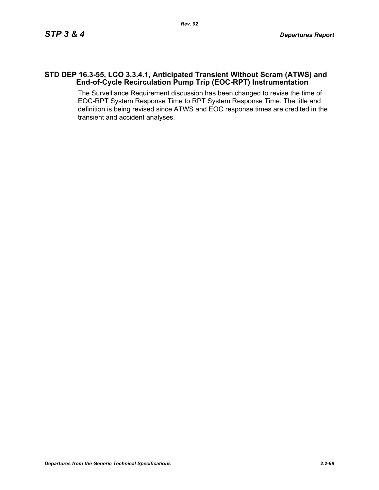#### **STD DEP 16.3-55, LCO 3.3.4.1, Anticipated Transient Without Scram (ATWS) and End-of-Cycle Recirculation Pump Trip (EOC-RPT) Instrumentation**

The Surveillance Requirement discussion has been changed to revise the time of EOC-RPT System Response Time to RPT System Response Time. The title and definition is being revised since ATWS and EOC response times are credited in the transient and accident analyses.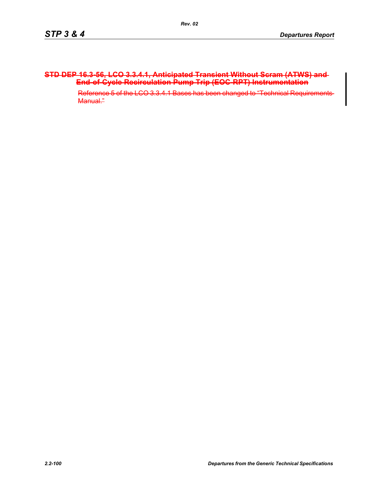#### **STD DEP 16.3-56, LCO 3.3.4.1, Anticipated Transient Without Scram (ATWS) and End-of-Cycle Recirculation Pump Trip (EOC-RPT) Instrumentation**

Reference 5 of the LCO 3.3.4.1 Bases has been changed to "Technical Requirements Manual."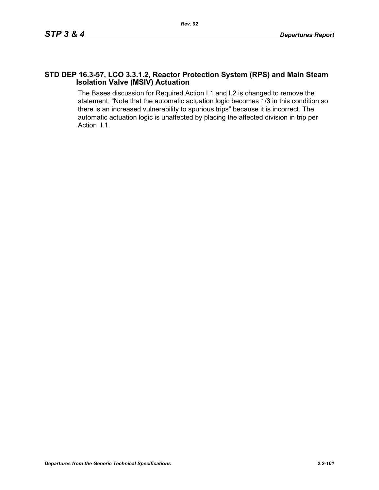#### **STD DEP 16.3-57, LCO 3.3.1.2, Reactor Protection System (RPS) and Main Steam Isolation Valve (MSIV) Actuation**

The Bases discussion for Required Action I.1 and I.2 is changed to remove the statement, "Note that the automatic actuation logic becomes 1/3 in this condition so there is an increased vulnerability to spurious trips" because it is incorrect. The automatic actuation logic is unaffected by placing the affected division in trip per Action I.1.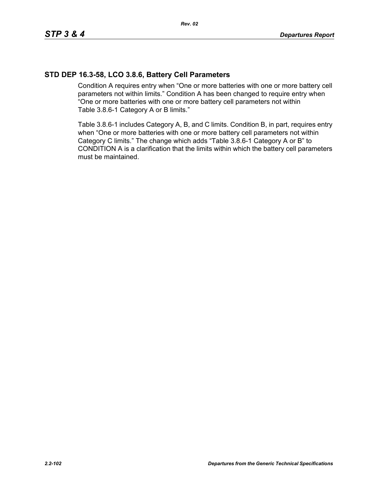# **STD DEP 16.3-58, LCO 3.8.6, Battery Cell Parameters**

Condition A requires entry when "One or more batteries with one or more battery cell parameters not within limits." Condition A has been changed to require entry when "One or more batteries with one or more battery cell parameters not within Table 3.8.6-1 Category A or B limits."

Table 3.8.6-1 includes Category A, B, and C limits. Condition B, in part, requires entry when "One or more batteries with one or more battery cell parameters not within Category C limits." The change which adds "Table 3.8.6-1 Category A or B" to CONDITION A is a clarification that the limits within which the battery cell parameters must be maintained.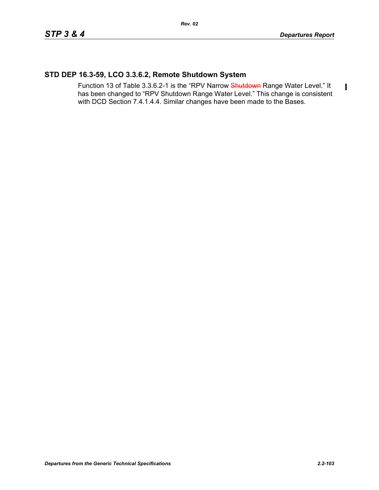$\blacksquare$ 

## **STD DEP 16.3-59, LCO 3.3.6.2, Remote Shutdown System**

Function 13 of Table 3.3.6.2-1 is the "RPV Narrow Shutdown Range Water Level." It has been changed to "RPV Shutdown Range Water Level." This change is consistent with DCD Section 7.4.1.4.4. Similar changes have been made to the Bases.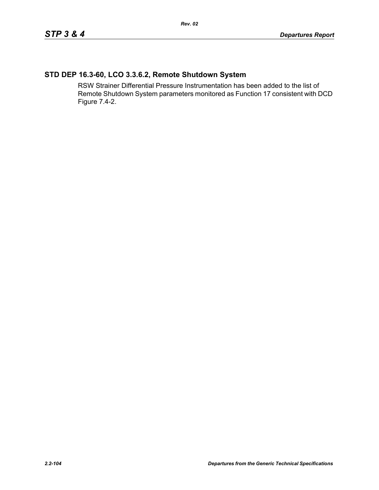# **STD DEP 16.3-60, LCO 3.3.6.2, Remote Shutdown System**

RSW Strainer Differential Pressure Instrumentation has been added to the list of Remote Shutdown System parameters monitored as Function 17 consistent with DCD Figure 7.4-2.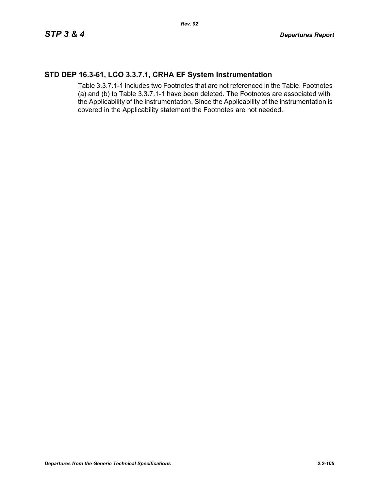#### **STD DEP 16.3-61, LCO 3.3.7.1, CRHA EF System Instrumentation**

Table 3.3.7.1-1 includes two Footnotes that are not referenced in the Table. Footnotes (a) and (b) to Table 3.3.7.1-1 have been deleted. The Footnotes are associated with the Applicability of the instrumentation. Since the Applicability of the instrumentation is covered in the Applicability statement the Footnotes are not needed.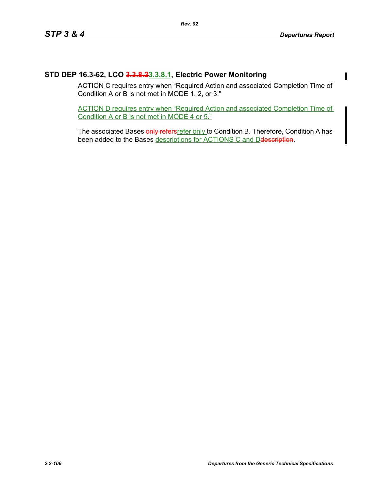## **STD DEP 16.3-62, LCO 3.3.8.23.3.8.1, Electric Power Monitoring**

ACTION C requires entry when "Required Action and associated Completion Time of Condition A or B is not met in MODE 1, 2, or 3."

ACTION D requires entry when "Required Action and associated Completion Time of Condition A or B is not met in MODE 4 or 5."

The associated Bases only refersrefer only to Condition B. Therefore, Condition A has been added to the Bases descriptions for ACTIONS C and Detescription.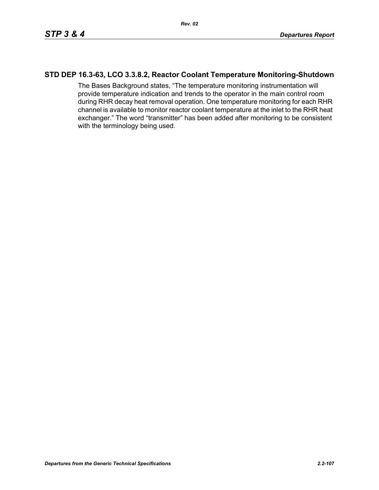#### **STD DEP 16.3-63, LCO 3.3.8.2, Reactor Coolant Temperature Monitoring-Shutdown**

The Bases Background states, "The temperature monitoring instrumentation will provide temperature indication and trends to the operator in the main control room during RHR decay heat removal operation. One temperature monitoring for each RHR channel is available to monitor reactor coolant temperature at the inlet to the RHR heat exchanger." The word "transmitter" has been added after monitoring to be consistent with the terminology being used.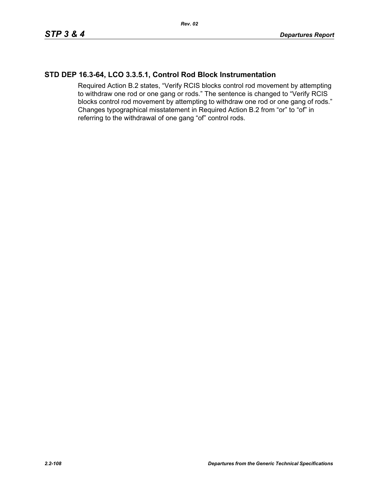## **STD DEP 16.3-64, LCO 3.3.5.1, Control Rod Block Instrumentation**

Required Action B.2 states, "Verify RCIS blocks control rod movement by attempting to withdraw one rod or one gang or rods." The sentence is changed to "Verify RCIS blocks control rod movement by attempting to withdraw one rod or one gang of rods." Changes typographical misstatement in Required Action B.2 from "or" to "of" in referring to the withdrawal of one gang "of" control rods.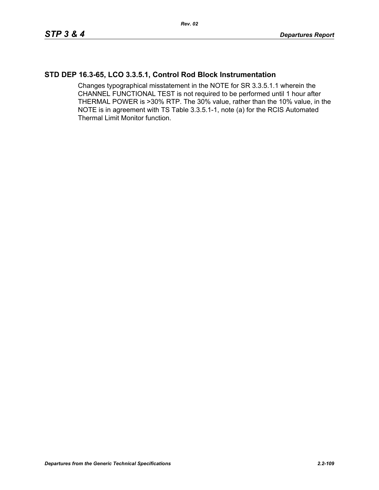### **STD DEP 16.3-65, LCO 3.3.5.1, Control Rod Block Instrumentation**

Changes typographical misstatement in the NOTE for SR 3.3.5.1.1 wherein the CHANNEL FUNCTIONAL TEST is not required to be performed until 1 hour after THERMAL POWER is >30% RTP. The 30% value, rather than the 10% value, in the NOTE is in agreement with TS Table 3.3.5.1-1, note (a) for the RCIS Automated Thermal Limit Monitor function.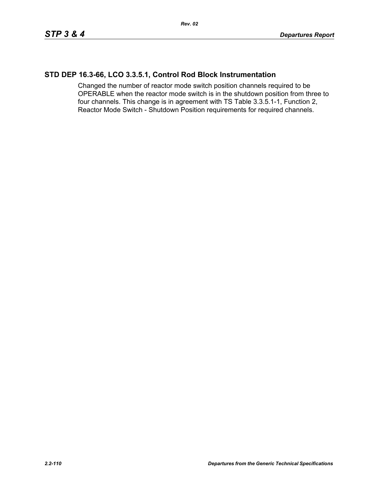### **STD DEP 16.3-66, LCO 3.3.5.1, Control Rod Block Instrumentation**

Changed the number of reactor mode switch position channels required to be OPERABLE when the reactor mode switch is in the shutdown position from three to four channels. This change is in agreement with TS Table 3.3.5.1-1, Function 2, Reactor Mode Switch - Shutdown Position requirements for required channels.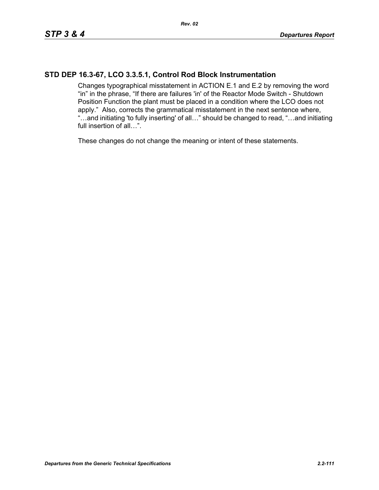# **STD DEP 16.3-67, LCO 3.3.5.1, Control Rod Block Instrumentation**

Changes typographical misstatement in ACTION E.1 and E.2 by removing the word "in" in the phrase, "If there are failures 'in' of the Reactor Mode Switch - Shutdown Position Function the plant must be placed in a condition where the LCO does not apply." Also, corrects the grammatical misstatement in the next sentence where, "…and initiating 'to fully inserting' of all…" should be changed to read, "…and initiating full insertion of all…".

These changes do not change the meaning or intent of these statements.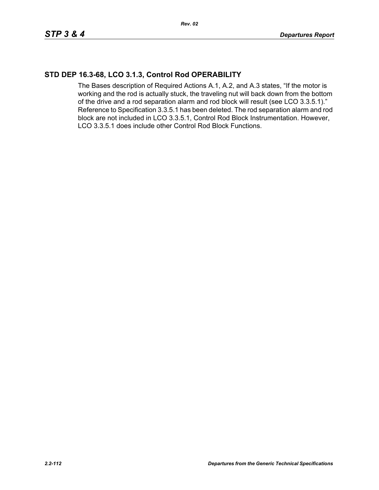# **STD DEP 16.3-68, LCO 3.1.3, Control Rod OPERABILITY**

The Bases description of Required Actions A.1, A.2, and A.3 states, "If the motor is working and the rod is actually stuck, the traveling nut will back down from the bottom of the drive and a rod separation alarm and rod block will result (see LCO 3.3.5.1)." Reference to Specification 3.3.5.1 has been deleted. The rod separation alarm and rod block are not included in LCO 3.3.5.1, Control Rod Block Instrumentation. However, LCO 3.3.5.1 does include other Control Rod Block Functions.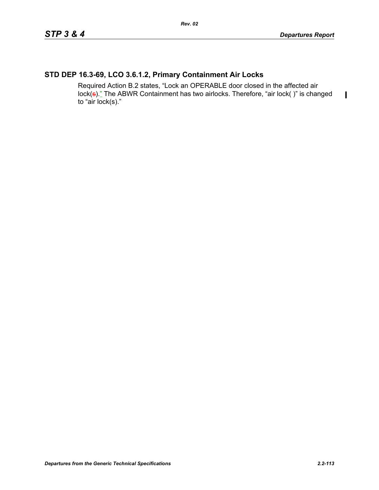$\blacksquare$ 

# **STD DEP 16.3-69, LCO 3.6.1.2, Primary Containment Air Locks**

Required Action B.2 states, "Lock an OPERABLE door closed in the affected air lock(s)." The ABWR Containment has two airlocks. Therefore, "air lock()" is changed to "air lock(s)."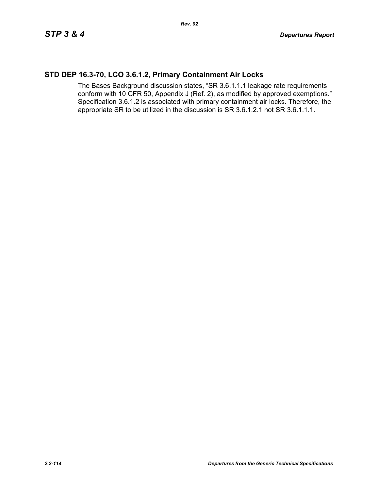### **STD DEP 16.3-70, LCO 3.6.1.2, Primary Containment Air Locks**

The Bases Background discussion states, "SR 3.6.1.1.1 leakage rate requirements conform with 10 CFR 50, Appendix J (Ref. 2), as modified by approved exemptions." Specification 3.6.1.2 is associated with primary containment air locks. Therefore, the appropriate SR to be utilized in the discussion is SR 3.6.1.2.1 not SR 3.6.1.1.1.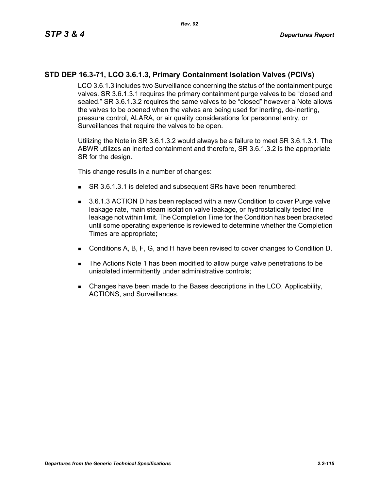# **STD DEP 16.3-71, LCO 3.6.1.3, Primary Containment Isolation Valves (PCIVs)**

LCO 3.6.1.3 includes two Surveillance concerning the status of the containment purge valves. SR 3.6.1.3.1 requires the primary containment purge valves to be "closed and sealed." SR 3.6.1.3.2 requires the same valves to be "closed" however a Note allows the valves to be opened when the valves are being used for inerting, de-inerting, pressure control, ALARA, or air quality considerations for personnel entry, or Surveillances that require the valves to be open.

Utilizing the Note in SR 3.6.1.3.2 would always be a failure to meet SR 3.6.1.3.1. The ABWR utilizes an inerted containment and therefore, SR 3.6.1.3.2 is the appropriate SR for the design.

This change results in a number of changes:

- SR 3.6.1.3.1 is deleted and subsequent SRs have been renumbered;
- 3.6.1.3 ACTION D has been replaced with a new Condition to cover Purge valve leakage rate, main steam isolation valve leakage, or hydrostatically tested line leakage not within limit. The Completion Time for the Condition has been bracketed until some operating experience is reviewed to determine whether the Completion Times are appropriate;
- Conditions A, B, F, G, and H have been revised to cover changes to Condition D.
- The Actions Note 1 has been modified to allow purge valve penetrations to be unisolated intermittently under administrative controls;
- Changes have been made to the Bases descriptions in the LCO, Applicability, ACTIONS, and Surveillances.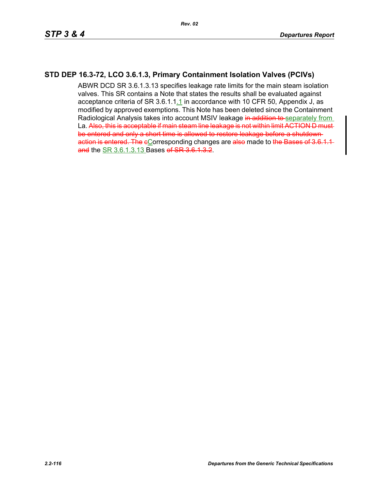### **STD DEP 16.3-72, LCO 3.6.1.3, Primary Containment Isolation Valves (PCIVs)**

ABWR DCD SR 3.6.1.3.13 specifies leakage rate limits for the main steam isolation valves. This SR contains a Note that states the results shall be evaluated against acceptance criteria of SR 3.6.1.1.1 in accordance with 10 CFR 50, Appendix J, as modified by approved exemptions. This Note has been deleted since the Containment Radiological Analysis takes into account MSIV leakage in addition to separately from La. Also, this is acceptable if main steam line leakage is not within limit ACTION D must be entered and only a short time is allowed to restore leakage before a shutdown action is entered. The eCorresponding changes are also made to the Bases of 3.6.1.1 and the SR 3.6.1.3.13 Bases of SR 3.6.1.3.2.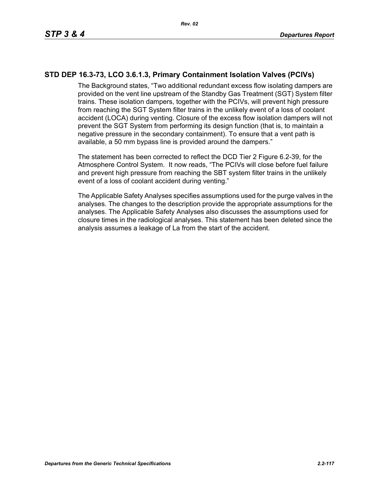# **STD DEP 16.3-73, LCO 3.6.1.3, Primary Containment Isolation Valves (PCIVs)**

The Background states, "Two additional redundant excess flow isolating dampers are provided on the vent line upstream of the Standby Gas Treatment (SGT) System filter trains. These isolation dampers, together with the PCIVs, will prevent high pressure from reaching the SGT System filter trains in the unlikely event of a loss of coolant accident (LOCA) during venting. Closure of the excess flow isolation dampers will not prevent the SGT System from performing its design function (that is, to maintain a negative pressure in the secondary containment). To ensure that a vent path is available, a 50 mm bypass line is provided around the dampers."

The statement has been corrected to reflect the DCD Tier 2 Figure 6.2-39, for the Atmosphere Control System. It now reads, "The PCIVs will close before fuel failure and prevent high pressure from reaching the SBT system filter trains in the unlikely event of a loss of coolant accident during venting."

The Applicable Safety Analyses specifies assumptions used for the purge valves in the analyses. The changes to the description provide the appropriate assumptions for the analyses. The Applicable Safety Analyses also discusses the assumptions used for closure times in the radiological analyses. This statement has been deleted since the analysis assumes a leakage of La from the start of the accident.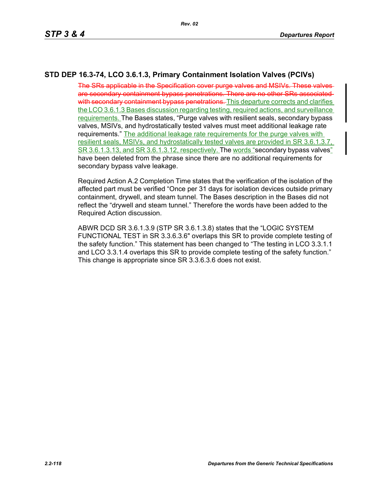# **STD DEP 16.3-74, LCO 3.6.1.3, Primary Containment Isolation Valves (PCIVs)**

The SRs applicable in the Specification cover purge valves and MSIVs. These valves are secondary containment bypass penetrations. There are no other SRs associated with secondary containment bypass penetrations. This departure corrects and clarifies the LCO 3.6.1.3 Bases discussion regarding testing, required actions, and surveillance requirements. The Bases states, "Purge valves with resilient seals, secondary bypass valves, MSIVs, and hydrostatically tested valves must meet additional leakage rate requirements." The additional leakage rate requirements for the purge valves with resilient seals, MSIVs, and hydrostatically tested valves are provided in SR 3.6.1.3.7, SR 3.6.1.3.13, and SR 3.6.1.3.12, respectively. The words "secondary bypass valves" have been deleted from the phrase since there are no additional requirements for secondary bypass valve leakage.

Required Action A.2 Completion Time states that the verification of the isolation of the affected part must be verified "Once per 31 days for isolation devices outside primary containment, drywell, and steam tunnel. The Bases description in the Bases did not reflect the "drywell and steam tunnel." Therefore the words have been added to the Required Action discussion.

ABWR DCD SR 3.6.1.3.9 (STP SR 3.6.1.3.8) states that the "LOGIC SYSTEM FUNCTIONAL TEST in SR 3.3.6.3.6" overlaps this SR to provide complete testing of the safety function." This statement has been changed to "The testing in LCO 3.3.1.1 and LCO 3.3.1.4 overlaps this SR to provide complete testing of the safety function." This change is appropriate since SR 3.3.6.3.6 does not exist.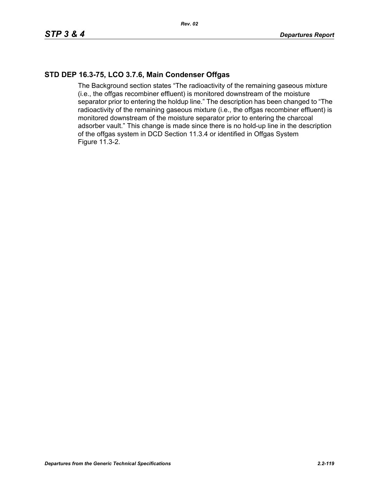### **STD DEP 16.3-75, LCO 3.7.6, Main Condenser Offgas**

The Background section states "The radioactivity of the remaining gaseous mixture (i.e., the offgas recombiner effluent) is monitored downstream of the moisture separator prior to entering the holdup line." The description has been changed to "The radioactivity of the remaining gaseous mixture (i.e., the offgas recombiner effluent) is monitored downstream of the moisture separator prior to entering the charcoal adsorber vault." This change is made since there is no hold-up line in the description of the offgas system in DCD Section 11.3.4 or identified in Offgas System Figure 11.3-2.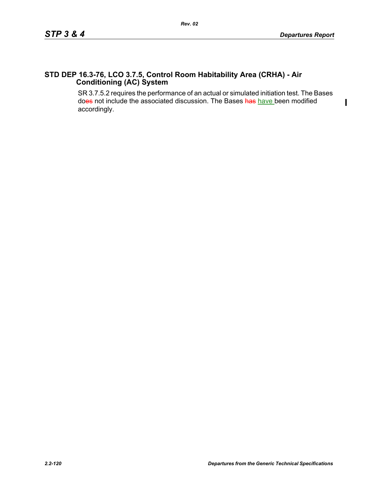$\blacksquare$ 

### **STD DEP 16.3-76, LCO 3.7.5, Control Room Habitability Area (CRHA) - Air Conditioning (AC) System**

SR 3.7.5.2 requires the performance of an actual or simulated initiation test. The Bases does not include the associated discussion. The Bases has have been modified accordingly.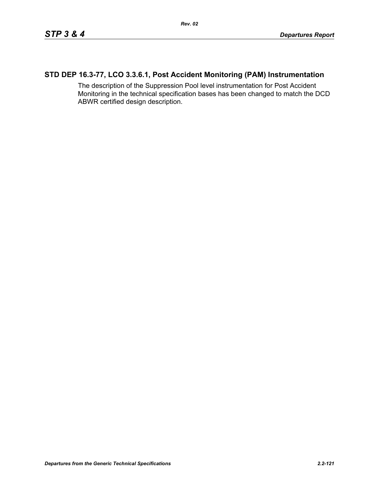# **STD DEP 16.3-77, LCO 3.3.6.1, Post Accident Monitoring (PAM) Instrumentation**

The description of the Suppression Pool level instrumentation for Post Accident Monitoring in the technical specification bases has been changed to match the DCD ABWR certified design description.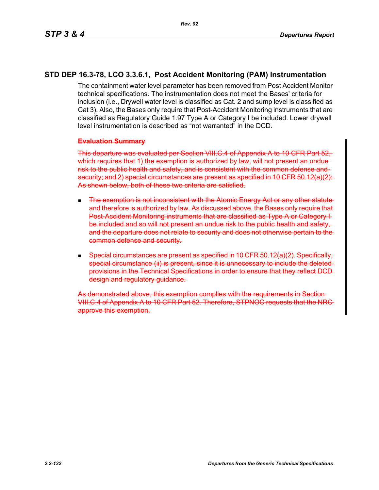### **STD DEP 16.3-78, LCO 3.3.6.1, Post Accident Monitoring (PAM) Instrumentation**

The containment water level parameter has been removed from Post Accident Monitor technical specifications. The instrumentation does not meet the Bases' criteria for inclusion (i.e., Drywell water level is classified as Cat. 2 and sump level is classified as Cat 3). Also, the Bases only require that Post-Accident Monitoring instruments that are classified as Regulatory Guide 1.97 Type A or Category I be included. Lower drywell level instrumentation is described as "not warranted" in the DCD.

#### **Evaluation Summary**

This departure was evaluated per Section VIII.C.4 of Appendix A to 10 CFR Part 52, which requires that 1) the exemption is authorized by law, will not present an unduerisk to the public health and safety, and is consistent with the common defense and security; and 2) special circumstances are present as specified in 10 CFR 50.12(a)(2); As shown below, both of these two criteria are satisfied.

- **The exemption is not inconsistent with the Atomic Energy Act or any other statute** and therefore is authorized by law. As discussed above, the Bases only require that Post-Accident Monitoring instruments that are classified as Type A or Category be included and so will not present an undue risk to the public health and safety, and the departure does not relate to security and does not otherwise pertain to common defense and security.
- $\blacksquare$  Special circumstances are present as specified in 10 CFR 50.12(a)(2) special circumstance (ii) is present, since it is unnecessary to include the deleted provisions in the Technical Specifications in order to ensure that they reflect DCD design and regulatory guidance.

As demonstrated above, this exemption complies with the requirements in VIII.C.4 of Appendix A to 10 CFR Part 52. Therefore, STPNOC requests that the NRC approve this exemption.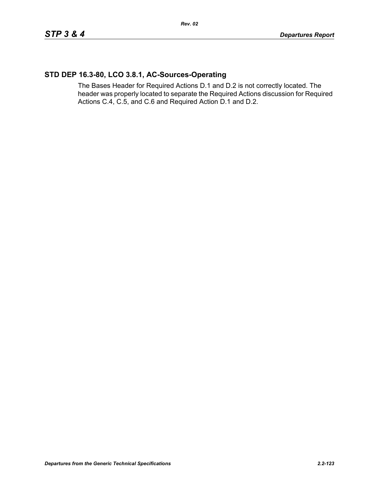# **STD DEP 16.3-80, LCO 3.8.1, AC-Sources-Operating**

The Bases Header for Required Actions D.1 and D.2 is not correctly located. The header was properly located to separate the Required Actions discussion for Required Actions C.4, C.5, and C.6 and Required Action D.1 and D.2.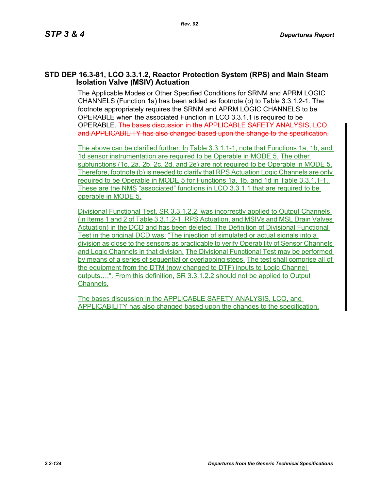#### **STD DEP 16.3-81, LCO 3.3.1.2, Reactor Protection System (RPS) and Main Steam Isolation Valve (MSIV) Actuation**

The Applicable Modes or Other Specified Conditions for SRNM and APRM LOGIC CHANNELS (Function 1a) has been added as footnote (b) to Table 3.3.1.2-1. The footnote appropriately requires the SRNM and APRM LOGIC CHANNELS to be OPERABLE when the associated Function in LCO 3.3.1.1 is required to be OPERABLE. The bases discussion in the APPLICABLE SAFETY ANALYSIS, LCO, and APPLICABILITY has also changed based upon the change to the specification.

The above can be clarified further. In Table 3.3.1.1-1, note that Functions 1a, 1b, and 1d sensor instrumentation are required to be Operable in MODE 5. The other subfunctions (1c, 2a, 2b, 2c, 2d, and 2e) are not required to be Operable in MODE 5. Therefore, footnote (b) is needed to clarify that RPS Actuation Logic Channels are only required to be Operable in MODE 5 for Functions 1a, 1b, and 1d in Table 3.3.1.1-1. These are the NMS "associated" functions in LCO 3.3.1.1 that are required to be operable in MODE 5.

Divisional Functional Test, SR 3.3.1.2.2, was incorrectly applied to Output Channels (in Items 1 and 2 of Table 3.3.1.2-1, RPS Actuation, and MSIVs and MSL Drain Valves Actuation) in the DCD and has been deleted. The Definition of Divisional Functional Test in the original DCD was: "The injection of simulated or actual signals into a division as close to the sensors as practicable to verify Operability of Sensor Channels and Logic Channels in that division. The Divisional Functional Test may be performed by means of a series of sequential or overlapping steps. The test shall comprise all of the equipment from the DTM (now changed to DTF) inputs to Logic Channel outputs….". From this definition, SR 3.3.1.2.2 should not be applied to Output Channels.

The bases discussion in the APPLICABLE SAFETY ANALYSIS, LCO, and APPLICABILITY has also changed based upon the changes to the specification.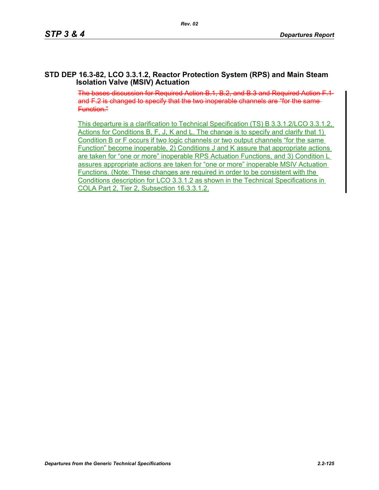#### **STD DEP 16.3-82, LCO 3.3.1.2, Reactor Protection System (RPS) and Main Steam Isolation Valve (MSIV) Actuation**

The bases discussion for Required Action B.1, B.2, and B.3 and Required Action F.1 and F.2 is changed to specify that the two inoperable channels are "for the same-Function."

This departure is a clarification to Technical Specification (TS) B 3.3.1.2/LCO 3.3.1.2, Actions for Conditions B, F, J, K and L. The change is to specify and clarify that 1) Condition B or F occurs if two logic channels or two output channels "for the same Function" become inoperable, 2) Conditions J and K assure that appropriate actions are taken for "one or more" inoperable RPS Actuation Functions, and 3) Condition L assures appropriate actions are taken for "one or more" inoperable MSIV Actuation Functions. (Note: These changes are required in order to be consistent with the Conditions description for LCO 3.3.1.2 as shown in the Technical Specifications in COLA Part 2, Tier 2, Subsection 16.3.3.1.2.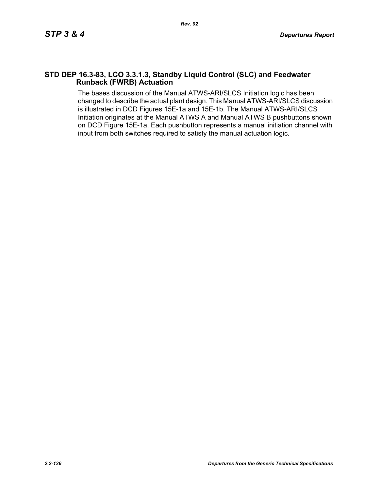#### **STD DEP 16.3-83, LCO 3.3.1.3, Standby Liquid Control (SLC) and Feedwater Runback (FWRB) Actuation**

The bases discussion of the Manual ATWS-ARI/SLCS Initiation logic has been changed to describe the actual plant design. This Manual ATWS-ARI/SLCS discussion is illustrated in DCD Figures 15E-1a and 15E-1b. The Manual ATWS-ARI/SLCS Initiation originates at the Manual ATWS A and Manual ATWS B pushbuttons shown on DCD Figure 15E-1a. Each pushbutton represents a manual initiation channel with input from both switches required to satisfy the manual actuation logic.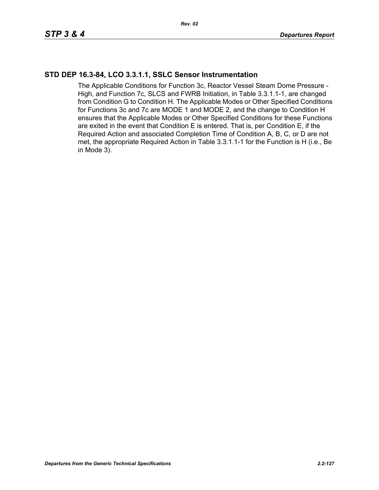### **STD DEP 16.3-84, LCO 3.3.1.1, SSLC Sensor Instrumentation**

The Applicable Conditions for Function 3c, Reactor Vessel Steam Dome Pressure - High, and Function 7c, SLCS and FWRB Initiation, in Table 3.3.1.1-1, are changed from Condition G to Condition H. The Applicable Modes or Other Specified Conditions for Functions 3c and 7c are MODE 1 and MODE 2, and the change to Condition H ensures that the Applicable Modes or Other Specified Conditions for these Functions are exited in the event that Condition E is entered. That is, per Condition E, if the Required Action and associated Completion Time of Condition A, B, C, or D are not met, the appropriate Required Action in Table 3.3.1.1-1 for the Function is H (i.e., Be in Mode 3).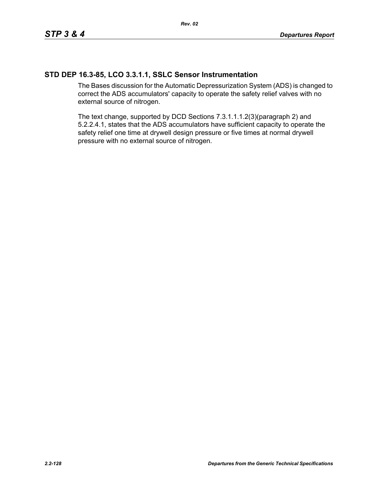### **STD DEP 16.3-85, LCO 3.3.1.1, SSLC Sensor Instrumentation**

The Bases discussion for the Automatic Depressurization System (ADS) is changed to correct the ADS accumulators' capacity to operate the safety relief valves with no external source of nitrogen.

The text change, supported by DCD Sections 7.3.1.1.1.2(3)(paragraph 2) and 5.2.2.4.1, states that the ADS accumulators have sufficient capacity to operate the safety relief one time at drywell design pressure or five times at normal drywell pressure with no external source of nitrogen.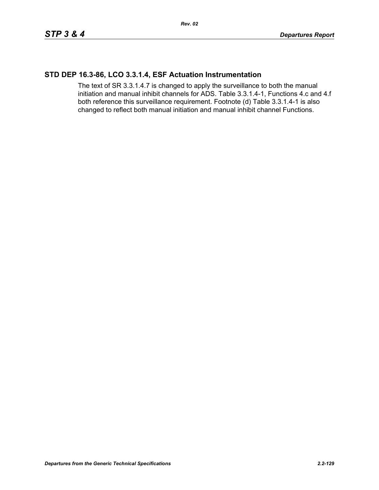### **STD DEP 16.3-86, LCO 3.3.1.4, ESF Actuation Instrumentation**

The text of SR 3.3.1.4.7 is changed to apply the surveillance to both the manual initiation and manual inhibit channels for ADS. Table 3.3.1.4-1, Functions 4.c and 4.f both reference this surveillance requirement. Footnote (d) Table 3.3.1.4-1 is also changed to reflect both manual initiation and manual inhibit channel Functions.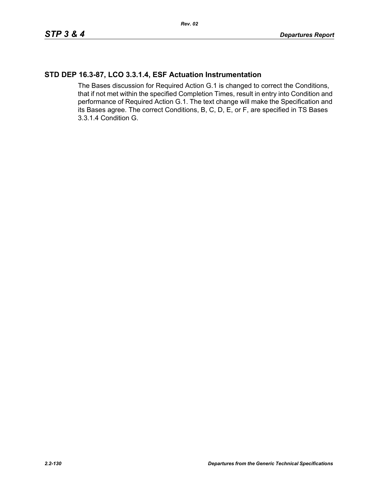### **STD DEP 16.3-87, LCO 3.3.1.4, ESF Actuation Instrumentation**

The Bases discussion for Required Action G.1 is changed to correct the Conditions, that if not met within the specified Completion Times, result in entry into Condition and performance of Required Action G.1. The text change will make the Specification and its Bases agree. The correct Conditions, B, C, D, E, or F, are specified in TS Bases 3.3.1.4 Condition G.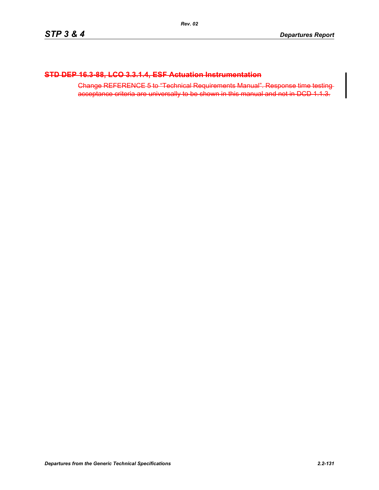### **STD DEP 16.3-88, LCO 3.3.1.4, ESF Actuation Instrumentation**

Change REFERENCE 5 to "Technical Requirements Manual". Response time testing acceptance criteria are universally to be shown in this manual and not in DCD 1.1.3.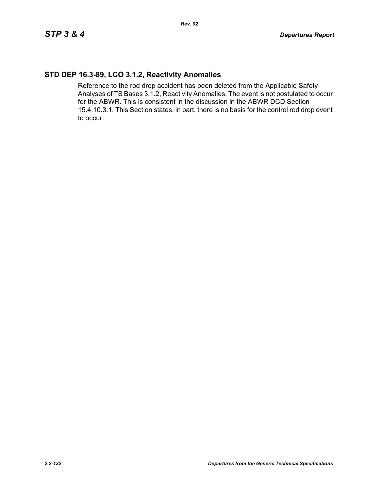### **STD DEP 16.3-89, LCO 3.1.2, Reactivity Anomalies**

Reference to the rod drop accident has been deleted from the Applicable Safety Analyses of TS Bases 3.1.2, Reactivity Anomalies. The event is not postulated to occur for the ABWR. This is consistent in the discussion in the ABWR DCD Section 15.4.10.3.1. This Section states, in part, there is no basis for the control rod drop event to occur.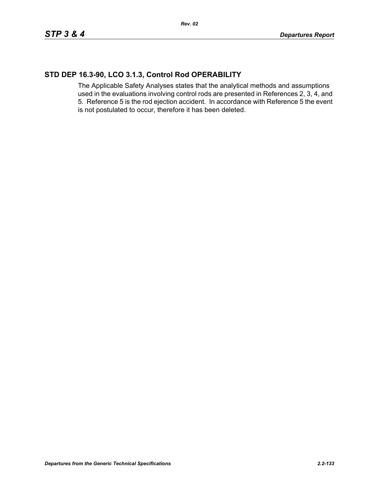# **STD DEP 16.3-90, LCO 3.1.3, Control Rod OPERABILITY**

The Applicable Safety Analyses states that the analytical methods and assumptions used in the evaluations involving control rods are presented in References 2, 3, 4, and 5. Reference 5 is the rod ejection accident. In accordance with Reference 5 the event is not postulated to occur, therefore it has been deleted.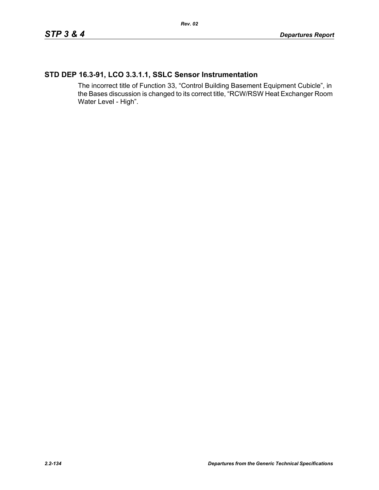# **STD DEP 16.3-91, LCO 3.3.1.1, SSLC Sensor Instrumentation**

The incorrect title of Function 33, "Control Building Basement Equipment Cubicle", in the Bases discussion is changed to its correct title, "RCW/RSW Heat Exchanger Room Water Level - High".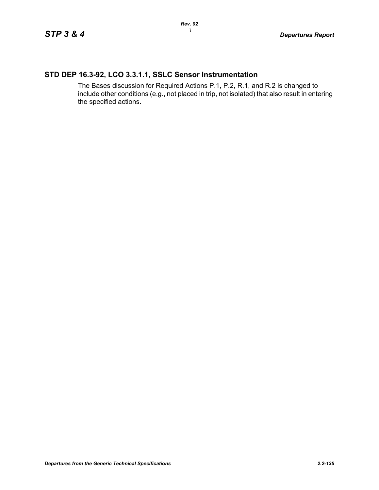# **STD DEP 16.3-92, LCO 3.3.1.1, SSLC Sensor Instrumentation**

The Bases discussion for Required Actions P.1, P.2, R.1, and R.2 is changed to include other conditions (e.g., not placed in trip, not isolated) that also result in entering the specified actions.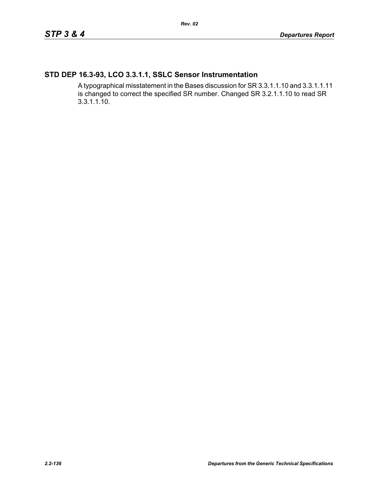# **STD DEP 16.3-93, LCO 3.3.1.1, SSLC Sensor Instrumentation**

A typographical misstatement in the Bases discussion for SR 3.3.1.1.10 and 3.3.1.1.11 is changed to correct the specified SR number. Changed SR 3.2.1.1.10 to read SR 3.3.1.1.10.